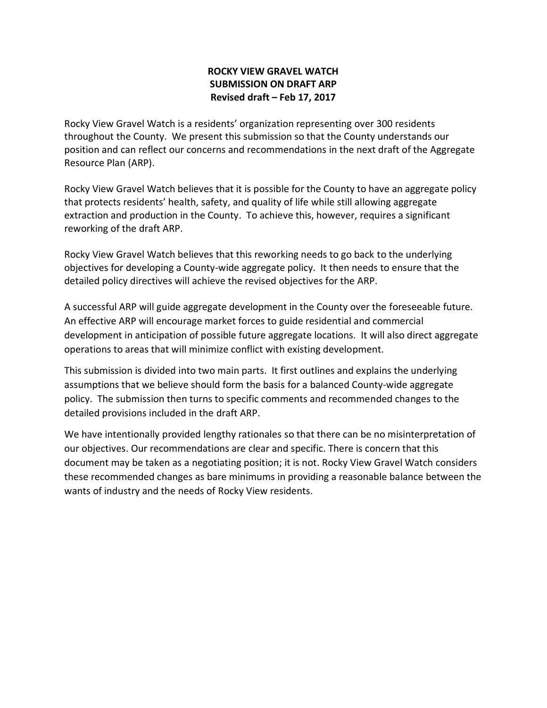# **ROCKY VIEW GRAVEL WATCH SUBMISSION ON DRAFT ARP Revised draft – Feb 17, 2017**

Rocky View Gravel Watch is a residents' organization representing over 300 residents throughout the County. We present this submission so that the County understands our position and can reflect our concerns and recommendations in the next draft of the Aggregate Resource Plan (ARP).

Rocky View Gravel Watch believes that it is possible for the County to have an aggregate policy that protects residents' health, safety, and quality of life while still allowing aggregate extraction and production in the County. To achieve this, however, requires a significant reworking of the draft ARP.

Rocky View Gravel Watch believes that this reworking needs to go back to the underlying objectives for developing a County-wide aggregate policy. It then needs to ensure that the detailed policy directives will achieve the revised objectives for the ARP.

A successful ARP will guide aggregate development in the County over the foreseeable future. An effective ARP will encourage market forces to guide residential and commercial development in anticipation of possible future aggregate locations. It will also direct aggregate operations to areas that will minimize conflict with existing development.

This submission is divided into two main parts. It first outlines and explains the underlying assumptions that we believe should form the basis for a balanced County-wide aggregate policy. The submission then turns to specific comments and recommended changes to the detailed provisions included in the draft ARP.

We have intentionally provided lengthy rationales so that there can be no misinterpretation of our objectives. Our recommendations are clear and specific. There is concern that this document may be taken as a negotiating position; it is not. Rocky View Gravel Watch considers these recommended changes as bare minimums in providing a reasonable balance between the wants of industry and the needs of Rocky View residents.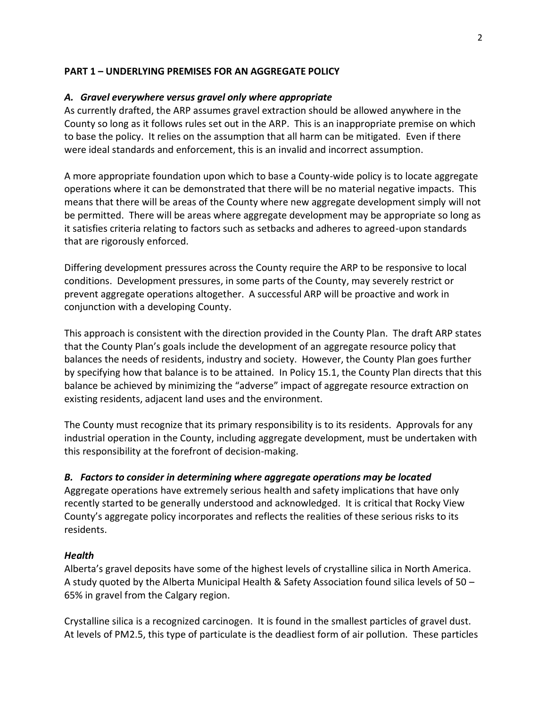# **PART 1 – UNDERLYING PREMISES FOR AN AGGREGATE POLICY**

# *A. Gravel everywhere versus gravel only where appropriate*

As currently drafted, the ARP assumes gravel extraction should be allowed anywhere in the County so long as it follows rules set out in the ARP. This is an inappropriate premise on which to base the policy. It relies on the assumption that all harm can be mitigated. Even if there were ideal standards and enforcement, this is an invalid and incorrect assumption.

A more appropriate foundation upon which to base a County-wide policy is to locate aggregate operations where it can be demonstrated that there will be no material negative impacts. This means that there will be areas of the County where new aggregate development simply will not be permitted. There will be areas where aggregate development may be appropriate so long as it satisfies criteria relating to factors such as setbacks and adheres to agreed-upon standards that are rigorously enforced.

Differing development pressures across the County require the ARP to be responsive to local conditions. Development pressures, in some parts of the County, may severely restrict or prevent aggregate operations altogether. A successful ARP will be proactive and work in conjunction with a developing County.

This approach is consistent with the direction provided in the County Plan. The draft ARP states that the County Plan's goals include the development of an aggregate resource policy that balances the needs of residents, industry and society. However, the County Plan goes further by specifying how that balance is to be attained. In Policy 15.1, the County Plan directs that this balance be achieved by minimizing the "adverse" impact of aggregate resource extraction on existing residents, adjacent land uses and the environment.

The County must recognize that its primary responsibility is to its residents. Approvals for any industrial operation in the County, including aggregate development, must be undertaken with this responsibility at the forefront of decision-making.

# *B. Factors to consider in determining where aggregate operations may be located*

Aggregate operations have extremely serious health and safety implications that have only recently started to be generally understood and acknowledged. It is critical that Rocky View County's aggregate policy incorporates and reflects the realities of these serious risks to its residents.

# *Health*

Alberta's gravel deposits have some of the highest levels of crystalline silica in North America. A study quoted by the Alberta Municipal Health & Safety Association found silica levels of 50 – 65% in gravel from the Calgary region.

Crystalline silica is a recognized carcinogen. It is found in the smallest particles of gravel dust. At levels of PM2.5, this type of particulate is the deadliest form of air pollution. These particles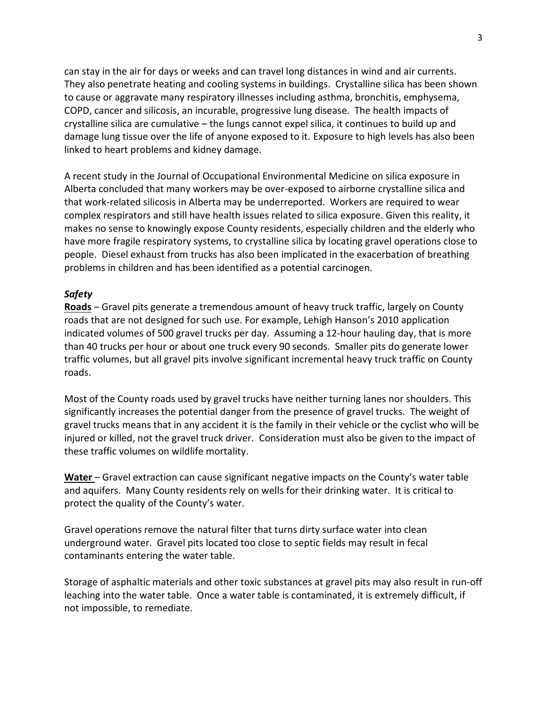can stay in the air for days or weeks and can travel long distances in wind and air currents. They also penetrate heating and cooling systems in buildings. Crystalline silica has been shown to cause or aggravate many respiratory illnesses including asthma, bronchitis, emphysema, COPD, cancer and silicosis, an incurable, progressive lung disease. The health impacts of crystalline silica are cumulative – the lungs cannot expel silica, it continues to build up and damage lung tissue over the life of anyone exposed to it. Exposure to high levels has also been linked to heart problems and kidney damage.

A recent study in the Journal of Occupational Environmental Medicine on silica exposure in Alberta concluded that many workers may be over-exposed to airborne crystalline silica and that work-related silicosis in Alberta may be underreported. Workers are required to wear complex respirators and still have health issues related to silica exposure. Given this reality, it makes no sense to knowingly expose County residents, especially children and the elderly who have more fragile respiratory systems, to crystalline silica by locating gravel operations close to people. Diesel exhaust from trucks has also been implicated in the exacerbation of breathing problems in children and has been identified as a potential carcinogen.

# *Safety*

**Roads** – Gravel pits generate a tremendous amount of heavy truck traffic, largely on County roads that are not designed for such use. For example, Lehigh Hanson's 2010 application indicated volumes of 500 gravel trucks per day. Assuming a 12-hour hauling day, that is more than 40 trucks per hour or about one truck every 90 seconds. Smaller pits do generate lower traffic volumes, but all gravel pits involve significant incremental heavy truck traffic on County roads.

Most of the County roads used by gravel trucks have neither turning lanes nor shoulders. This significantly increases the potential danger from the presence of gravel trucks. The weight of gravel trucks means that in any accident it is the family in their vehicle or the cyclist who will be injured or killed, not the gravel truck driver. Consideration must also be given to the impact of these traffic volumes on wildlife mortality.

**Water** – Gravel extraction can cause significant negative impacts on the County's water table and aquifers. Many County residents rely on wells for their drinking water. It is critical to protect the quality of the County's water.

Gravel operations remove the natural filter that turns dirty surface water into clean underground water. Gravel pits located too close to septic fields may result in fecal contaminants entering the water table.

Storage of asphaltic materials and other toxic substances at gravel pits may also result in run-off leaching into the water table. Once a water table is contaminated, it is extremely difficult, if not impossible, to remediate.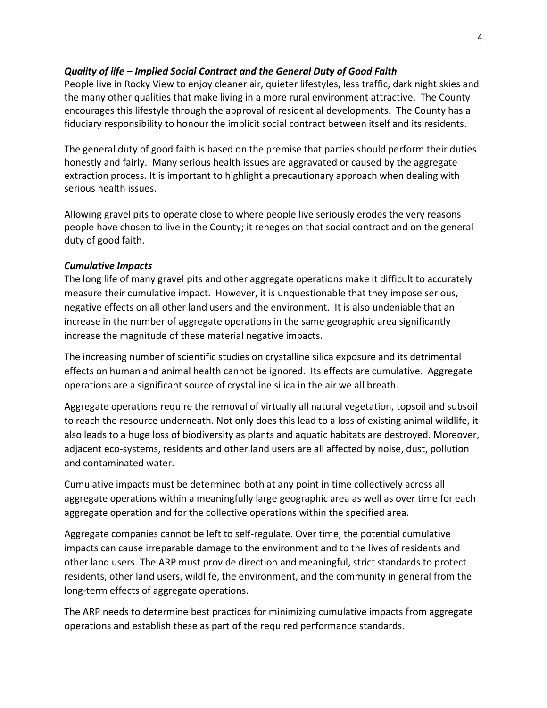# *Quality of life – Implied Social Contract and the General Duty of Good Faith*

People live in Rocky View to enjoy cleaner air, quieter lifestyles, less traffic, dark night skies and the many other qualities that make living in a more rural environment attractive. The County encourages this lifestyle through the approval of residential developments. The County has a fiduciary responsibility to honour the implicit social contract between itself and its residents.

The general duty of good faith is based on the premise that parties should perform their duties honestly and fairly. Many serious health issues are aggravated or caused by the aggregate extraction process. It is important to highlight a precautionary approach when dealing with serious health issues.

Allowing gravel pits to operate close to where people live seriously erodes the very reasons people have chosen to live in the County; it reneges on that social contract and on the general duty of good faith.

# *Cumulative Impacts*

The long life of many gravel pits and other aggregate operations make it difficult to accurately measure their cumulative impact. However, it is unquestionable that they impose serious, negative effects on all other land users and the environment. It is also undeniable that an increase in the number of aggregate operations in the same geographic area significantly increase the magnitude of these material negative impacts.

The increasing number of scientific studies on crystalline silica exposure and its detrimental effects on human and animal health cannot be ignored. Its effects are cumulative. Aggregate operations are a significant source of crystalline silica in the air we all breath.

Aggregate operations require the removal of virtually all natural vegetation, topsoil and subsoil to reach the resource underneath. Not only does this lead to a loss of existing animal wildlife, it also leads to a huge loss of biodiversity as plants and aquatic habitats are destroyed. Moreover, adjacent eco-systems, residents and other land users are all affected by noise, dust, pollution and contaminated water.

Cumulative impacts must be determined both at any point in time collectively across all aggregate operations within a meaningfully large geographic area as well as over time for each aggregate operation and for the collective operations within the specified area.

Aggregate companies cannot be left to self-regulate. Over time, the potential cumulative impacts can cause irreparable damage to the environment and to the lives of residents and other land users. The ARP must provide direction and meaningful, strict standards to protect residents, other land users, wildlife, the environment, and the community in general from the long-term effects of aggregate operations.

The ARP needs to determine best practices for minimizing cumulative impacts from aggregate operations and establish these as part of the required performance standards.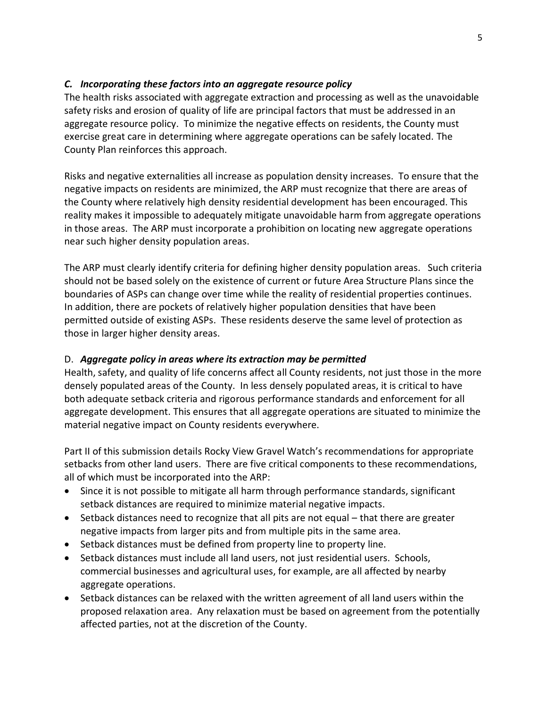# *C. Incorporating these factors into an aggregate resource policy*

The health risks associated with aggregate extraction and processing as well as the unavoidable safety risks and erosion of quality of life are principal factors that must be addressed in an aggregate resource policy. To minimize the negative effects on residents, the County must exercise great care in determining where aggregate operations can be safely located. The County Plan reinforces this approach.

Risks and negative externalities all increase as population density increases. To ensure that the negative impacts on residents are minimized, the ARP must recognize that there are areas of the County where relatively high density residential development has been encouraged. This reality makes it impossible to adequately mitigate unavoidable harm from aggregate operations in those areas. The ARP must incorporate a prohibition on locating new aggregate operations near such higher density population areas.

The ARP must clearly identify criteria for defining higher density population areas. Such criteria should not be based solely on the existence of current or future Area Structure Plans since the boundaries of ASPs can change over time while the reality of residential properties continues. In addition, there are pockets of relatively higher population densities that have been permitted outside of existing ASPs. These residents deserve the same level of protection as those in larger higher density areas.

# D. *Aggregate policy in areas where its extraction may be permitted*

Health, safety, and quality of life concerns affect all County residents, not just those in the more densely populated areas of the County. In less densely populated areas, it is critical to have both adequate setback criteria and rigorous performance standards and enforcement for all aggregate development. This ensures that all aggregate operations are situated to minimize the material negative impact on County residents everywhere.

Part II of this submission details Rocky View Gravel Watch's recommendations for appropriate setbacks from other land users. There are five critical components to these recommendations, all of which must be incorporated into the ARP:

- Since it is not possible to mitigate all harm through performance standards, significant setback distances are required to minimize material negative impacts.
- Setback distances need to recognize that all pits are not equal that there are greater negative impacts from larger pits and from multiple pits in the same area.
- Setback distances must be defined from property line to property line.
- Setback distances must include all land users, not just residential users. Schools, commercial businesses and agricultural uses, for example, are all affected by nearby aggregate operations.
- Setback distances can be relaxed with the written agreement of all land users within the proposed relaxation area. Any relaxation must be based on agreement from the potentially affected parties, not at the discretion of the County.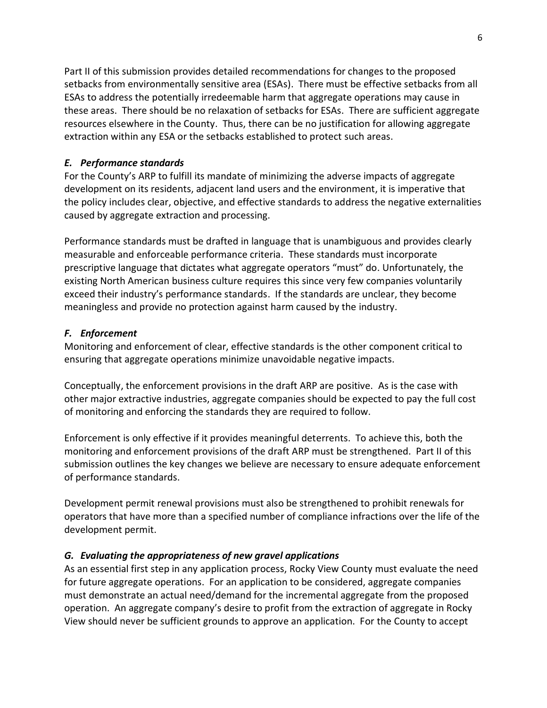Part II of this submission provides detailed recommendations for changes to the proposed setbacks from environmentally sensitive area (ESAs). There must be effective setbacks from all ESAs to address the potentially irredeemable harm that aggregate operations may cause in these areas. There should be no relaxation of setbacks for ESAs. There are sufficient aggregate resources elsewhere in the County. Thus, there can be no justification for allowing aggregate extraction within any ESA or the setbacks established to protect such areas.

# *E. Performance standards*

For the County's ARP to fulfill its mandate of minimizing the adverse impacts of aggregate development on its residents, adjacent land users and the environment, it is imperative that the policy includes clear, objective, and effective standards to address the negative externalities caused by aggregate extraction and processing.

Performance standards must be drafted in language that is unambiguous and provides clearly measurable and enforceable performance criteria. These standards must incorporate prescriptive language that dictates what aggregate operators "must" do. Unfortunately, the existing North American business culture requires this since very few companies voluntarily exceed their industry's performance standards. If the standards are unclear, they become meaningless and provide no protection against harm caused by the industry.

# *F. Enforcement*

Monitoring and enforcement of clear, effective standards is the other component critical to ensuring that aggregate operations minimize unavoidable negative impacts.

Conceptually, the enforcement provisions in the draft ARP are positive. As is the case with other major extractive industries, aggregate companies should be expected to pay the full cost of monitoring and enforcing the standards they are required to follow.

Enforcement is only effective if it provides meaningful deterrents. To achieve this, both the monitoring and enforcement provisions of the draft ARP must be strengthened. Part II of this submission outlines the key changes we believe are necessary to ensure adequate enforcement of performance standards.

Development permit renewal provisions must also be strengthened to prohibit renewals for operators that have more than a specified number of compliance infractions over the life of the development permit.

# *G. Evaluating the appropriateness of new gravel applications*

As an essential first step in any application process, Rocky View County must evaluate the need for future aggregate operations. For an application to be considered, aggregate companies must demonstrate an actual need/demand for the incremental aggregate from the proposed operation. An aggregate company's desire to profit from the extraction of aggregate in Rocky View should never be sufficient grounds to approve an application. For the County to accept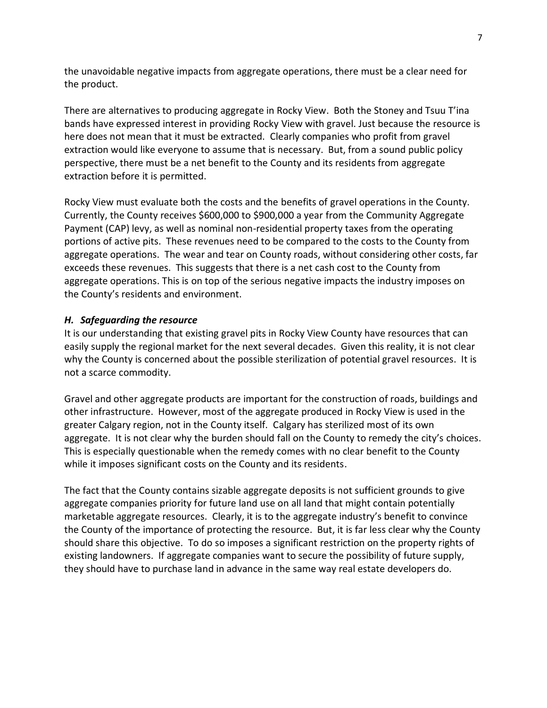the unavoidable negative impacts from aggregate operations, there must be a clear need for the product.

There are alternatives to producing aggregate in Rocky View. Both the Stoney and Tsuu T'ina bands have expressed interest in providing Rocky View with gravel. Just because the resource is here does not mean that it must be extracted. Clearly companies who profit from gravel extraction would like everyone to assume that is necessary. But, from a sound public policy perspective, there must be a net benefit to the County and its residents from aggregate extraction before it is permitted.

Rocky View must evaluate both the costs and the benefits of gravel operations in the County. Currently, the County receives \$600,000 to \$900,000 a year from the Community Aggregate Payment (CAP) levy, as well as nominal non-residential property taxes from the operating portions of active pits. These revenues need to be compared to the costs to the County from aggregate operations. The wear and tear on County roads, without considering other costs, far exceeds these revenues. This suggests that there is a net cash cost to the County from aggregate operations. This is on top of the serious negative impacts the industry imposes on the County's residents and environment.

## *H. Safeguarding the resource*

It is our understanding that existing gravel pits in Rocky View County have resources that can easily supply the regional market for the next several decades. Given this reality, it is not clear why the County is concerned about the possible sterilization of potential gravel resources. It is not a scarce commodity.

Gravel and other aggregate products are important for the construction of roads, buildings and other infrastructure. However, most of the aggregate produced in Rocky View is used in the greater Calgary region, not in the County itself. Calgary has sterilized most of its own aggregate. It is not clear why the burden should fall on the County to remedy the city's choices. This is especially questionable when the remedy comes with no clear benefit to the County while it imposes significant costs on the County and its residents.

The fact that the County contains sizable aggregate deposits is not sufficient grounds to give aggregate companies priority for future land use on all land that might contain potentially marketable aggregate resources. Clearly, it is to the aggregate industry's benefit to convince the County of the importance of protecting the resource. But, it is far less clear why the County should share this objective. To do so imposes a significant restriction on the property rights of existing landowners. If aggregate companies want to secure the possibility of future supply, they should have to purchase land in advance in the same way real estate developers do.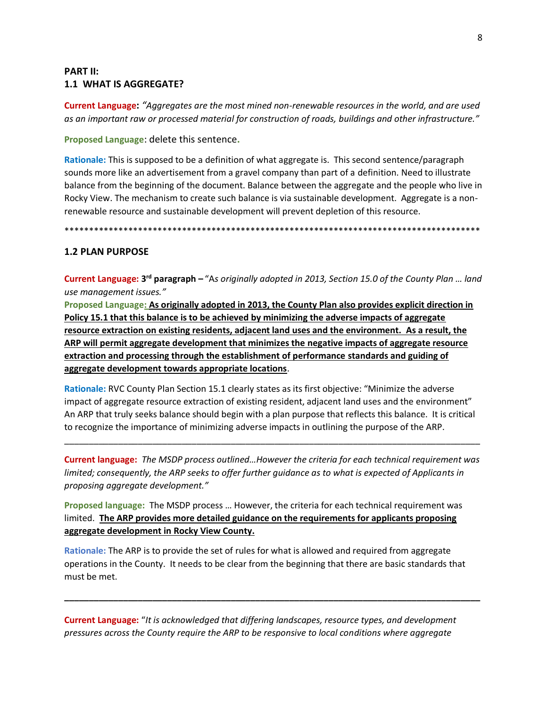# **PART II:** 1.1 WHAT IS AGGREGATE?

**Current Language:** "Aggregates are the most mined non-renewable resources in the world, and are used as an important raw or processed material for construction of roads, buildings and other infrastructure."

Proposed Language: delete this sentence.

Rationale: This is supposed to be a definition of what aggregate is. This second sentence/paragraph sounds more like an advertisement from a gravel company than part of a definition. Need to illustrate balance from the beginning of the document. Balance between the aggregate and the people who live in Rocky View. The mechanism to create such balance is via sustainable development. Aggregate is a nonrenewable resource and sustainable development will prevent depletion of this resource.

## **1.2 PLAN PURPOSE**

Current Language: 3<sup>rd</sup> paragraph - "As originally adopted in 2013, Section 15.0 of the County Plan ... land use management issues."

Proposed Language: As originally adopted in 2013, the County Plan also provides explicit direction in Policy 15.1 that this balance is to be achieved by minimizing the adverse impacts of aggregate resource extraction on existing residents, adjacent land uses and the environment. As a result, the ARP will permit aggregate development that minimizes the negative impacts of aggregate resource extraction and processing through the establishment of performance standards and guiding of aggregate development towards appropriate locations.

Rationale: RVC County Plan Section 15.1 clearly states as its first objective: "Minimize the adverse impact of aggregate resource extraction of existing resident, adjacent land uses and the environment" An ARP that truly seeks balance should begin with a plan purpose that reflects this balance. It is critical to recognize the importance of minimizing adverse impacts in outlining the purpose of the ARP.

**Current language:** The MSDP process outlined...However the criteria for each technical requirement was limited; consequently, the ARP seeks to offer further quidance as to what is expected of Applicants in proposing aggregate development."

Proposed language: The MSDP process ... However, the criteria for each technical requirement was limited. The ARP provides more detailed guidance on the requirements for applicants proposing aggregate development in Rocky View County.

Rationale: The ARP is to provide the set of rules for what is allowed and required from aggregate operations in the County. It needs to be clear from the beginning that there are basic standards that must be met.

**Current Language:** "It is acknowledged that differing landscapes, resource types, and development pressures across the County require the ARP to be responsive to local conditions where aggregate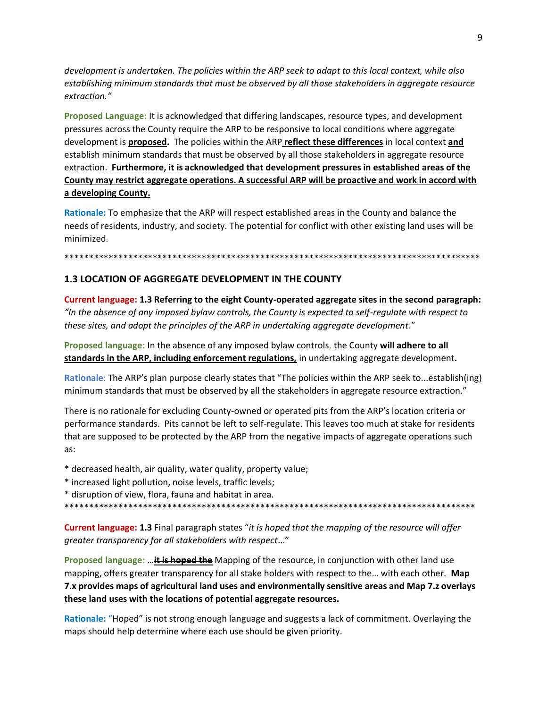*development is undertaken. The policies within the ARP seek to adapt to this local context, while also establishing minimum standards that must be observed by all those stakeholders in aggregate resource extraction."*

**Proposed Language:** It is acknowledged that differing landscapes, resource types, and development pressures across the County require the ARP to be responsive to local conditions where aggregate development is **proposed.** The policies within the ARP **reflect these differences** in local context **and** establish minimum standards that must be observed by all those stakeholders in aggregate resource extraction. **Furthermore, it is acknowledged that development pressures in established areas of the County may restrict aggregate operations. A successful ARP will be proactive and work in accord with a developing County.**

**Rationale:** To emphasize that the ARP will respect established areas in the County and balance the needs of residents, industry, and society. The potential for conflict with other existing land uses will be minimized.

#### \*\*\*\*\*\*\*\*\*\*\*\*\*\*\*\*\*\*\*\*\*\*\*\*\*\*\*\*\*\*\*\*\*\*\*\*\*\*\*\*\*\*\*\*\*\*\*\*\*\*\*\*\*\*\*\*\*\*\*\*\*\*\*\*\*\*\*\*\*\*\*\*\*\*\*\*\*\*\*\*\*\*\*\*\*

## **1.3 LOCATION OF AGGREGATE DEVELOPMENT IN THE COUNTY**

**Current language: 1.3 Referring to the eight County-operated aggregate sites in the second paragraph:**  *"In the absence of any imposed bylaw controls, the County is expected to self-regulate with respect to these sites, and adopt the principles of the ARP in undertaking aggregate development*."

**Proposed language:** In the absence of any imposed bylaw controls, the County **will adhere to all standards in the ARP, including enforcement regulations,** in undertaking aggregate development**.**

**Rationale**: The ARP's plan purpose clearly states that "The policies within the ARP seek to...establish(ing) minimum standards that must be observed by all the stakeholders in aggregate resource extraction."

There is no rationale for excluding County-owned or operated pits from the ARP's location criteria or performance standards. Pits cannot be left to self-regulate. This leaves too much at stake for residents that are supposed to be protected by the ARP from the negative impacts of aggregate operations such as:

- \* decreased health, air quality, water quality, property value;
- \* increased light pollution, noise levels, traffic levels;
- \* disruption of view, flora, fauna and habitat in area.

\*\*\*\*\*\*\*\*\*\*\*\*\*\*\*\*\*\*\*\*\*\*\*\*\*\*\*\*\*\*\*\*\*\*\*\*\*\*\*\*\*\*\*\*\*\*\*\*\*\*\*\*\*\*\*\*\*\*\*\*\*\*\*\*\*\*\*\*\*\*\*\*\*\*\*\*\*\*\*\*\*\*\*\*

**Current language: 1.3** Final paragraph states "*it is hoped that the mapping of the resource will offer greater transparency for all stakeholders with respect*..."

**Proposed language:** …**it is hoped the** Mapping of the resource, in conjunction with other land use mapping, offers greater transparency for all stake holders with respect to the… with each other. **Map 7.x provides maps of agricultural land uses and environmentally sensitive areas and Map 7.z overlays these land uses with the locations of potential aggregate resources.** 

**Rationale:** "Hoped" is not strong enough language and suggests a lack of commitment. Overlaying the maps should help determine where each use should be given priority.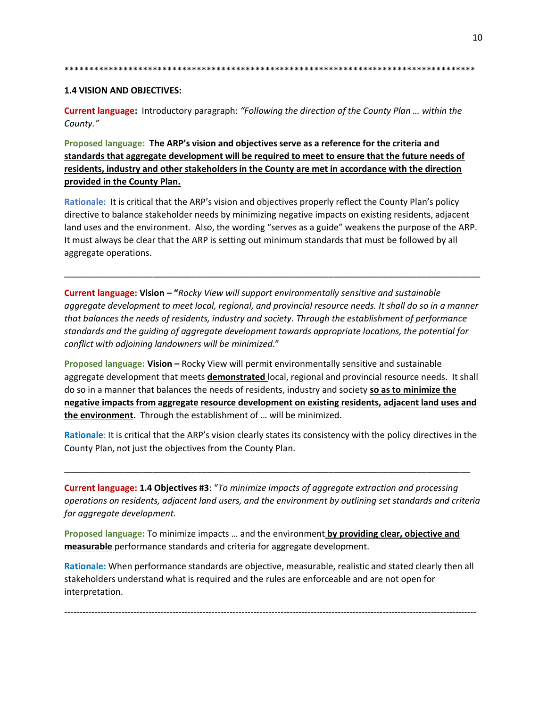10

#### **1.4 VISION AND OBJECTIVES:**

**Current language:** Introductory paragraph: "Following the direction of the County Plan ... within the County."

Proposed language: The ARP's vision and objectives serve as a reference for the criteria and standards that aggregate development will be required to meet to ensure that the future needs of residents, industry and other stakeholders in the County are met in accordance with the direction provided in the County Plan.

Rationale: It is critical that the ARP's vision and objectives properly reflect the County Plan's policy directive to balance stakeholder needs by minimizing negative impacts on existing residents, adjacent land uses and the environment. Also, the wording "serves as a guide" weakens the purpose of the ARP. It must always be clear that the ARP is setting out minimum standards that must be followed by all aggregate operations.

Current language: Vision - "Rocky View will support environmentally sensitive and sustainable aggregate development to meet local, regional, and provincial resource needs. It shall do so in a manner that balances the needs of residents, industry and society. Through the establishment of performance standards and the guiding of aggregate development towards appropriate locations, the potential for conflict with adjoining landowners will be minimized."

Proposed language: Vision - Rocky View will permit environmentally sensitive and sustainable aggregate development that meets demonstrated local, regional and provincial resource needs. It shall do so in a manner that balances the needs of residents, industry and society so as to minimize the negative impacts from aggregate resource development on existing residents, adjacent land uses and the environment. Through the establishment of ... will be minimized.

Rationale: It is critical that the ARP's vision clearly states its consistency with the policy directives in the County Plan, not just the objectives from the County Plan.

**Current language: 1.4 Objectives #3:** "To minimize impacts of aggregate extraction and processing operations on residents, adjacent land users, and the environment by outlining set standards and criteria for aggregate development.

Proposed language: To minimize impacts ... and the environment by providing clear, objective and measurable performance standards and criteria for aggregate development.

Rationale: When performance standards are objective, measurable, realistic and stated clearly then all stakeholders understand what is required and the rules are enforceable and are not open for interpretation.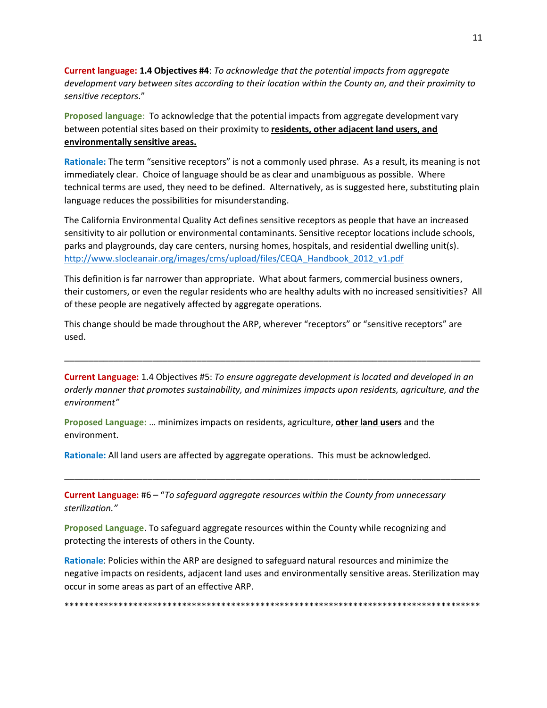**Current language: 1.4 Objectives #4**: *To acknowledge that the potential impacts from aggregate development vary between sites according to their location within the County an, and their proximity to sensitive receptors*."

**Proposed language**: To acknowledge that the potential impacts from aggregate development vary between potential sites based on their proximity to **residents, other adjacent land users, and environmentally sensitive areas.**

**Rationale:** The term "sensitive receptors" is not a commonly used phrase. As a result, its meaning is not immediately clear. Choice of language should be as clear and unambiguous as possible. Where technical terms are used, they need to be defined. Alternatively, as is suggested here, substituting plain language reduces the possibilities for misunderstanding.

The California Environmental Quality Act defines sensitive receptors as people that have an increased sensitivity to air pollution or environmental contaminants. Sensitive receptor locations include schools, parks and playgrounds, day care centers, nursing homes, hospitals, and residential dwelling unit(s). [http://www.slocleanair.org/images/cms/upload/files/CEQA\\_Handbook\\_2012\\_v1.pdf](http://www.slocleanair.org/images/cms/upload/files/CEQA_Handbook_2012_v1.pdf)

This definition is far narrower than appropriate. What about farmers, commercial business owners, their customers, or even the regular residents who are healthy adults with no increased sensitivities? All of these people are negatively affected by aggregate operations.

This change should be made throughout the ARP, wherever "receptors" or "sensitive receptors" are used.

**Current Language:** 1.4 Objectives #5: *To ensure aggregate development is located and developed in an orderly manner that promotes sustainability, and minimizes impacts upon residents, agriculture, and the environment"*

\_\_\_\_\_\_\_\_\_\_\_\_\_\_\_\_\_\_\_\_\_\_\_\_\_\_\_\_\_\_\_\_\_\_\_\_\_\_\_\_\_\_\_\_\_\_\_\_\_\_\_\_\_\_\_\_\_\_\_\_\_\_\_\_\_\_\_\_\_\_\_\_\_\_\_\_\_\_\_\_\_\_\_\_\_

\_\_\_\_\_\_\_\_\_\_\_\_\_\_\_\_\_\_\_\_\_\_\_\_\_\_\_\_\_\_\_\_\_\_\_\_\_\_\_\_\_\_\_\_\_\_\_\_\_\_\_\_\_\_\_\_\_\_\_\_\_\_\_\_\_\_\_\_\_\_\_\_\_\_\_\_\_\_\_\_\_\_\_\_\_

**Proposed Language:** … minimizes impacts on residents, agriculture, **other land users** and the environment.

**Rationale:** All land users are affected by aggregate operations. This must be acknowledged.

**Current Language:** #6 – "*To safeguard aggregate resources within the County from unnecessary sterilization."*

**Proposed Language**. To safeguard aggregate resources within the County while recognizing and protecting the interests of others in the County.

**Rationale**: Policies within the ARP are designed to safeguard natural resources and minimize the negative impacts on residents, adjacent land uses and environmentally sensitive areas. Sterilization may occur in some areas as part of an effective ARP.

\*\*\*\*\*\*\*\*\*\*\*\*\*\*\*\*\*\*\*\*\*\*\*\*\*\*\*\*\*\*\*\*\*\*\*\*\*\*\*\*\*\*\*\*\*\*\*\*\*\*\*\*\*\*\*\*\*\*\*\*\*\*\*\*\*\*\*\*\*\*\*\*\*\*\*\*\*\*\*\*\*\*\*\*\*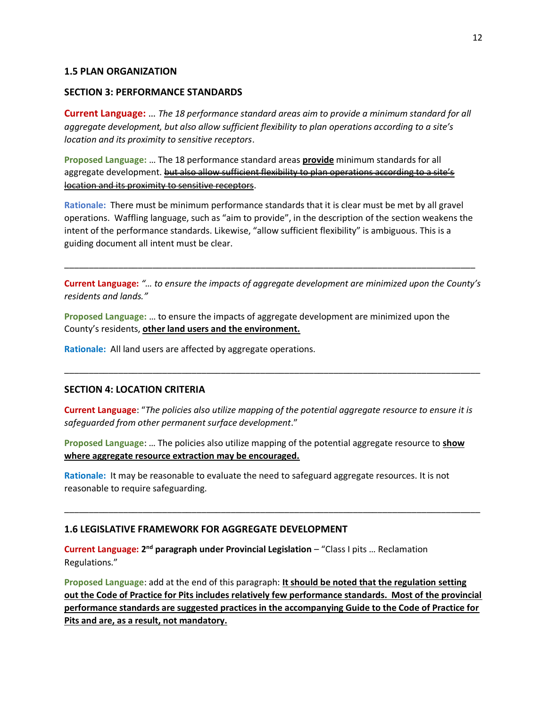## **1.5 PLAN ORGANIZATION**

#### **SECTION 3: PERFORMANCE STANDARDS**

**Current Language:** … *The 18 performance standard areas aim to provide a minimum standard for all aggregate development, but also allow sufficient flexibility to plan operations according to a site's location and its proximity to sensitive receptors*.

**Proposed Language:** … The 18 performance standard areas **provide** minimum standards for all aggregate development. but also allow sufficient flexibility to plan operations according to a site's location and its proximity to sensitive receptors.

**Rationale:** There must be minimum performance standards that it is clear must be met by all gravel operations. Waffling language, such as "aim to provide", in the description of the section weakens the intent of the performance standards. Likewise, "allow sufficient flexibility" is ambiguous. This is a guiding document all intent must be clear.

\_\_\_\_\_\_\_\_\_\_\_\_\_\_\_\_\_\_\_\_\_\_\_\_\_\_\_\_\_\_\_\_\_\_\_\_\_\_\_\_\_\_\_\_\_\_\_\_\_\_\_\_\_\_\_\_\_\_\_\_\_\_\_\_\_\_\_\_\_\_\_\_\_\_\_\_\_\_\_\_\_\_\_\_

**Current Language:** *"… to ensure the impacts of aggregate development are minimized upon the County's residents and lands."*

**Proposed Language:** … to ensure the impacts of aggregate development are minimized upon the County's residents, **other land users and the environment.**

**Rationale:** All land users are affected by aggregate operations.

## **SECTION 4: LOCATION CRITERIA**

**Current Language**: "*The policies also utilize mapping of the potential aggregate resource to ensure it is safeguarded from other permanent surface development*."

\_\_\_\_\_\_\_\_\_\_\_\_\_\_\_\_\_\_\_\_\_\_\_\_\_\_\_\_\_\_\_\_\_\_\_\_\_\_\_\_\_\_\_\_\_\_\_\_\_\_\_\_\_\_\_\_\_\_\_\_\_\_\_\_\_\_\_\_\_\_\_\_\_\_\_\_\_\_\_\_\_\_\_\_\_

**Proposed Language**: … The policies also utilize mapping of the potential aggregate resource to **show where aggregate resource extraction may be encouraged.**

\_\_\_\_\_\_\_\_\_\_\_\_\_\_\_\_\_\_\_\_\_\_\_\_\_\_\_\_\_\_\_\_\_\_\_\_\_\_\_\_\_\_\_\_\_\_\_\_\_\_\_\_\_\_\_\_\_\_\_\_\_\_\_\_\_\_\_\_\_\_\_\_\_\_\_\_\_\_\_\_\_\_\_\_\_

**Rationale:** It may be reasonable to evaluate the need to safeguard aggregate resources. It is not reasonable to require safeguarding.

## **1.6 LEGISLATIVE FRAMEWORK FOR AGGREGATE DEVELOPMENT**

**Current Language: 2<sup>nd</sup> paragraph under Provincial Legislation – "Class I pits ... Reclamation** Regulations."

**Proposed Language**: add at the end of this paragraph: **It should be noted that the regulation setting out the Code of Practice for Pits includes relatively few performance standards. Most of the provincial performance standards are suggested practices in the accompanying Guide to the Code of Practice for Pits and are, as a result, not mandatory.**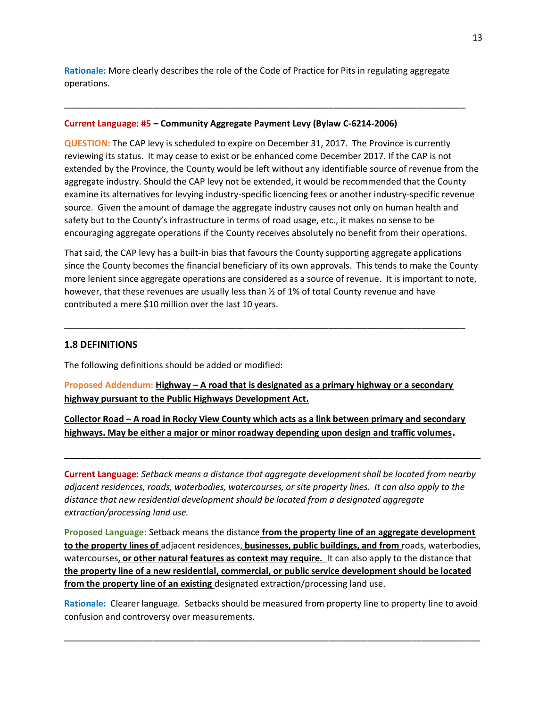**Rationale:** More clearly describes the role of the Code of Practice for Pits in regulating aggregate operations.

\_\_\_\_\_\_\_\_\_\_\_\_\_\_\_\_\_\_\_\_\_\_\_\_\_\_\_\_\_\_\_\_\_\_\_\_\_\_\_\_\_\_\_\_\_\_\_\_\_\_\_\_\_\_\_\_\_\_\_\_\_\_\_\_\_\_\_\_\_\_\_\_\_\_\_\_\_\_\_\_\_\_

#### **Current Language: #5 – Community Aggregate Payment Levy (Bylaw C-6214-2006)**

**QUESTION:** The CAP levy is scheduled to expire on December 31, 2017. The Province is currently reviewing its status. It may cease to exist or be enhanced come December 2017. If the CAP is not extended by the Province, the County would be left without any identifiable source of revenue from the aggregate industry. Should the CAP levy not be extended, it would be recommended that the County examine its alternatives for levying industry-specific licencing fees or another industry-specific revenue source. Given the amount of damage the aggregate industry causes not only on human health and safety but to the County's infrastructure in terms of road usage, etc., it makes no sense to be encouraging aggregate operations if the County receives absolutely no benefit from their operations.

That said, the CAP levy has a built-in bias that favours the County supporting aggregate applications since the County becomes the financial beneficiary of its own approvals. This tends to make the County more lenient since aggregate operations are considered as a source of revenue. It is important to note, however, that these revenues are usually less than  $\frac{1}{2}$  of 1% of total County revenue and have contributed a mere \$10 million over the last 10 years.

\_\_\_\_\_\_\_\_\_\_\_\_\_\_\_\_\_\_\_\_\_\_\_\_\_\_\_\_\_\_\_\_\_\_\_\_\_\_\_\_\_\_\_\_\_\_\_\_\_\_\_\_\_\_\_\_\_\_\_\_\_\_\_\_\_\_\_\_\_\_\_\_\_\_\_\_\_\_\_\_\_\_

#### **1.8 DEFINITIONS**

The following definitions should be added or modified:

**Proposed Addendum: Highway – A road that is designated as a primary highway or a secondary highway pursuant to the Public Highways Development Act.**

**Collector Road – A road in Rocky View County which acts as a link between primary and secondary highways. May be either a major or minor roadway depending upon design and traffic volumes.**

**Current Language:** *Setback means a distance that aggregate development shall be located from nearby adjacent residences, roads, waterbodies, watercourses, or site property lines. It can also apply to the distance that new residential development should be located from a designated aggregate extraction/processing land use.*

\_\_\_\_\_\_\_\_\_\_\_\_\_\_\_\_\_\_\_\_\_\_\_\_\_\_\_\_\_\_\_\_\_\_\_\_\_\_\_\_\_\_\_\_\_\_\_\_\_\_\_\_\_\_\_\_\_\_\_\_\_\_\_\_\_\_\_\_\_\_\_\_\_\_\_\_\_\_

**Proposed Language:** Setback means the distance **from the property line of an aggregate development to the property lines of** adjacent residences, **businesses, public buildings, and from** roads, waterbodies, watercourses, **or other natural features as context may require.** It can also apply to the distance that **the property line of a new residential, commercial, or public service development should be located from the property line of an existing** designated extraction/processing land use.

**Rationale:** Clearer language. Setbacks should be measured from property line to property line to avoid confusion and controversy over measurements.

\_\_\_\_\_\_\_\_\_\_\_\_\_\_\_\_\_\_\_\_\_\_\_\_\_\_\_\_\_\_\_\_\_\_\_\_\_\_\_\_\_\_\_\_\_\_\_\_\_\_\_\_\_\_\_\_\_\_\_\_\_\_\_\_\_\_\_\_\_\_\_\_\_\_\_\_\_\_\_\_\_\_\_\_\_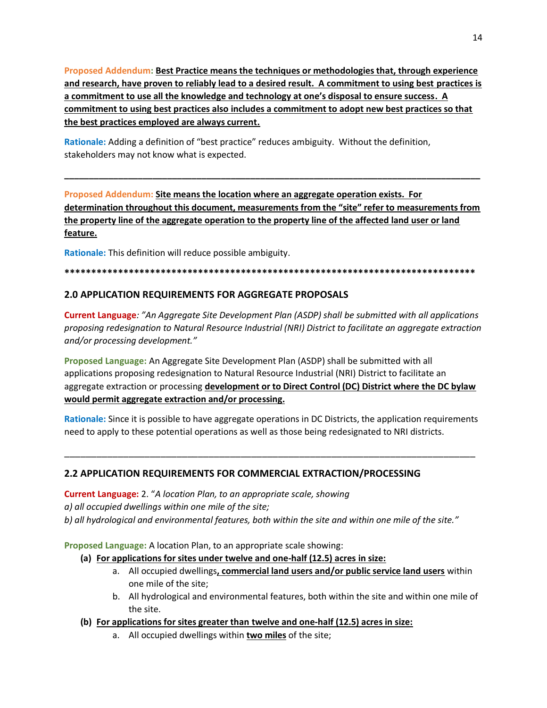Proposed Addendum: Best Practice means the techniques or methodologies that, through experience and research, have proven to reliably lead to a desired result. A commitment to using best practices is a commitment to use all the knowledge and technology at one's disposal to ensure success. A commitment to using best practices also includes a commitment to adopt new best practices so that the best practices employed are always current.

Rationale: Adding a definition of "best practice" reduces ambiguity. Without the definition, stakeholders may not know what is expected.

Proposed Addendum: Site means the location where an aggregate operation exists. For determination throughout this document, measurements from the "site" refer to measurements from the property line of the aggregate operation to the property line of the affected land user or land feature.

Rationale: This definition will reduce possible ambiguity.

#### 

# 2.0 APPLICATION REQUIREMENTS FOR AGGREGATE PROPOSALS

**Current Language:** "An Aggregate Site Development Plan (ASDP) shall be submitted with all applications proposing redesignation to Natural Resource Industrial (NRI) District to facilitate an aggregate extraction and/or processing development."

Proposed Language: An Aggregate Site Development Plan (ASDP) shall be submitted with all applications proposing redesignation to Natural Resource Industrial (NRI) District to facilitate an aggregate extraction or processing development or to Direct Control (DC) District where the DC bylaw would permit aggregate extraction and/or processing.

Rationale: Since it is possible to have aggregate operations in DC Districts, the application requirements need to apply to these potential operations as well as those being redesignated to NRI districts.

# 2.2 APPLICATION REQUIREMENTS FOR COMMERCIAL EXTRACTION/PROCESSING

**Current Language:** 2. "A location Plan, to an appropriate scale, showing a) all occupied dwellings within one mile of the site; b) all hydrological and environmental features, both within the site and within one mile of the site."

Proposed Language: A location Plan, to an appropriate scale showing:

## (a) For applications for sites under twelve and one-half (12.5) acres in size:

- a. All occupied dwellings, commercial land users and/or public service land users within one mile of the site;
- b. All hydrological and environmental features, both within the site and within one mile of the site.
- (b) For applications for sites greater than twelve and one-half (12.5) acres in size:
	- a. All occupied dwellings within two miles of the site;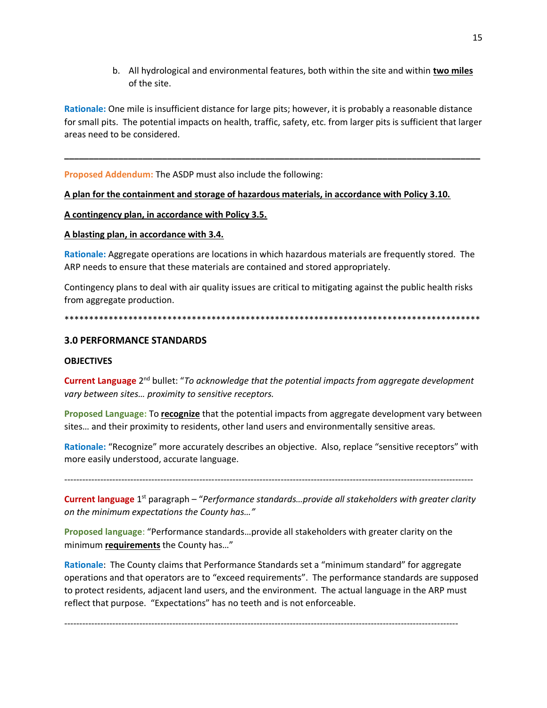b. All hydrological and environmental features, both within the site and within two miles of the site.

Rationale: One mile is insufficient distance for large pits; however, it is probably a reasonable distance for small pits. The potential impacts on health, traffic, safety, etc. from larger pits is sufficient that larger areas need to be considered.

Proposed Addendum: The ASDP must also include the following:

## A plan for the containment and storage of hazardous materials, in accordance with Policy 3.10.

#### A contingency plan, in accordance with Policy 3.5.

#### A blasting plan, in accordance with 3.4.

Rationale: Aggregate operations are locations in which hazardous materials are frequently stored. The ARP needs to ensure that these materials are contained and stored appropriately.

Contingency plans to deal with air quality issues are critical to mitigating against the public health risks from aggregate production.

#### 

## **3.0 PERFORMANCE STANDARDS**

#### **OBJECTIVES**

**Current Language** 2<sup>nd</sup> bullet: "To acknowledge that the potential impacts from aggregate development vary between sites... proximity to sensitive receptors.

Proposed Language: To recognize that the potential impacts from aggregate development vary between sites... and their proximity to residents, other land users and environmentally sensitive areas.

Rationale: "Recognize" more accurately describes an objective. Also, replace "sensitive receptors" with more easily understood, accurate language.

**Current language** 1<sup>st</sup> paragraph – "Performance standards... provide all stakeholders with greater clarity on the minimum expectations the County has..."

Proposed language: "Performance standards...provide all stakeholders with greater clarity on the minimum requirements the County has..."

Rationale: The County claims that Performance Standards set a "minimum standard" for aggregate operations and that operators are to "exceed requirements". The performance standards are supposed to protect residents, adjacent land users, and the environment. The actual language in the ARP must reflect that purpose. "Expectations" has no teeth and is not enforceable.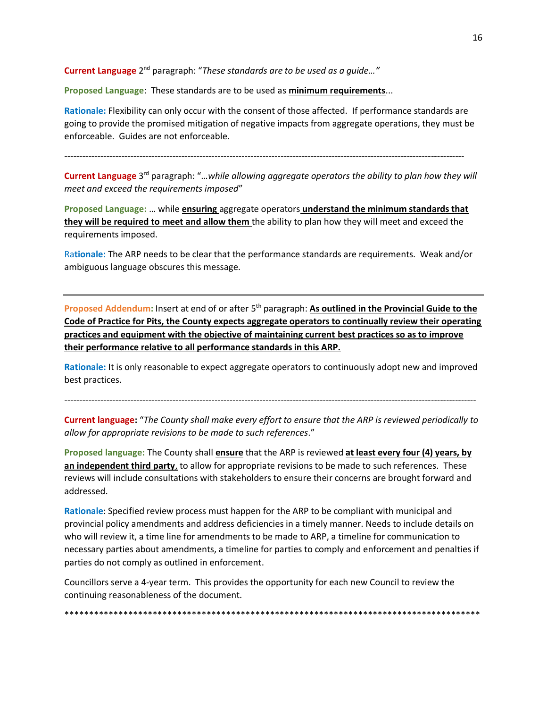Current Language 2<sup>nd</sup> paragraph: "These standards are to be used as a guide..."

**Proposed Language**: These standards are to be used as **minimum requirements**...

**Rationale:** Flexibility can only occur with the consent of those affected. If performance standards are going to provide the promised mitigation of negative impacts from aggregate operations, they must be enforceable. Guides are not enforceable.

-------------------------------------------------------------------------------------------------------------------------------------

Current Language 3<sup>rd</sup> paragraph: "...while allowing aggregate operators the ability to plan how they will *meet and exceed the requirements imposed*"

**Proposed Language:** … while **ensuring** aggregate operators **understand the minimum standards that they will be required to meet and allow them** the ability to plan how they will meet and exceed the requirements imposed.

Ra**tionale:** The ARP needs to be clear that the performance standards are requirements. Weak and/or ambiguous language obscures this message.

**Proposed Addendum:** Insert at end of or after 5th paragraph: **As outlined in the Provincial Guide to the Code of Practice for Pits, the County expects aggregate operators to continually review their operating practices and equipment with the objective of maintaining current best practices so as to improve their performance relative to all performance standards in this ARP.**

**Rationale:** It is only reasonable to expect aggregate operators to continuously adopt new and improved best practices.

-----------------------------------------------------------------------------------------------------------------------------------------

**Current language:** "*The County shall make every effort to ensure that the ARP is reviewed periodically to allow for appropriate revisions to be made to such references*."

**Proposed language:** The County shall **ensure** that the ARP is reviewed **at least every four (4) years, by an independent third party**, to allow for appropriate revisions to be made to such references.These reviews will include consultations with stakeholders to ensure their concerns are brought forward and addressed.

**Rationale**: Specified review process must happen for the ARP to be compliant with municipal and provincial policy amendments and address deficiencies in a timely manner. Needs to include details on who will review it, a time line for amendments to be made to ARP, a timeline for communication to necessary parties about amendments, a timeline for parties to comply and enforcement and penalties if parties do not comply as outlined in enforcement.

Councillors serve a 4-year term. This provides the opportunity for each new Council to review the continuing reasonableness of the document.

\*\*\*\*\*\*\*\*\*\*\*\*\*\*\*\*\*\*\*\*\*\*\*\*\*\*\*\*\*\*\*\*\*\*\*\*\*\*\*\*\*\*\*\*\*\*\*\*\*\*\*\*\*\*\*\*\*\*\*\*\*\*\*\*\*\*\*\*\*\*\*\*\*\*\*\*\*\*\*\*\*\*\*\*\*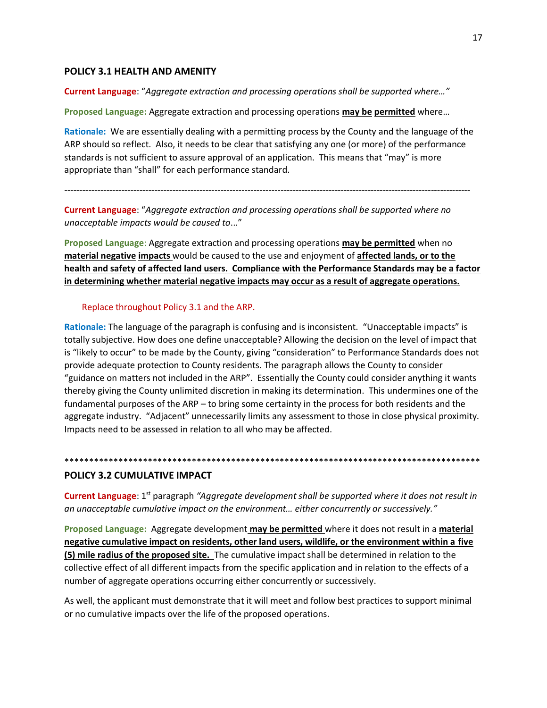## **POLICY 3.1 HEALTH AND AMENITY**

**Current Language**: "*Aggregate extraction and processing operations shall be supported where…"*

**Proposed Language:** Aggregate extraction and processing operations **may be permitted** where…

**Rationale:** We are essentially dealing with a permitting process by the County and the language of the ARP should so reflect. Also, it needs to be clear that satisfying any one (or more) of the performance standards is not sufficient to assure approval of an application. This means that "may" is more appropriate than "shall" for each performance standard.

---------------------------------------------------------------------------------------------------------------------------------------

**Current Language**: "*Aggregate extraction and processing operations shall be supported where no unacceptable impacts would be caused to*..."

**Proposed Language**: Aggregate extraction and processing operations **may be permitted** when no **material negative impacts** would be caused to the use and enjoyment of **affected lands, or to the health and safety of affected land users. Compliance with the Performance Standards may be a factor in determining whether material negative impacts may occur as a result of aggregate operations.**

#### Replace throughout Policy 3.1 and the ARP.

**Rationale:** The language of the paragraph is confusing and is inconsistent. "Unacceptable impacts" is totally subjective. How does one define unacceptable? Allowing the decision on the level of impact that is "likely to occur" to be made by the County, giving "consideration" to Performance Standards does not provide adequate protection to County residents. The paragraph allows the County to consider "guidance on matters not included in the ARP". Essentially the County could consider anything it wants thereby giving the County unlimited discretion in making its determination. This undermines one of the fundamental purposes of the ARP – to bring some certainty in the process for both residents and the aggregate industry. "Adjacent" unnecessarily limits any assessment to those in close physical proximity. Impacts need to be assessed in relation to all who may be affected.

#### **POLICY 3.2 CUMULATIVE IMPACT**

Current Language: 1<sup>st</sup> paragraph "Aggregate development shall be supported where it does not result in *an unacceptable cumulative impact on the environment… either concurrently or successively."*

\*\*\*\*\*\*\*\*\*\*\*\*\*\*\*\*\*\*\*\*\*\*\*\*\*\*\*\*\*\*\*\*\*\*\*\*\*\*\*\*\*\*\*\*\*\*\*\*\*\*\*\*\*\*\*\*\*\*\*\*\*\*\*\*\*\*\*\*\*\*\*\*\*\*\*\*\*\*\*\*\*\*\*\*\*

**Proposed Language:** Aggregate development **may be permitted** where it does not result in a **material negative cumulative impact on residents, other land users, wildlife, or the environment within a five (5) mile radius of the proposed site.** The cumulative impact shall be determined in relation to the collective effect of all different impacts from the specific application and in relation to the effects of a number of aggregate operations occurring either concurrently or successively.

As well, the applicant must demonstrate that it will meet and follow best practices to support minimal or no cumulative impacts over the life of the proposed operations.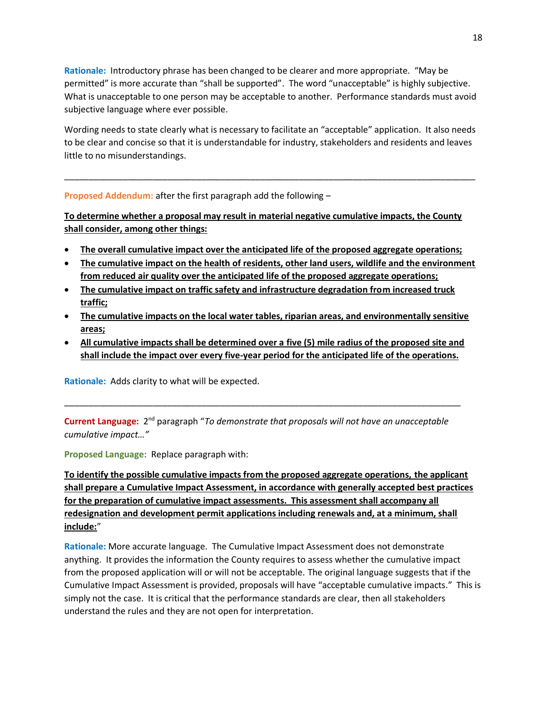**Rationale:** Introductory phrase has been changed to be clearer and more appropriate. "May be permitted" is more accurate than "shall be supported". The word "unacceptable" is highly subjective. What is unacceptable to one person may be acceptable to another. Performance standards must avoid subjective language where ever possible.

Wording needs to state clearly what is necessary to facilitate an "acceptable" application. It also needs to be clear and concise so that it is understandable for industry, stakeholders and residents and leaves little to no misunderstandings.

\_\_\_\_\_\_\_\_\_\_\_\_\_\_\_\_\_\_\_\_\_\_\_\_\_\_\_\_\_\_\_\_\_\_\_\_\_\_\_\_\_\_\_\_\_\_\_\_\_\_\_\_\_\_\_\_\_\_\_\_\_\_\_\_\_\_\_\_\_\_\_\_\_\_\_\_\_\_\_\_\_\_\_\_

**Proposed Addendum:** after the first paragraph add the following –

**To determine whether a proposal may result in material negative cumulative impacts, the County shall consider, among other things:**

- **The overall cumulative impact over the anticipated life of the proposed aggregate operations;**
- **The cumulative impact on the health of residents, other land users, wildlife and the environment from reduced air quality over the anticipated life of the proposed aggregate operations;**
- **The cumulative impact on traffic safety and infrastructure degradation from increased truck traffic;**
- **The cumulative impacts on the local water tables, riparian areas, and environmentally sensitive areas;**
- **All cumulative impacts shall be determined over a five (5) mile radius of the proposed site and shall include the impact over every five-year period for the anticipated life of the operations.**

**Rationale:** Adds clarity to what will be expected.

Current Language: 2<sup>nd</sup> paragraph "To demonstrate that proposals will not have an unacceptable *cumulative impact…"*

\_\_\_\_\_\_\_\_\_\_\_\_\_\_\_\_\_\_\_\_\_\_\_\_\_\_\_\_\_\_\_\_\_\_\_\_\_\_\_\_\_\_\_\_\_\_\_\_\_\_\_\_\_\_\_\_\_\_\_\_\_\_\_\_\_\_\_\_\_\_\_\_\_\_\_\_\_\_\_\_\_

**Proposed Language:** Replace paragraph with:

**To identify the possible cumulative impacts from the proposed aggregate operations, the applicant shall prepare a Cumulative Impact Assessment, in accordance with generally accepted best practices for the preparation of cumulative impact assessments. This assessment shall accompany all redesignation and development permit applications including renewals and, at a minimum, shall include:**"

**Rationale:** More accurate language. The Cumulative Impact Assessment does not demonstrate anything. It provides the information the County requires to assess whether the cumulative impact from the proposed application will or will not be acceptable. The original language suggests that if the Cumulative Impact Assessment is provided, proposals will have "acceptable cumulative impacts." This is simply not the case. It is critical that the performance standards are clear, then all stakeholders understand the rules and they are not open for interpretation.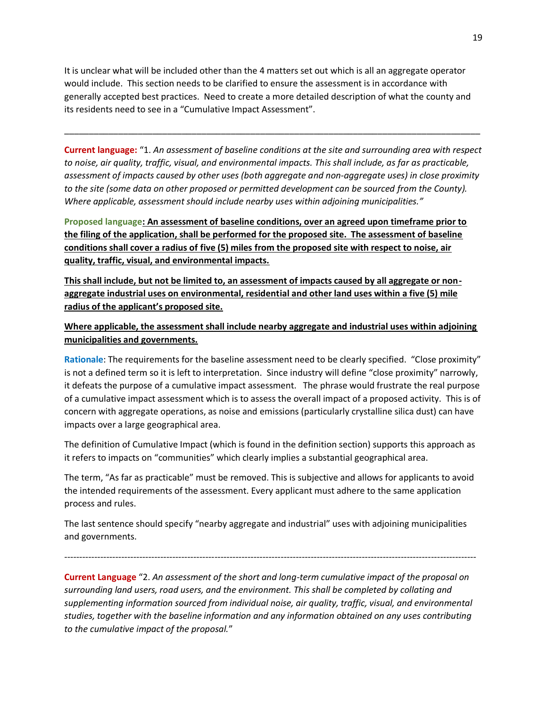It is unclear what will be included other than the 4 matters set out which is all an aggregate operator would include. This section needs to be clarified to ensure the assessment is in accordance with generally accepted best practices. Need to create a more detailed description of what the county and its residents need to see in a "Cumulative Impact Assessment".

**Current language:** "1. *An assessment of baseline conditions at the site and surrounding area with respect to noise, air quality, traffic, visual, and environmental impacts. This shall include, as far as practicable, assessment of impacts caused by other uses (both aggregate and non-aggregate uses) in close proximity to the site (some data on other proposed or permitted development can be sourced from the County). Where applicable, assessment should include nearby uses within adjoining municipalities."*

\_\_\_\_\_\_\_\_\_\_\_\_\_\_\_\_\_\_\_\_\_\_\_\_\_\_\_\_\_\_\_\_\_\_\_\_\_\_\_\_\_\_\_\_\_\_\_\_\_\_\_\_\_\_\_\_\_\_\_\_\_\_\_\_\_\_\_\_\_\_\_\_\_\_\_\_\_\_\_\_\_\_\_\_\_

**Proposed language: An assessment of baseline conditions, over an agreed upon timeframe prior to the filing of the application, shall be performed for the proposed site. The assessment of baseline conditions shall cover a radius of five (5) miles from the proposed site with respect to noise, air quality, traffic, visual, and environmental impacts.** 

**This shall include, but not be limited to, an assessment of impacts caused by all aggregate or nonaggregate industrial uses on environmental, residential and other land uses within a five (5) mile radius of the applicant's proposed site.** 

**Where applicable, the assessment shall include nearby aggregate and industrial uses within adjoining municipalities and governments.** 

**Rationale**: The requirements for the baseline assessment need to be clearly specified. "Close proximity" is not a defined term so it is left to interpretation. Since industry will define "close proximity" narrowly, it defeats the purpose of a cumulative impact assessment. The phrase would frustrate the real purpose of a cumulative impact assessment which is to assess the overall impact of a proposed activity. This is of concern with aggregate operations, as noise and emissions (particularly crystalline silica dust) can have impacts over a large geographical area.

The definition of Cumulative Impact (which is found in the definition section) supports this approach as it refers to impacts on "communities" which clearly implies a substantial geographical area.

The term, "As far as practicable" must be removed. This is subjective and allows for applicants to avoid the intended requirements of the assessment. Every applicant must adhere to the same application process and rules.

The last sentence should specify "nearby aggregate and industrial" uses with adjoining municipalities and governments.

-----------------------------------------------------------------------------------------------------------------------------------------

**Current Language** "2. *An assessment of the short and long-term cumulative impact of the proposal on surrounding land users, road users, and the environment. This shall be completed by collating and supplementing information sourced from individual noise, air quality, traffic, visual, and environmental studies, together with the baseline information and any information obtained on any uses contributing to the cumulative impact of the proposal.*"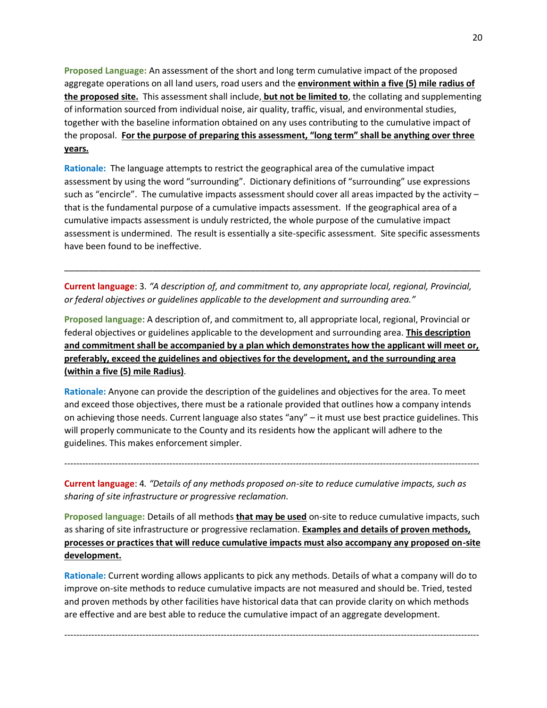**Proposed Language:** An assessment of the short and long term cumulative impact of the proposed aggregate operations on all land users, road users and the **environment within a five (5) mile radius of the proposed site.** This assessment shall include, **but not be limited to**, the collating and supplementing of information sourced from individual noise, air quality, traffic, visual, and environmental studies, together with the baseline information obtained on any uses contributing to the cumulative impact of the proposal. **For the purpose of preparing this assessment, "long term" shall be anything over three years.**

**Rationale:** The language attempts to restrict the geographical area of the cumulative impact assessment by using the word "surrounding". Dictionary definitions of "surrounding" use expressions such as "encircle". The cumulative impacts assessment should cover all areas impacted by the activity – that is the fundamental purpose of a cumulative impacts assessment. If the geographical area of a cumulative impacts assessment is unduly restricted, the whole purpose of the cumulative impact assessment is undermined. The result is essentially a site-specific assessment. Site specific assessments have been found to be ineffective.

**Current language**: 3. *"A description of, and commitment to, any appropriate local, regional, Provincial, or federal objectives or guidelines applicable to the development and surrounding area."*

\_\_\_\_\_\_\_\_\_\_\_\_\_\_\_\_\_\_\_\_\_\_\_\_\_\_\_\_\_\_\_\_\_\_\_\_\_\_\_\_\_\_\_\_\_\_\_\_\_\_\_\_\_\_\_\_\_\_\_\_\_\_\_\_\_\_\_\_\_\_\_\_\_\_\_\_\_\_\_\_\_\_\_\_\_

**Proposed language**: A description of, and commitment to, all appropriate local, regional, Provincial or federal objectives or guidelines applicable to the development and surrounding area. **This description and commitment shall be accompanied by a plan which demonstrates how the applicant will meet or, preferably, exceed the guidelines and objectives for the development, and the surrounding area (within a five (5) mile Radius)**.

**Rationale:** Anyone can provide the description of the guidelines and objectives for the area. To meet and exceed those objectives, there must be a rationale provided that outlines how a company intends on achieving those needs. Current language also states "any" – it must use best practice guidelines. This will properly communicate to the County and its residents how the applicant will adhere to the guidelines. This makes enforcement simpler.

------------------------------------------------------------------------------------------------------------------------------------------

**Current language**: 4*. "Details of any methods proposed on-site to reduce cumulative impacts, such as sharing of site infrastructure or progressive reclamation.* 

**Proposed language:** Details of all methods **that may be used** on-site to reduce cumulative impacts, such as sharing of site infrastructure or progressive reclamation. **Examples and details of proven methods, processes or practices that will reduce cumulative impacts must also accompany any proposed on-site development.**

**Rationale:** Current wording allows applicants to pick any methods. Details of what a company will do to improve on-site methods to reduce cumulative impacts are not measured and should be. Tried, tested and proven methods by other facilities have historical data that can provide clarity on which methods are effective and are best able to reduce the cumulative impact of an aggregate development.

------------------------------------------------------------------------------------------------------------------------------------------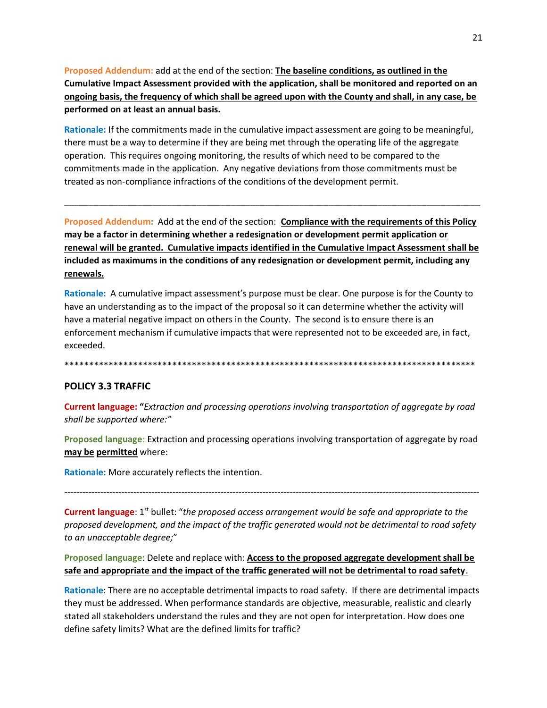Proposed Addendum: add at the end of the section: The baseline conditions, as outlined in the Cumulative Impact Assessment provided with the application, shall be monitored and reported on an ongoing basis, the frequency of which shall be agreed upon with the County and shall, in any case, be performed on at least an annual basis.

Rationale: If the commitments made in the cumulative impact assessment are going to be meaningful, there must be a way to determine if they are being met through the operating life of the aggregate operation. This requires ongoing monitoring, the results of which need to be compared to the commitments made in the application. Any negative deviations from those commitments must be treated as non-compliance infractions of the conditions of the development permit.

Proposed Addendum: Add at the end of the section: Compliance with the requirements of this Policy may be a factor in determining whether a redesignation or development permit application or renewal will be granted. Cumulative impacts identified in the Cumulative Impact Assessment shall be included as maximums in the conditions of any redesignation or development permit, including any renewals.

Rationale: A cumulative impact assessment's purpose must be clear. One purpose is for the County to have an understanding as to the impact of the proposal so it can determine whether the activity will have a material negative impact on others in the County. The second is to ensure there is an enforcement mechanism if cumulative impacts that were represented not to be exceeded are, in fact, exceeded.

#### **POLICY 3.3 TRAFFIC**

**Current language: "Extraction and processing operations involving transportation of aggregate by road** shall be supported where:"

Proposed language: Extraction and processing operations involving transportation of aggregate by road may be permitted where:

Rationale: More accurately reflects the intention.

**Current language:**  $1^{st}$  bullet: "the proposed access arrangement would be safe and appropriate to the proposed development, and the impact of the traffic generated would not be detrimental to road safety to an unacceptable degree;"

# Proposed language: Delete and replace with: Access to the proposed aggregate development shall be safe and appropriate and the impact of the traffic generated will not be detrimental to road safety.

Rationale: There are no acceptable detrimental impacts to road safety. If there are detrimental impacts they must be addressed. When performance standards are objective, measurable, realistic and clearly stated all stakeholders understand the rules and they are not open for interpretation. How does one define safety limits? What are the defined limits for traffic?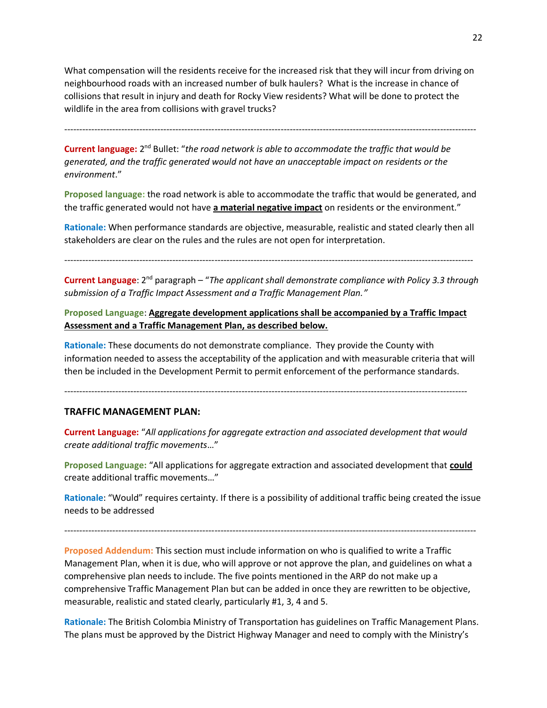What compensation will the residents receive for the increased risk that they will incur from driving on neighbourhood roads with an increased number of bulk haulers? What is the increase in chance of collisions that result in injury and death for Rocky View residents? What will be done to protect the wildlife in the area from collisions with gravel trucks?

-----------------------------------------------------------------------------------------------------------------------------------------

Current language: 2<sup>nd</sup> Bullet: "the road network is able to accommodate the traffic that would be *generated, and the traffic generated would not have an unacceptable impact on residents or the environment*."

**Proposed language:** the road network is able to accommodate the traffic that would be generated, and the traffic generated would not have **a material negative impact** on residents or the environment."

**Rationale:** When performance standards are objective, measurable, realistic and stated clearly then all stakeholders are clear on the rules and the rules are not open for interpretation.

----------------------------------------------------------------------------------------------------------------------------------------

**Current Language**: 2<sup>nd</sup> paragraph – "The applicant shall demonstrate compliance with Policy 3.3 through *submission of a Traffic Impact Assessment and a Traffic Management Plan."*

**Proposed Language**: **Aggregate development applications shall be accompanied by a Traffic Impact Assessment and a Traffic Management Plan, as described below.**

**Rationale:** These documents do not demonstrate compliance. They provide the County with information needed to assess the acceptability of the application and with measurable criteria that will then be included in the Development Permit to permit enforcement of the performance standards.

--------------------------------------------------------------------------------------------------------------------------------------

#### **TRAFFIC MANAGEMENT PLAN:**

**Current Language:** "*All applications for aggregate extraction and associated development that would create additional traffic movements*…"

**Proposed Language:** "All applications for aggregate extraction and associated development that **could** create additional traffic movements…"

**Rationale**: "Would" requires certainty. If there is a possibility of additional traffic being created the issue needs to be addressed

-----------------------------------------------------------------------------------------------------------------------------------------

**Proposed Addendum:** This section must include information on who is qualified to write a Traffic Management Plan, when it is due, who will approve or not approve the plan, and guidelines on what a comprehensive plan needs to include. The five points mentioned in the ARP do not make up a comprehensive Traffic Management Plan but can be added in once they are rewritten to be objective, measurable, realistic and stated clearly, particularly #1, 3, 4 and 5.

**Rationale:** The British Colombia Ministry of Transportation has guidelines on Traffic Management Plans. The plans must be approved by the District Highway Manager and need to comply with the Ministry's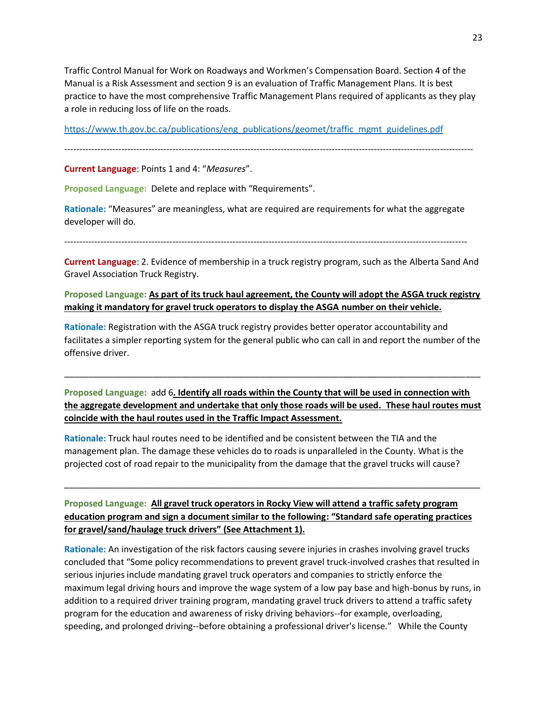Traffic Control Manual for Work on Roadways and Workmen's Compensation Board. Section 4 of the Manual is a Risk Assessment and section 9 is an evaluation of Traffic Management Plans. It is best practice to have the most comprehensive Traffic Management Plans required of applicants as they play a role in reducing loss of life on the roads.

[https://www.th.gov.bc.ca/publications/eng\\_publications/geomet/traffic\\_mgmt\\_guidelines.pdf](https://www.th.gov.bc.ca/publications/eng_publications/geomet/traffic_mgmt_guidelines.pdf)

----------------------------------------------------------------------------------------------------------------------------------------

**Current Language**: Points 1 and 4: "*Measures*".

**Proposed Language:** Delete and replace with "Requirements".

**Rationale:** "Measures" are meaningless, what are required are requirements for what the aggregate developer will do.

--------------------------------------------------------------------------------------------------------------------------------------

**Current Language**: 2. Evidence of membership in a truck registry program, such as the Alberta Sand And Gravel Association Truck Registry.

# **Proposed Language: As part of its truck haul agreement, the County will adopt the ASGA truck registry making it mandatory for gravel truck operators to display the ASGA number on their vehicle.**

**Rationale:** Registration with the ASGA truck registry provides better operator accountability and facilitates a simpler reporting system for the general public who can call in and report the number of the offensive driver.

\_\_\_\_\_\_\_\_\_\_\_\_\_\_\_\_\_\_\_\_\_\_\_\_\_\_\_\_\_\_\_\_\_\_\_\_\_\_\_\_\_\_\_\_\_\_\_\_\_\_\_\_\_\_\_\_\_\_\_\_\_\_\_\_\_\_\_\_\_\_\_\_\_\_\_\_\_\_\_\_\_\_\_\_\_

**Proposed Language:** add 6**. Identify all roads within the County that will be used in connection with the aggregate development and undertake that only those roads will be used. These haul routes must coincide with the haul routes used in the Traffic Impact Assessment.**

**Rationale:** Truck haul routes need to be identified and be consistent between the TIA and the management plan. The damage these vehicles do to roads is unparalleled in the County. What is the projected cost of road repair to the municipality from the damage that the gravel trucks will cause?

**Proposed Language: All gravel truck operators in Rocky View will attend a traffic safety program education program and sign a document similar to the following: "Standard safe operating practices for gravel/sand/haulage truck drivers" (See Attachment 1).**

\_\_\_\_\_\_\_\_\_\_\_\_\_\_\_\_\_\_\_\_\_\_\_\_\_\_\_\_\_\_\_\_\_\_\_\_\_\_\_\_\_\_\_\_\_\_\_\_\_\_\_\_\_\_\_\_\_\_\_\_\_\_\_\_\_\_\_\_\_\_\_\_\_\_\_\_\_\_\_\_\_\_\_\_\_

**Rationale:** An investigation of the risk factors causing severe injuries in crashes involving gravel trucks concluded that "Some policy recommendations to prevent gravel truck-involved crashes that resulted in serious injuries include mandating gravel truck operators and companies to strictly enforce the maximum legal driving hours and improve the wage system of a low pay base and high-bonus by runs, in addition to a required driver training program, mandating gravel truck drivers to attend a traffic safety program for the education and awareness of risky driving behaviors--for example, overloading, speeding, and prolonged driving--before obtaining a professional driver's license." While the County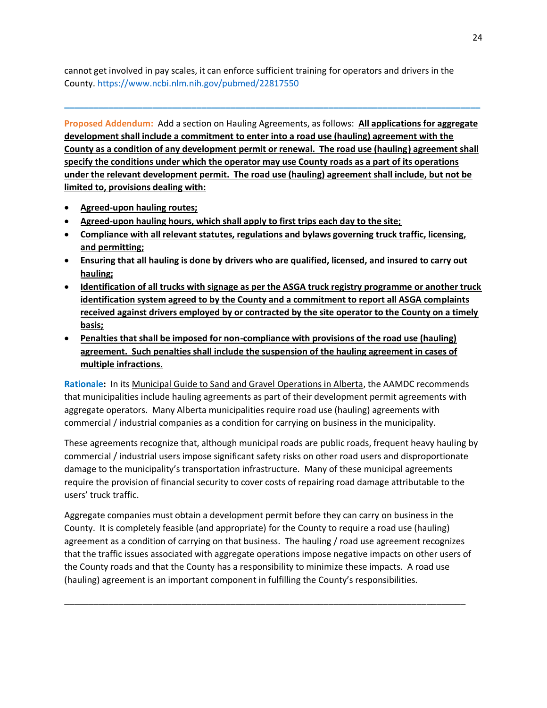cannot get involved in pay scales, it can enforce sufficient training for operators and drivers in the County.<https://www.ncbi.nlm.nih.gov/pubmed/22817550>

**Proposed Addendum:** Add a section on Hauling Agreements, as follows: **All applications for aggregate development shall include a commitment to enter into a road use (hauling) agreement with the County as a condition of any development permit or renewal. The road use (hauling) agreement shall specify the conditions under which the operator may use County roads as a part of its operations under the relevant development permit. The road use (hauling) agreement shall include, but not be limited to, provisions dealing with:**

**\_\_\_\_\_\_\_\_\_\_\_\_\_\_\_\_\_\_\_\_\_\_\_\_\_\_\_\_\_\_\_\_\_\_\_\_\_\_\_\_\_\_\_\_\_\_\_\_\_\_\_\_\_\_\_\_\_\_\_\_\_\_\_\_\_\_\_\_\_\_\_\_\_\_\_\_\_\_\_\_\_\_\_\_\_**

- **Agreed-upon hauling routes;**
- **Agreed-upon hauling hours, which shall apply to first trips each day to the site;**
- **Compliance with all relevant statutes, regulations and bylaws governing truck traffic, licensing, and permitting;**
- **Ensuring that all hauling is done by drivers who are qualified, licensed, and insured to carry out hauling;**
- **Identification of all trucks with signage as per the ASGA truck registry programme or another truck identification system agreed to by the County and a commitment to report all ASGA complaints received against drivers employed by or contracted by the site operator to the County on a timely basis;**
- **Penalties that shall be imposed for non-compliance with provisions of the road use (hauling) agreement. Such penalties shall include the suspension of the hauling agreement in cases of multiple infractions.**

**Rationale:** In its Municipal Guide to Sand and Gravel Operations in Alberta, the AAMDC recommends that municipalities include hauling agreements as part of their development permit agreements with aggregate operators. Many Alberta municipalities require road use (hauling) agreements with commercial / industrial companies as a condition for carrying on business in the municipality.

These agreements recognize that, although municipal roads are public roads, frequent heavy hauling by commercial / industrial users impose significant safety risks on other road users and disproportionate damage to the municipality's transportation infrastructure. Many of these municipal agreements require the provision of financial security to cover costs of repairing road damage attributable to the users' truck traffic.

Aggregate companies must obtain a development permit before they can carry on business in the County. It is completely feasible (and appropriate) for the County to require a road use (hauling) agreement as a condition of carrying on that business. The hauling / road use agreement recognizes that the traffic issues associated with aggregate operations impose negative impacts on other users of the County roads and that the County has a responsibility to minimize these impacts. A road use (hauling) agreement is an important component in fulfilling the County's responsibilities.

\_\_\_\_\_\_\_\_\_\_\_\_\_\_\_\_\_\_\_\_\_\_\_\_\_\_\_\_\_\_\_\_\_\_\_\_\_\_\_\_\_\_\_\_\_\_\_\_\_\_\_\_\_\_\_\_\_\_\_\_\_\_\_\_\_\_\_\_\_\_\_\_\_\_\_\_\_\_\_\_\_\_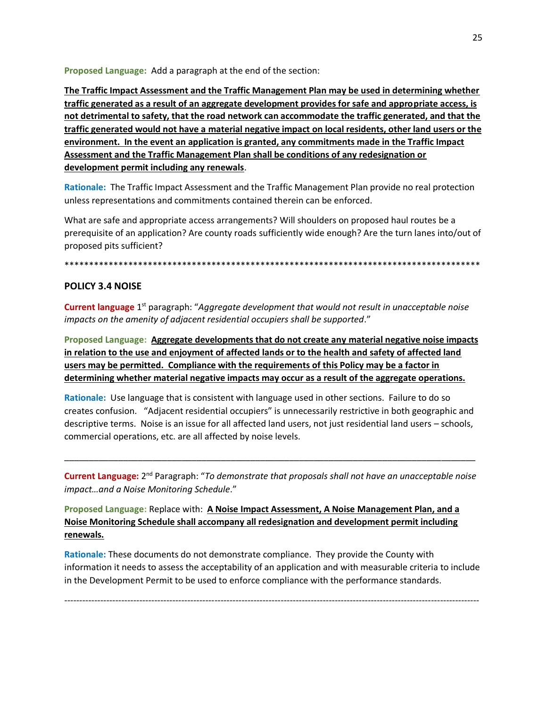Proposed Language: Add a paragraph at the end of the section:

The Traffic Impact Assessment and the Traffic Management Plan may be used in determining whether traffic generated as a result of an aggregate development provides for safe and appropriate access, is not detrimental to safety, that the road network can accommodate the traffic generated, and that the traffic generated would not have a material negative impact on local residents, other land users or the environment. In the event an application is granted, any commitments made in the Traffic Impact Assessment and the Traffic Management Plan shall be conditions of any redesignation or development permit including any renewals.

Rationale: The Traffic Impact Assessment and the Traffic Management Plan provide no real protection unless representations and commitments contained therein can be enforced.

What are safe and appropriate access arrangements? Will shoulders on proposed haul routes be a prerequisite of an application? Are county roads sufficiently wide enough? Are the turn lanes into/out of proposed pits sufficient?

# **POLICY 3.4 NOISE**

**Current language** 1<sup>st</sup> paragraph: "Aggregate development that would not result in unacceptable noise impacts on the amenity of adjacent residential occupiers shall be supported."

Proposed Language: Aggregate developments that do not create any material negative noise impacts in relation to the use and enjoyment of affected lands or to the health and safety of affected land users may be permitted. Compliance with the requirements of this Policy may be a factor in determining whether material negative impacts may occur as a result of the aggregate operations.

Rationale: Use language that is consistent with language used in other sections. Failure to do so creates confusion. "Adjacent residential occupiers" is unnecessarily restrictive in both geographic and descriptive terms. Noise is an issue for all affected land users, not just residential land users - schools, commercial operations, etc. are all affected by noise levels.

Current Language: 2<sup>nd</sup> Paragraph: "To demonstrate that proposals shall not have an unacceptable noise impact...and a Noise Monitoring Schedule."

Proposed Language: Replace with: A Noise Impact Assessment, A Noise Management Plan, and a Noise Monitoring Schedule shall accompany all redesignation and development permit including renewals.

Rationale: These documents do not demonstrate compliance. They provide the County with information it needs to assess the acceptability of an application and with measurable criteria to include in the Development Permit to be used to enforce compliance with the performance standards.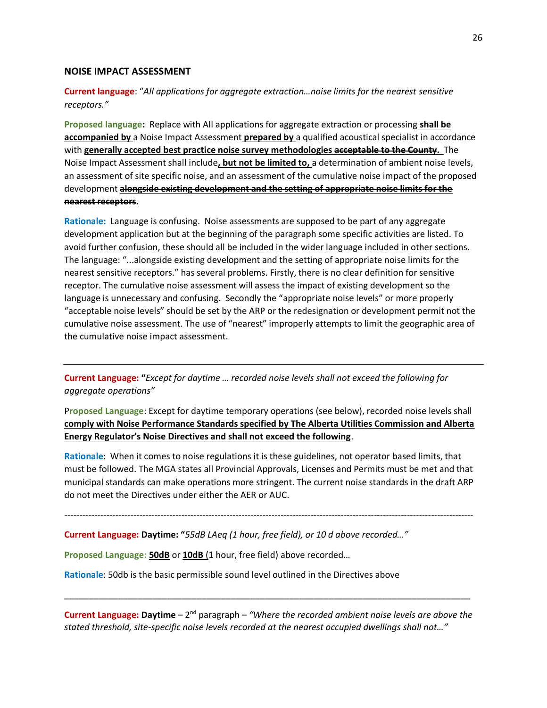#### **NOISE IMPACT ASSESSMENT**

## **Current language**: "*All applications for aggregate extraction…noise limits for the nearest sensitive receptors."*

**Proposed language:** Replace with All applications for aggregate extraction or processing **shall be accompanied by** a Noise Impact Assessment **prepared by** a qualified acoustical specialist in accordance with **generally accepted best practice noise survey methodologies acceptable to the County.** The Noise Impact Assessment shall include**, but not be limited to,** a determination of ambient noise levels, an assessment of site specific noise, and an assessment of the cumulative noise impact of the proposed development **alongside existing development and the setting of appropriate noise limits for the nearest receptors.**

**Rationale:** Language is confusing. Noise assessments are supposed to be part of any aggregate development application but at the beginning of the paragraph some specific activities are listed. To avoid further confusion, these should all be included in the wider language included in other sections. The language: "...alongside existing development and the setting of appropriate noise limits for the nearest sensitive receptors." has several problems. Firstly, there is no clear definition for sensitive receptor. The cumulative noise assessment will assess the impact of existing development so the language is unnecessary and confusing. Secondly the "appropriate noise levels" or more properly "acceptable noise levels" should be set by the ARP or the redesignation or development permit not the cumulative noise assessment. The use of "nearest" improperly attempts to limit the geographic area of the cumulative noise impact assessment.

**Current Language: "***Except for daytime … recorded noise levels shall not exceed the following for aggregate operations"*

P**roposed Language**: Except for daytime temporary operations (see below), recorded noise levels shall **comply with Noise Performance Standards specified by The Alberta Utilities Commission and Alberta Energy Regulator's Noise Directives and shall not exceed the following**.

**Rationale**: When it comes to noise regulations it is these guidelines, not operator based limits, that must be followed. The MGA states all Provincial Approvals, Licenses and Permits must be met and that municipal standards can make operations more stringent. The current noise standards in the draft ARP do not meet the Directives under either the AER or AUC.

----------------------------------------------------------------------------------------------------------------------------------------

**Current Language: Daytime: "***55dB LAeq (1 hour, free field), or 10 d above recorded…"*

**Proposed Language: 50dB** or **10dB** (1 hour, free field) above recorded…

**Rationale**: 50db is the basic permissible sound level outlined in the Directives above

**Current Language: Daytime** – 2<sup>nd</sup> paragraph – "Where the recorded ambient noise levels are above the *stated threshold, site-specific noise levels recorded at the nearest occupied dwellings shall not…"*

\_\_\_\_\_\_\_\_\_\_\_\_\_\_\_\_\_\_\_\_\_\_\_\_\_\_\_\_\_\_\_\_\_\_\_\_\_\_\_\_\_\_\_\_\_\_\_\_\_\_\_\_\_\_\_\_\_\_\_\_\_\_\_\_\_\_\_\_\_\_\_\_\_\_\_\_\_\_\_\_\_\_\_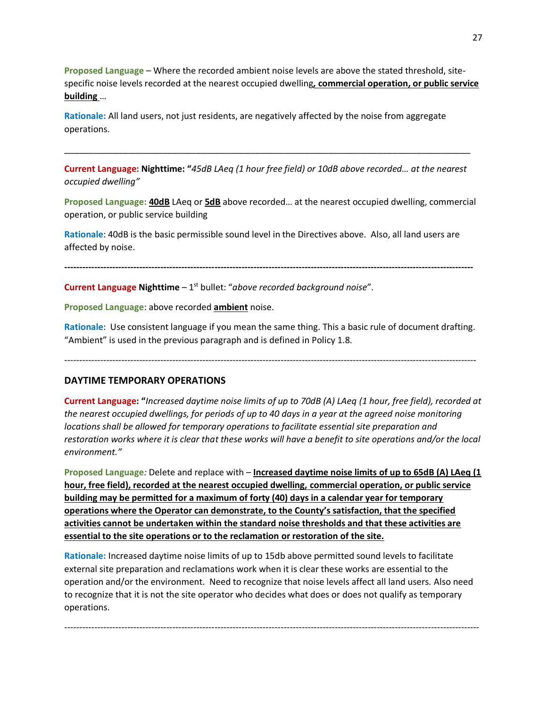**Proposed Language** – Where the recorded ambient noise levels are above the stated threshold, sitespecific noise levels recorded at the nearest occupied dwelling*,* **commercial operation, or public service building** …

**Rationale:** All land users, not just residents, are negatively affected by the noise from aggregate operations.

**Current Language: Nighttime: "***45dB LAeq (1 hour free field) or 10dB above recorded… at the nearest occupied dwelling"*

\_\_\_\_\_\_\_\_\_\_\_\_\_\_\_\_\_\_\_\_\_\_\_\_\_\_\_\_\_\_\_\_\_\_\_\_\_\_\_\_\_\_\_\_\_\_\_\_\_\_\_\_\_\_\_\_\_\_\_\_\_\_\_\_\_\_\_\_\_\_\_\_\_\_\_\_\_\_\_\_\_\_\_

**Proposed Language: 40dB** LAeq or **5dB** above recorded… at the nearest occupied dwelling, commercial operation, or public service building

**Rationale**: 40dB is the basic permissible sound level in the Directives above. Also, all land users are affected by noise.

**----------------------------------------------------------------------------------------------------------------------------------------**

**Current Language Nighttime** – 1 st bullet: "*above recorded background noise*".

**Proposed Language**: above recorded **ambient** noise.

**Rationale**: Use consistent language if you mean the same thing. This a basic rule of document drafting. "Ambient" is used in the previous paragraph and is defined in Policy 1.8.

-----------------------------------------------------------------------------------------------------------------------------------------

#### **DAYTIME TEMPORARY OPERATIONS**

**Current Language: "***Increased daytime noise limits of up to 70dB (A) LAeq (1 hour, free field), recorded at the nearest occupied dwellings, for periods of up to 40 days in a year at the agreed noise monitoring locations shall be allowed for temporary operations to facilitate essential site preparation and restoration works where it is clear that these works will have a benefit to site operations and/or the local environment."*

**Proposed Language***:* Delete and replace with – **Increased daytime noise limits of up to 65dB (A) LAeq (1 hour, free field), recorded at the nearest occupied dwelling, commercial operation, or public service building may be permitted for a maximum of forty (40) days in a calendar year for temporary operations where the Operator can demonstrate, to the County's satisfaction, that the specified activities cannot be undertaken within the standard noise thresholds and that these activities are essential to the site operations or to the reclamation or restoration of the site.**

**Rationale:** Increased daytime noise limits of up to 15db above permitted sound levels to facilitate external site preparation and reclamations work when it is clear these works are essential to the operation and/or the environment. Need to recognize that noise levels affect all land users. Also need to recognize that it is not the site operator who decides what does or does not qualify as temporary operations.

------------------------------------------------------------------------------------------------------------------------------------------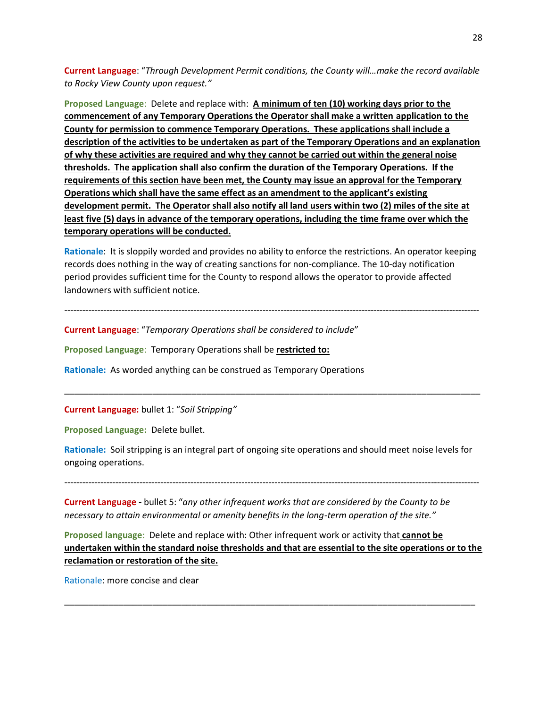**Current Language**: "*Through Development Permit conditions, the County will…make the record available to Rocky View County upon request."*

**Proposed Language**: Delete and replace with: **A minimum of ten (10) working days prior to the commencement of any Temporary Operations the Operator shall make a written application to the County for permission to commence Temporary Operations. These applications shall include a description of the activities to be undertaken as part of the Temporary Operations and an explanation of why these activities are required and why they cannot be carried out within the general noise thresholds. The application shall also confirm the duration of the Temporary Operations. If the requirements of this section have been met, the County may issue an approval for the Temporary Operations which shall have the same effect as an amendment to the applicant's existing development permit. The Operator shall also notify all land users within two (2) miles of the site at least five (5) days in advance of the temporary operations, including the time frame over which the temporary operations will be conducted.**

**Rationale**: It is sloppily worded and provides no ability to enforce the restrictions. An operator keeping records does nothing in the way of creating sanctions for non-compliance. The 10-day notification period provides sufficient time for the County to respond allows the operator to provide affected landowners with sufficient notice.

------------------------------------------------------------------------------------------------------------------------------------------

**Current Language**: "*Temporary Operations shall be considered to include*"

**Proposed Language**: Temporary Operations shall be **restricted to:**

**Rationale:** As worded anything can be construed as Temporary Operations

**Current Language:** bullet 1: "*Soil Stripping"*

**Proposed Language:** Delete bullet.

**Rationale:** Soil stripping is an integral part of ongoing site operations and should meet noise levels for ongoing operations.

\_\_\_\_\_\_\_\_\_\_\_\_\_\_\_\_\_\_\_\_\_\_\_\_\_\_\_\_\_\_\_\_\_\_\_\_\_\_\_\_\_\_\_\_\_\_\_\_\_\_\_\_\_\_\_\_\_\_\_\_\_\_\_\_\_\_\_\_\_\_\_\_\_\_\_\_\_\_\_\_\_\_\_\_\_

------------------------------------------------------------------------------------------------------------------------------------------

**Current Language -** bullet 5: "*any other infrequent works that are considered by the County to be necessary to attain environmental or amenity benefits in the long-term operation of the site."*

**Proposed language**: Delete and replace with: Other infrequent work or activity that **cannot be undertaken within the standard noise thresholds and that are essential to the site operations or to the reclamation or restoration of the site.**

\_\_\_\_\_\_\_\_\_\_\_\_\_\_\_\_\_\_\_\_\_\_\_\_\_\_\_\_\_\_\_\_\_\_\_\_\_\_\_\_\_\_\_\_\_\_\_\_\_\_\_\_\_\_\_\_\_\_\_\_\_\_\_\_\_\_\_\_\_\_\_\_\_\_\_\_\_\_\_\_\_\_\_\_

Rationale: more concise and clear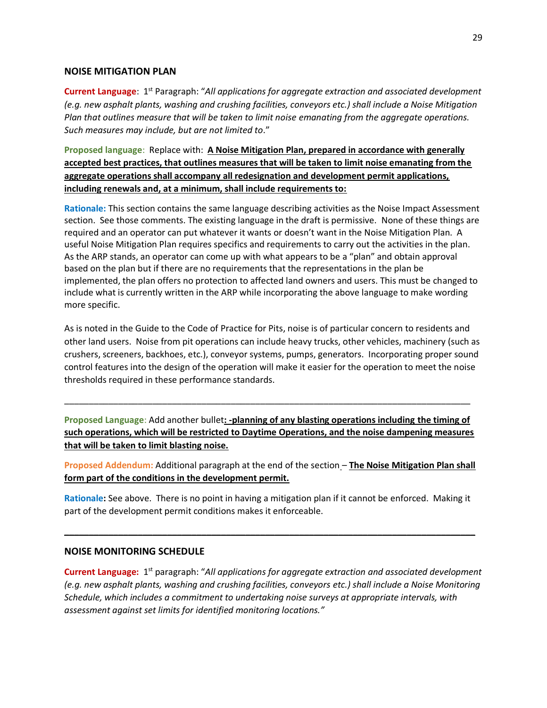#### **NOISE MITIGATION PLAN**

Current Language: 1<sup>st</sup> Paragraph: "All applications for aggregate extraction and associated development *(e.g. new asphalt plants, washing and crushing facilities, conveyors etc.) shall include a Noise Mitigation Plan that outlines measure that will be taken to limit noise emanating from the aggregate operations. Such measures may include, but are not limited to*."

**Proposed language**: Replace with: **A Noise Mitigation Plan, prepared in accordance with generally accepted best practices, that outlines measures that will be taken to limit noise emanating from the aggregate operations shall accompany all redesignation and development permit applications, including renewals and, at a minimum, shall include requirements to:**

**Rationale:** This section contains the same language describing activities as the Noise Impact Assessment section. See those comments. The existing language in the draft is permissive. None of these things are required and an operator can put whatever it wants or doesn't want in the Noise Mitigation Plan. A useful Noise Mitigation Plan requires specifics and requirements to carry out the activities in the plan. As the ARP stands, an operator can come up with what appears to be a "plan" and obtain approval based on the plan but if there are no requirements that the representations in the plan be implemented, the plan offers no protection to affected land owners and users. This must be changed to include what is currently written in the ARP while incorporating the above language to make wording more specific.

As is noted in the Guide to the Code of Practice for Pits, noise is of particular concern to residents and other land users. Noise from pit operations can include heavy trucks, other vehicles, machinery (such as crushers, screeners, backhoes, etc.), conveyor systems, pumps, generators. Incorporating proper sound control features into the design of the operation will make it easier for the operation to meet the noise thresholds required in these performance standards.

**Proposed Language**: Add another bullet**: -planning of any blasting operations including the timing of such operations, which will be restricted to Daytime Operations, and the noise dampening measures that will be taken to limit blasting noise.**

\_\_\_\_\_\_\_\_\_\_\_\_\_\_\_\_\_\_\_\_\_\_\_\_\_\_\_\_\_\_\_\_\_\_\_\_\_\_\_\_\_\_\_\_\_\_\_\_\_\_\_\_\_\_\_\_\_\_\_\_\_\_\_\_\_\_\_\_\_\_\_\_\_\_\_\_\_\_\_\_\_\_\_

**Proposed Addendum:** Additional paragraph at the end of the section – **The Noise Mitigation Plan shall form part of the conditions in the development permit.**

**Rationale:** See above. There is no point in having a mitigation plan if it cannot be enforced. Making it part of the development permit conditions makes it enforceable.

**\_\_\_\_\_\_\_\_\_\_\_\_\_\_\_\_\_\_\_\_\_\_\_\_\_\_\_\_\_\_\_\_\_\_\_\_\_\_\_\_\_\_\_\_\_\_\_\_\_\_\_\_\_\_\_\_\_\_\_\_\_\_\_\_\_\_\_\_\_\_\_\_\_\_\_\_\_\_\_\_\_\_\_\_**

#### **NOISE MONITORING SCHEDULE**

Current Language: 1<sup>st</sup> paragraph: "All applications for aggregate extraction and associated development *(e.g. new asphalt plants, washing and crushing facilities, conveyors etc.) shall include a Noise Monitoring Schedule, which includes a commitment to undertaking noise surveys at appropriate intervals, with assessment against set limits for identified monitoring locations."*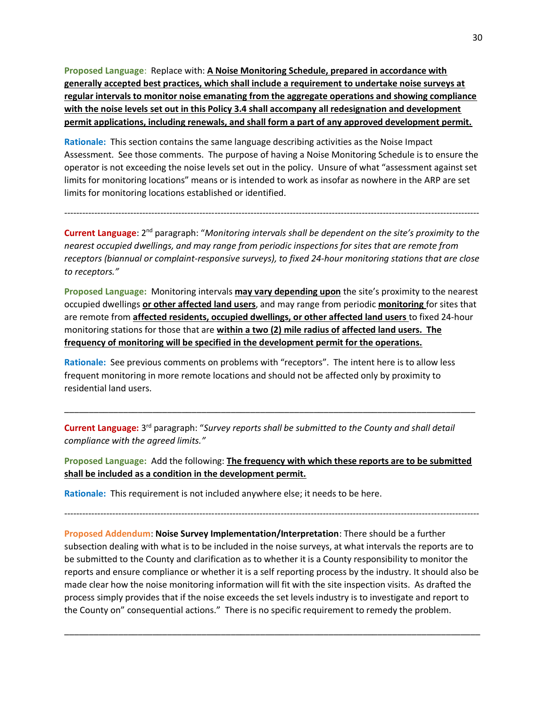**Proposed Language**: Replace with: **A Noise Monitoring Schedule, prepared in accordance with generally accepted best practices, which shall include a requirement to undertake noise surveys at regular intervals to monitor noise emanating from the aggregate operations and showing compliance with the noise levels set out in this Policy 3.4 shall accompany all redesignation and development permit applications, including renewals, and shall form a part of any approved development permit.**

**Rationale:** This section contains the same language describing activities as the Noise Impact Assessment. See those comments. The purpose of having a Noise Monitoring Schedule is to ensure the operator is not exceeding the noise levels set out in the policy. Unsure of what "assessment against set limits for monitoring locations" means or is intended to work as insofar as nowhere in the ARP are set limits for monitoring locations established or identified.

Current Language: 2<sup>nd</sup> paragraph: "Monitoring intervals shall be dependent on the site's proximity to the *nearest occupied dwellings, and may range from periodic inspections for sites that are remote from receptors (biannual or complaint-responsive surveys), to fixed 24-hour monitoring stations that are close to receptors."* 

------------------------------------------------------------------------------------------------------------------------------------------

**Proposed Language:** Monitoring intervals **may vary depending upon** the site's proximity to the nearest occupied dwellings **or other affected land users**, and may range from periodic **monitoring** for sites that are remote from **affected residents, occupied dwellings, or other affected land users** to fixed 24-hour monitoring stations for those that are **within a two (2) mile radius of affected land users. The frequency of monitoring will be specified in the development permit for the operations.**

**Rationale:** See previous comments on problems with "receptors". The intent here is to allow less frequent monitoring in more remote locations and should not be affected only by proximity to residential land users.

Current Language: 3<sup>rd</sup> paragraph: "Survey reports shall be submitted to the County and shall detail *compliance with the agreed limits."*

**Proposed Language:** Add the following: **The frequency with which these reports are to be submitted shall be included as a condition in the development permit.**

\_\_\_\_\_\_\_\_\_\_\_\_\_\_\_\_\_\_\_\_\_\_\_\_\_\_\_\_\_\_\_\_\_\_\_\_\_\_\_\_\_\_\_\_\_\_\_\_\_\_\_\_\_\_\_\_\_\_\_\_\_\_\_\_\_\_\_\_\_\_\_\_\_\_\_\_\_\_\_\_\_\_\_\_

**Rationale:** This requirement is not included anywhere else; it needs to be here.

------------------------------------------------------------------------------------------------------------------------------------------

**Proposed Addendum**: **Noise Survey Implementation/Interpretation**: There should be a further subsection dealing with what is to be included in the noise surveys, at what intervals the reports are to be submitted to the County and clarification as to whether it is a County responsibility to monitor the reports and ensure compliance or whether it is a self reporting process by the industry. It should also be made clear how the noise monitoring information will fit with the site inspection visits. As drafted the process simply provides that if the noise exceeds the set levels industry is to investigate and report to the County on" consequential actions." There is no specific requirement to remedy the problem.

\_\_\_\_\_\_\_\_\_\_\_\_\_\_\_\_\_\_\_\_\_\_\_\_\_\_\_\_\_\_\_\_\_\_\_\_\_\_\_\_\_\_\_\_\_\_\_\_\_\_\_\_\_\_\_\_\_\_\_\_\_\_\_\_\_\_\_\_\_\_\_\_\_\_\_\_\_\_\_\_\_\_\_\_\_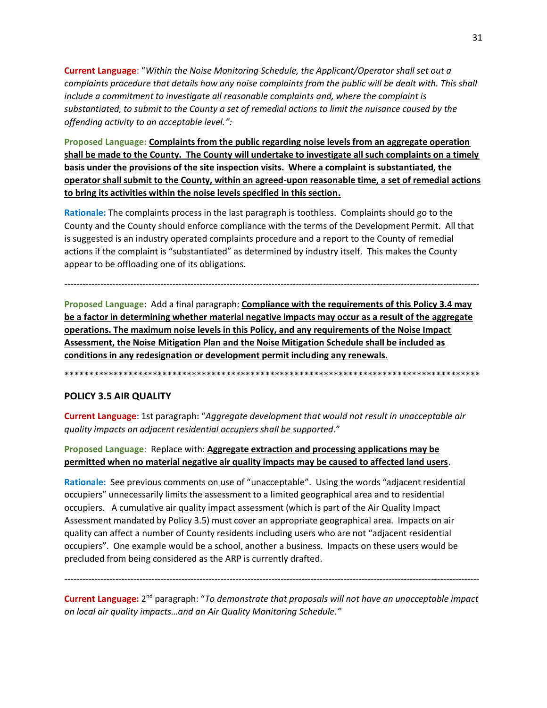**Current Language**: "*Within the Noise Monitoring Schedule, the Applicant/Operator shall set out a complaints procedure that details how any noise complaints from the public will be dealt with. This shall include a commitment to investigate all reasonable complaints and, where the complaint is substantiated, to submit to the County a set of remedial actions to limit the nuisance caused by the offending activity to an acceptable level.":*

**Proposed Language: Complaints from the public regarding noise levels from an aggregate operation shall be made to the County. The County will undertake to investigate all such complaints on a timely basis under the provisions of the site inspection visits. Where a complaint is substantiated, the operator shall submit to the County, within an agreed-upon reasonable time, a set of remedial actions to bring its activities within the noise levels specified in this section.**

**Rationale:** The complaints process in the last paragraph is toothless. Complaints should go to the County and the County should enforce compliance with the terms of the Development Permit. All that is suggested is an industry operated complaints procedure and a report to the County of remedial actions if the complaint is "substantiated" as determined by industry itself. This makes the County appear to be offloading one of its obligations.

------------------------------------------------------------------------------------------------------------------------------------------

**Proposed Language**: Add a final paragraph: **Compliance with the requirements of this Policy 3.4 may be a factor in determining whether material negative impacts may occur as a result of the aggregate operations. The maximum noise levels in this Policy, and any requirements of the Noise Impact Assessment, the Noise Mitigation Plan and the Noise Mitigation Schedule shall be included as conditions in any redesignation or development permit including any renewals.**

\*\*\*\*\*\*\*\*\*\*\*\*\*\*\*\*\*\*\*\*\*\*\*\*\*\*\*\*\*\*\*\*\*\*\*\*\*\*\*\*\*\*\*\*\*\*\*\*\*\*\*\*\*\*\*\*\*\*\*\*\*\*\*\*\*\*\*\*\*\*\*\*\*\*\*\*\*\*\*\*\*\*\*\*\*

## **POLICY 3.5 AIR QUALITY**

**Current Language**: 1st paragraph: "*Aggregate development that would not result in unacceptable air quality impacts on adjacent residential occupiers shall be supported*."

## **Proposed Language**: Replace with: **Aggregate extraction and processing applications may be permitted when no material negative air quality impacts may be caused to affected land users**.

**Rationale:** See previous comments on use of "unacceptable". Using the words "adjacent residential occupiers" unnecessarily limits the assessment to a limited geographical area and to residential occupiers. A cumulative air quality impact assessment (which is part of the Air Quality Impact Assessment mandated by Policy 3.5) must cover an appropriate geographical area. Impacts on air quality can affect a number of County residents including users who are not "adjacent residential occupiers". One example would be a school, another a business. Impacts on these users would be precluded from being considered as the ARP is currently drafted.

Current Language: 2<sup>nd</sup> paragraph: "To demonstrate that proposals will not have an unacceptable impact *on local air quality impacts…and an Air Quality Monitoring Schedule."*

------------------------------------------------------------------------------------------------------------------------------------------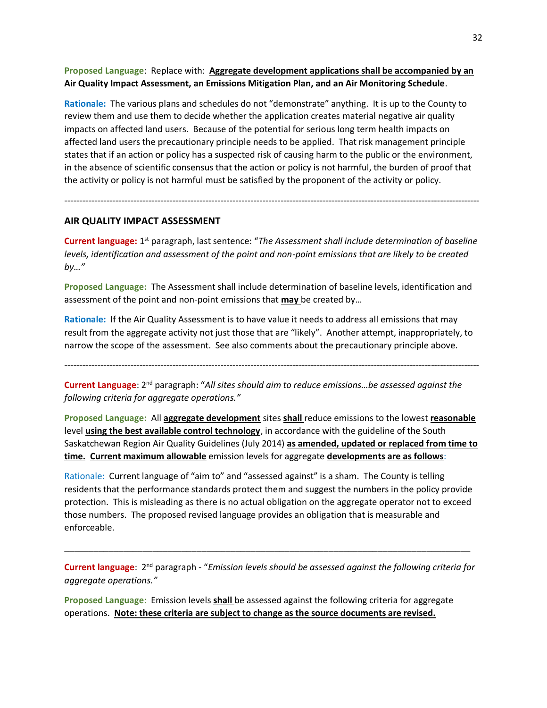**Proposed Language**: Replace with: **Aggregate development applications shall be accompanied by an Air Quality Impact Assessment, an Emissions Mitigation Plan, and an Air Monitoring Schedule**.

**Rationale:** The various plans and schedules do not "demonstrate" anything. It is up to the County to review them and use them to decide whether the application creates material negative air quality impacts on affected land users. Because of the potential for serious long term health impacts on affected land users the precautionary principle needs to be applied. That risk management principle states that if an action or policy has a suspected risk of causing harm to the public or the environment, in the absence of scientific consensus that the action or policy is not harmful, the burden of proof that the activity or policy is not harmful must be satisfied by the proponent of the activity or policy.

#### **AIR QUALITY IMPACT ASSESSMENT**

Current language: 1<sup>st</sup> paragraph, last sentence: "The Assessment shall include determination of baseline *levels, identification and assessment of the point and non-point emissions that are likely to be created by…"*

------------------------------------------------------------------------------------------------------------------------------------------

**Proposed Language:** The Assessment shall include determination of baseline levels, identification and assessment of the point and non-point emissions that **may** be created by…

**Rationale:** If the Air Quality Assessment is to have value it needs to address all emissions that may result from the aggregate activity not just those that are "likely". Another attempt, inappropriately, to narrow the scope of the assessment. See also comments about the precautionary principle above.

------------------------------------------------------------------------------------------------------------------------------------------

Current Language: 2<sup>nd</sup> paragraph: "All sites should aim to reduce emissions...be assessed against the *following criteria for aggregate operations."*

**Proposed Language:** All **aggregate development** sites **shall** reduce emissions to the lowest **reasonable**  level **using the best available control technology**, in accordance with the guideline of the South Saskatchewan Region Air Quality Guidelines (July 2014) **as amended, updated or replaced from time to time. Current maximum allowable** emission levels for aggregate **developments are as follows**:

Rationale: Current language of "aim to" and "assessed against" is a sham. The County is telling residents that the performance standards protect them and suggest the numbers in the policy provide protection. This is misleading as there is no actual obligation on the aggregate operator not to exceed those numbers. The proposed revised language provides an obligation that is measurable and enforceable.

Current language: 2<sup>nd</sup> paragraph - "*Emission levels should be assessed against the following criteria for aggregate operations."*

\_\_\_\_\_\_\_\_\_\_\_\_\_\_\_\_\_\_\_\_\_\_\_\_\_\_\_\_\_\_\_\_\_\_\_\_\_\_\_\_\_\_\_\_\_\_\_\_\_\_\_\_\_\_\_\_\_\_\_\_\_\_\_\_\_\_\_\_\_\_\_\_\_\_\_\_\_\_\_\_\_\_\_

**Proposed Language**: Emission levels **shall** be assessed against the following criteria for aggregate operations. **Note: these criteria are subject to change as the source documents are revised.**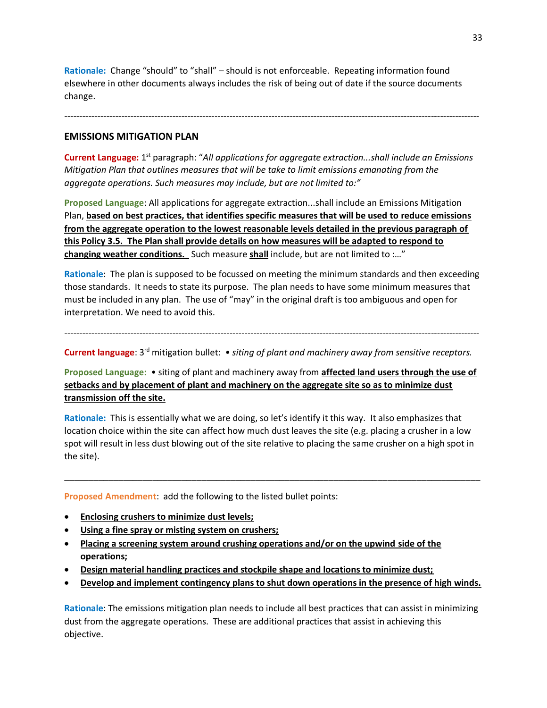**Rationale:** Change "should" to "shall" – should is not enforceable. Repeating information found elsewhere in other documents always includes the risk of being out of date if the source documents change.

------------------------------------------------------------------------------------------------------------------------------------------

#### **EMISSIONS MITIGATION PLAN**

Current Language: 1<sup>st</sup> paragraph: "All applications for aggregate extraction...shall include an Emissions *Mitigation Plan that outlines measures that will be take to limit emissions emanating from the aggregate operations. Such measures may include, but are not limited to:"*

**Proposed Language**: All applications for aggregate extraction...shall include an Emissions Mitigation Plan, **based on best practices, that identifies specific measures that will be used to reduce emissions from the aggregate operation to the lowest reasonable levels detailed in the previous paragraph of this Policy 3.5. The Plan shall provide details on how measures will be adapted to respond to changing weather conditions.** Such measure **shall** include, but are not limited to :…"

**Rationale**: The plan is supposed to be focussed on meeting the minimum standards and then exceeding those standards. It needs to state its purpose. The plan needs to have some minimum measures that must be included in any plan. The use of "may" in the original draft is too ambiguous and open for interpretation. We need to avoid this.

------------------------------------------------------------------------------------------------------------------------------------------

Current language: 3<sup>rd</sup> mitigation bullet: • siting of plant and machinery away from sensitive receptors.

**Proposed Language:** • siting of plant and machinery away from **affected land users through the use of setbacks and by placement of plant and machinery on the aggregate site so as to minimize dust transmission off the site.**

**Rationale:** This is essentially what we are doing, so let's identify it this way. It also emphasizes that location choice within the site can affect how much dust leaves the site (e.g. placing a crusher in a low spot will result in less dust blowing out of the site relative to placing the same crusher on a high spot in the site).

\_\_\_\_\_\_\_\_\_\_\_\_\_\_\_\_\_\_\_\_\_\_\_\_\_\_\_\_\_\_\_\_\_\_\_\_\_\_\_\_\_\_\_\_\_\_\_\_\_\_\_\_\_\_\_\_\_\_\_\_\_\_\_\_\_\_\_\_\_\_\_\_\_\_\_\_\_\_\_\_\_\_\_\_\_

**Proposed Amendment**: add the following to the listed bullet points:

- **Enclosing crushers to minimize dust levels;**
- **Using a fine spray or misting system on crushers;**
- **Placing a screening system around crushing operations and/or on the upwind side of the operations;**
- **Design material handling practices and stockpile shape and locations to minimize dust;**
- **Develop and implement contingency plans to shut down operations in the presence of high winds.**

**Rationale**: The emissions mitigation plan needs to include all best practices that can assist in minimizing dust from the aggregate operations. These are additional practices that assist in achieving this objective.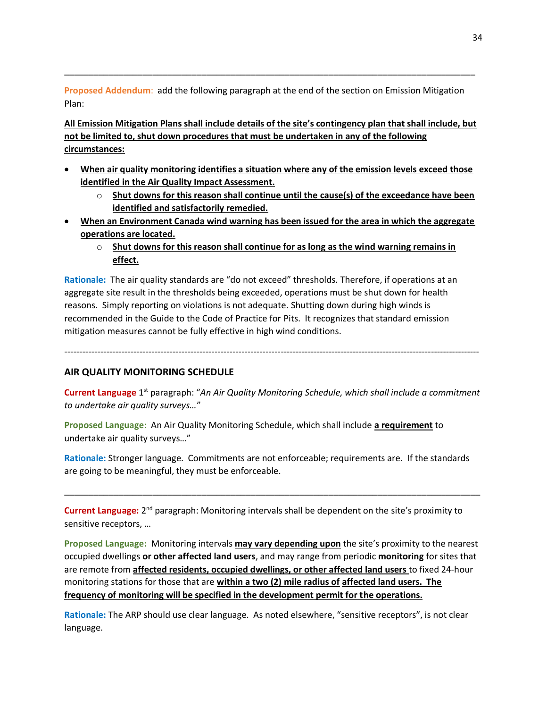**Proposed Addendum**: add the following paragraph at the end of the section on Emission Mitigation Plan:

\_\_\_\_\_\_\_\_\_\_\_\_\_\_\_\_\_\_\_\_\_\_\_\_\_\_\_\_\_\_\_\_\_\_\_\_\_\_\_\_\_\_\_\_\_\_\_\_\_\_\_\_\_\_\_\_\_\_\_\_\_\_\_\_\_\_\_\_\_\_\_\_\_\_\_\_\_\_\_\_\_\_\_\_

**All Emission Mitigation Plans shall include details of the site's contingency plan that shall include, but not be limited to, shut down procedures that must be undertaken in any of the following circumstances:**

- **When air quality monitoring identifies a situation where any of the emission levels exceed those identified in the Air Quality Impact Assessment.**
	- o **Shut downs for this reason shall continue until the cause(s) of the exceedance have been identified and satisfactorily remedied.**
- **When an Environment Canada wind warning has been issued for the area in which the aggregate operations are located.**
	- o **Shut downs for this reason shall continue for as long as the wind warning remains in effect.**

**Rationale:** The air quality standards are "do not exceed" thresholds. Therefore, if operations at an aggregate site result in the thresholds being exceeded, operations must be shut down for health reasons. Simply reporting on violations is not adequate. Shutting down during high winds is recommended in the Guide to the Code of Practice for Pits. It recognizes that standard emission mitigation measures cannot be fully effective in high wind conditions.

------------------------------------------------------------------------------------------------------------------------------------------

## **AIR QUALITY MONITORING SCHEDULE**

Current Language 1<sup>st</sup> paragraph: "An Air Quality Monitoring Schedule, which shall include a commitment *to undertake air quality surveys…*"

**Proposed Language**: An Air Quality Monitoring Schedule, which shall include **a requirement** to undertake air quality surveys…"

**Rationale:** Stronger language. Commitments are not enforceable; requirements are. If the standards are going to be meaningful, they must be enforceable.

\_\_\_\_\_\_\_\_\_\_\_\_\_\_\_\_\_\_\_\_\_\_\_\_\_\_\_\_\_\_\_\_\_\_\_\_\_\_\_\_\_\_\_\_\_\_\_\_\_\_\_\_\_\_\_\_\_\_\_\_\_\_\_\_\_\_\_\_\_\_\_\_\_\_\_\_\_\_\_\_\_\_\_\_\_

Current Language: 2<sup>nd</sup> paragraph: Monitoring intervals shall be dependent on the site's proximity to sensitive receptors, …

**Proposed Language:** Monitoring intervals **may vary depending upon** the site's proximity to the nearest occupied dwellings **or other affected land users**, and may range from periodic **monitoring** for sites that are remote from **affected residents, occupied dwellings, or other affected land users** to fixed 24-hour monitoring stations for those that are **within a two (2) mile radius of affected land users. The frequency of monitoring will be specified in the development permit for the operations.**

**Rationale:** The ARP should use clear language. As noted elsewhere, "sensitive receptors", is not clear language.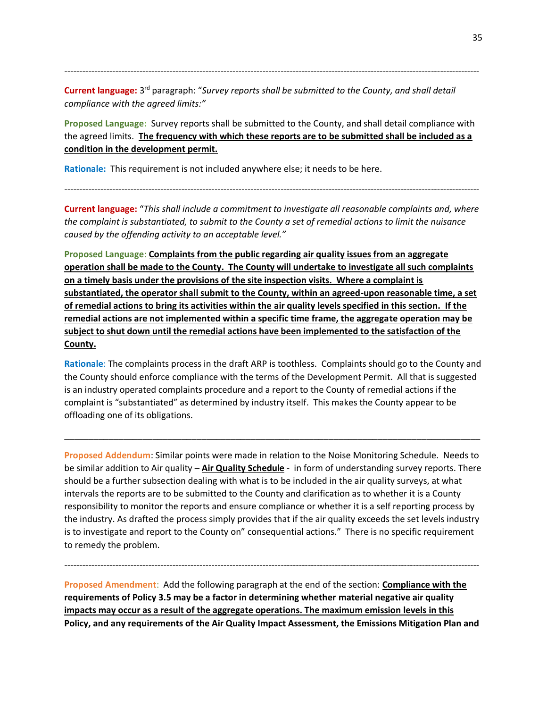Current language: 3<sup>rd</sup> paragraph: "Survey reports shall be submitted to the County, and shall detail *compliance with the agreed limits:"*

**Proposed Language:** Survey reports shall be submitted to the County, and shall detail compliance with the agreed limits. **The frequency with which these reports are to be submitted shall be included as a condition in the development permit.**

------------------------------------------------------------------------------------------------------------------------------------------

**Rationale:** This requirement is not included anywhere else; it needs to be here.

**Current language:** "*This shall include a commitment to investigate all reasonable complaints and, where the complaint is substantiated, to submit to the County a set of remedial actions to limit the nuisance caused by the offending activity to an acceptable level."*

------------------------------------------------------------------------------------------------------------------------------------------

**Proposed Language**: **Complaints from the public regarding air quality issues from an aggregate operation shall be made to the County. The County will undertake to investigate all such complaints on a timely basis under the provisions of the site inspection visits. Where a complaint is substantiated, the operator shall submit to the County, within an agreed-upon reasonable time, a set of remedial actions to bring its activities within the air quality levels specified in this section. If the remedial actions are not implemented within a specific time frame, the aggregate operation may be subject to shut down until the remedial actions have been implemented to the satisfaction of the County.**

**Rationale**: The complaints process in the draft ARP is toothless. Complaints should go to the County and the County should enforce compliance with the terms of the Development Permit. All that is suggested is an industry operated complaints procedure and a report to the County of remedial actions if the complaint is "substantiated" as determined by industry itself. This makes the County appear to be offloading one of its obligations.

\_\_\_\_\_\_\_\_\_\_\_\_\_\_\_\_\_\_\_\_\_\_\_\_\_\_\_\_\_\_\_\_\_\_\_\_\_\_\_\_\_\_\_\_\_\_\_\_\_\_\_\_\_\_\_\_\_\_\_\_\_\_\_\_\_\_\_\_\_\_\_\_\_\_\_\_\_\_\_\_\_\_\_\_\_

**Proposed Addendum**: Similar points were made in relation to the Noise Monitoring Schedule. Needs to be similar addition to Air quality – **Air Quality Schedule** - in form of understanding survey reports. There should be a further subsection dealing with what is to be included in the air quality surveys, at what intervals the reports are to be submitted to the County and clarification as to whether it is a County responsibility to monitor the reports and ensure compliance or whether it is a self reporting process by the industry. As drafted the process simply provides that if the air quality exceeds the set levels industry is to investigate and report to the County on" consequential actions." There is no specific requirement to remedy the problem.

**Proposed Amendment**: Add the following paragraph at the end of the section: **Compliance with the requirements of Policy 3.5 may be a factor in determining whether material negative air quality impacts may occur as a result of the aggregate operations. The maximum emission levels in this Policy, and any requirements of the Air Quality Impact Assessment, the Emissions Mitigation Plan and** 

------------------------------------------------------------------------------------------------------------------------------------------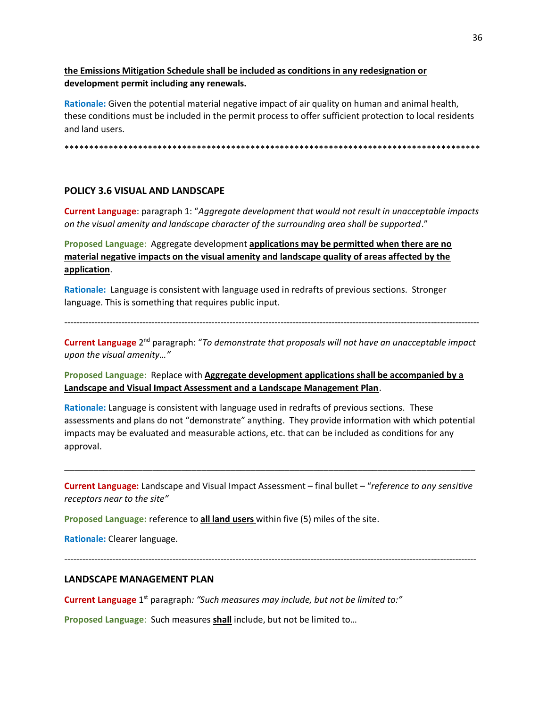**the Emissions Mitigation Schedule shall be included as conditions in any redesignation or development permit including any renewals.**

**Rationale:** Given the potential material negative impact of air quality on human and animal health, these conditions must be included in the permit process to offer sufficient protection to local residents and land users.

\*\*\*\*\*\*\*\*\*\*\*\*\*\*\*\*\*\*\*\*\*\*\*\*\*\*\*\*\*\*\*\*\*\*\*\*\*\*\*\*\*\*\*\*\*\*\*\*\*\*\*\*\*\*\*\*\*\*\*\*\*\*\*\*\*\*\*\*\*\*\*\*\*\*\*\*\*\*\*\*\*\*\*\*\*

#### **POLICY 3.6 VISUAL AND LANDSCAPE**

**Current Language**: paragraph 1: "*Aggregate development that would not result in unacceptable impacts on the visual amenity and landscape character of the surrounding area shall be supported*."

**Proposed Language**: Aggregate development **applications may be permitted when there are no material negative impacts on the visual amenity and landscape quality of areas affected by the application**.

**Rationale:** Language is consistent with language used in redrafts of previous sections. Stronger language. This is something that requires public input.

------------------------------------------------------------------------------------------------------------------------------------------

Current Language 2<sup>nd</sup> paragraph: "To demonstrate that proposals will not have an unacceptable impact *upon the visual amenity…"* 

**Proposed Language**: Replace with **Aggregate development applications shall be accompanied by a Landscape and Visual Impact Assessment and a Landscape Management Plan**.

**Rationale:** Language is consistent with language used in redrafts of previous sections. These assessments and plans do not "demonstrate" anything. They provide information with which potential impacts may be evaluated and measurable actions, etc. that can be included as conditions for any approval.

**Current Language:** Landscape and Visual Impact Assessment – final bullet – "*reference to any sensitive receptors near to the site"*

\_\_\_\_\_\_\_\_\_\_\_\_\_\_\_\_\_\_\_\_\_\_\_\_\_\_\_\_\_\_\_\_\_\_\_\_\_\_\_\_\_\_\_\_\_\_\_\_\_\_\_\_\_\_\_\_\_\_\_\_\_\_\_\_\_\_\_\_\_\_\_\_\_\_\_\_\_\_\_\_\_\_\_\_

**Proposed Language:** reference to **all land users** within five (5) miles of the site.

**Rationale:** Clearer language.

-----------------------------------------------------------------------------------------------------------------------------------------

## **LANDSCAPE MANAGEMENT PLAN**

Current Language 1<sup>st</sup> paragraph: "Such measures may include, but not be limited to:"

**Proposed Language**: Such measures **shall** include, but not be limited to…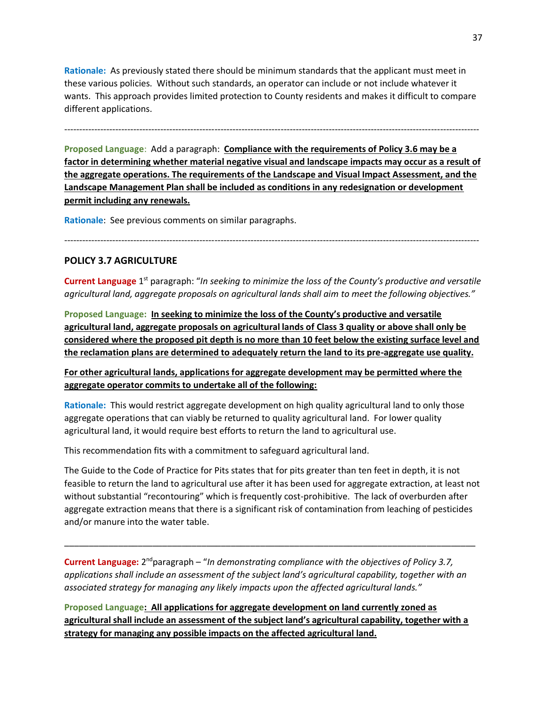**Rationale:** As previously stated there should be minimum standards that the applicant must meet in these various policies. Without such standards, an operator can include or not include whatever it wants. This approach provides limited protection to County residents and makes it difficult to compare different applications.

------------------------------------------------------------------------------------------------------------------------------------------

**Proposed Language**: Add a paragraph: **Compliance with the requirements of Policy 3.6 may be a factor in determining whether material negative visual and landscape impacts may occur as a result of the aggregate operations. The requirements of the Landscape and Visual Impact Assessment, and the Landscape Management Plan shall be included as conditions in any redesignation or development permit including any renewals.**

**Rationale**: See previous comments on similar paragraphs.

#### **POLICY 3.7 AGRICULTURE**

Current Language 1<sup>st</sup> paragraph: "In seeking to minimize the loss of the County's productive and versatile *agricultural land, aggregate proposals on agricultural lands shall aim to meet the following objectives."*

------------------------------------------------------------------------------------------------------------------------------------------

**Proposed Language: In seeking to minimize the loss of the County's productive and versatile agricultural land, aggregate proposals on agricultural lands of Class 3 quality or above shall only be considered where the proposed pit depth is no more than 10 feet below the existing surface level and the reclamation plans are determined to adequately return the land to its pre-aggregate use quality.**

**For other agricultural lands, applications for aggregate development may be permitted where the aggregate operator commits to undertake all of the following:**

**Rationale:** This would restrict aggregate development on high quality agricultural land to only those aggregate operations that can viably be returned to quality agricultural land. For lower quality agricultural land, it would require best efforts to return the land to agricultural use.

This recommendation fits with a commitment to safeguard agricultural land.

The Guide to the Code of Practice for Pits states that for pits greater than ten feet in depth, it is not feasible to return the land to agricultural use after it has been used for aggregate extraction, at least not without substantial "recontouring" which is frequently cost-prohibitive. The lack of overburden after aggregate extraction means that there is a significant risk of contamination from leaching of pesticides and/or manure into the water table.

Current Language: 2<sup>nd</sup>paragraph – "In demonstrating compliance with the objectives of Policy 3.7, *applications shall include an assessment of the subject land's agricultural capability, together with an associated strategy for managing any likely impacts upon the affected agricultural lands."*

\_\_\_\_\_\_\_\_\_\_\_\_\_\_\_\_\_\_\_\_\_\_\_\_\_\_\_\_\_\_\_\_\_\_\_\_\_\_\_\_\_\_\_\_\_\_\_\_\_\_\_\_\_\_\_\_\_\_\_\_\_\_\_\_\_\_\_\_\_\_\_\_\_\_\_\_\_\_\_\_\_\_\_\_

**Proposed Language: All applications for aggregate development on land currently zoned as agricultural shall include an assessment of the subject land's agricultural capability, together with a strategy for managing any possible impacts on the affected agricultural land.**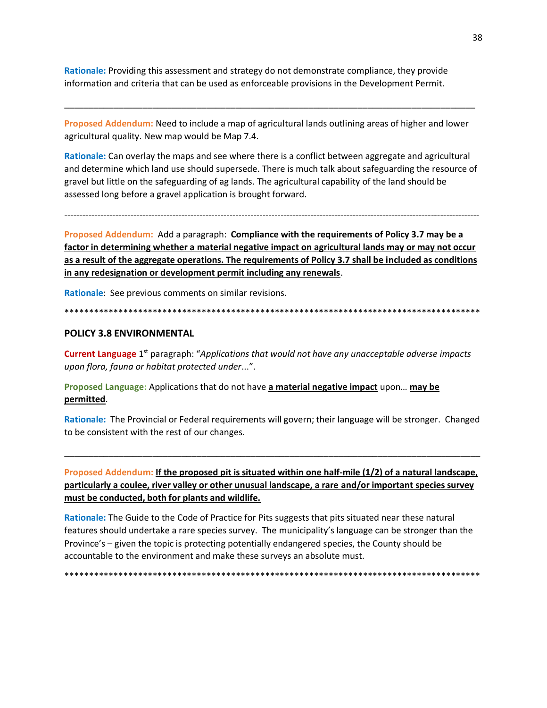Rationale: Providing this assessment and strategy do not demonstrate compliance, they provide information and criteria that can be used as enforceable provisions in the Development Permit.

Proposed Addendum: Need to include a map of agricultural lands outlining areas of higher and lower agricultural quality. New map would be Map 7.4.

Rationale: Can overlay the maps and see where there is a conflict between aggregate and agricultural and determine which land use should supersede. There is much talk about safeguarding the resource of gravel but little on the safeguarding of ag lands. The agricultural capability of the land should be assessed long before a gravel application is brought forward.

Proposed Addendum: Add a paragraph: Compliance with the requirements of Policy 3.7 may be a factor in determining whether a material negative impact on agricultural lands may or may not occur as a result of the aggregate operations. The requirements of Policy 3.7 shall be included as conditions in any redesignation or development permit including any renewals.

Rationale: See previous comments on similar revisions.

#### 

#### **POLICY 3.8 ENVIRONMENTAL**

Current Language 1<sup>st</sup> paragraph: "Applications that would not have any unacceptable adverse impacts upon flora, fauna or habitat protected under...".

Proposed Language: Applications that do not have a material negative impact upon... may be permitted.

Rationale: The Provincial or Federal requirements will govern; their language will be stronger. Changed to be consistent with the rest of our changes.

Proposed Addendum: If the proposed pit is situated within one half-mile (1/2) of a natural landscape, particularly a coulee, river valley or other unusual landscape, a rare and/or important species survey must be conducted, both for plants and wildlife.

Rationale: The Guide to the Code of Practice for Pits suggests that pits situated near these natural features should undertake a rare species survey. The municipality's language can be stronger than the Province's - given the topic is protecting potentially endangered species, the County should be accountable to the environment and make these surveys an absolute must.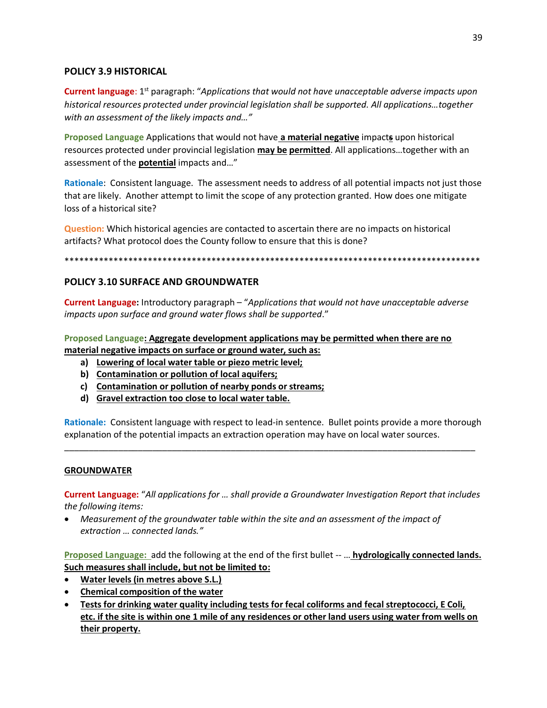# POLICY 3.9 HISTORICAL

**Current language:**  $1<sup>st</sup>$  paragraph: "Applications that would not have unacceptable adverse impacts upon historical resources protected under provincial legislation shall be supported. All applications...together with an assessment of the likely impacts and..."

Proposed Language Applications that would not have a material negative impacts upon historical resources protected under provincial legislation may be permitted. All applications...together with an assessment of the **potential** impacts and..."

Rationale: Consistent language. The assessment needs to address of all potential impacts not just those that are likely. Another attempt to limit the scope of any protection granted. How does one mitigate loss of a historical site?

Question: Which historical agencies are contacted to ascertain there are no impacts on historical artifacts? What protocol does the County follow to ensure that this is done?

#### 

# POLICY 3.10 SURFACE AND GROUNDWATER

Current Language: Introductory paragraph - "Applications that would not have unacceptable adverse impacts upon surface and ground water flows shall be supported."

Proposed Language: Aggregate development applications may be permitted when there are no material negative impacts on surface or ground water, such as:

- a) Lowering of local water table or piezo metric level;
- b) Contamination or pollution of local aquifers;
- c) Contamination or pollution of nearby ponds or streams;
- d) Gravel extraction too close to local water table.

Rationale: Consistent language with respect to lead-in sentence. Bullet points provide a more thorough explanation of the potential impacts an extraction operation may have on local water sources.

## **GROUNDWATER**

Current Language: "All applications for ... shall provide a Groundwater Investigation Report that includes the following items:

• Measurement of the groundwater table within the site and an assessment of the impact of extraction ... connected lands."

Proposed Language: add the following at the end of the first bullet -- ... hydrologically connected lands. Such measures shall include, but not be limited to:

- Water levels (in metres above S.L.)
- Chemical composition of the water
- Tests for drinking water quality including tests for fecal coliforms and fecal streptococci, E Coli, etc. if the site is within one 1 mile of any residences or other land users using water from wells on their property.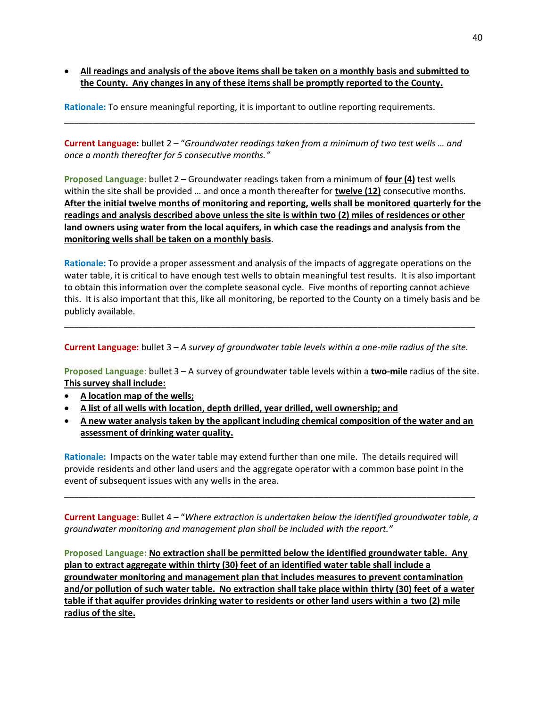• **All readings and analysis of the above items shall be taken on a monthly basis and submitted to the County. Any changes in any of these items shall be promptly reported to the County.**

\_\_\_\_\_\_\_\_\_\_\_\_\_\_\_\_\_\_\_\_\_\_\_\_\_\_\_\_\_\_\_\_\_\_\_\_\_\_\_\_\_\_\_\_\_\_\_\_\_\_\_\_\_\_\_\_\_\_\_\_\_\_\_\_\_\_\_\_\_\_\_\_\_\_\_\_\_\_\_\_\_\_\_\_

**Rationale:** To ensure meaningful reporting, it is important to outline reporting requirements.

**Current Language:** bullet 2 – "*Groundwater readings taken from a minimum of two test wells … and once a month thereafter for 5 consecutive months."*

**Proposed Language**: bullet 2 – Groundwater readings taken from a minimum of **four (4)** test wells within the site shall be provided … and once a month thereafter for **twelve (12)** consecutive months. **After the initial twelve months of monitoring and reporting, wells shall be monitored quarterly for the readings and analysis described above unless the site is within two (2) miles of residences or other land owners using water from the local aquifers, in which case the readings and analysis from the monitoring wells shall be taken on a monthly basis**.

**Rationale:** To provide a proper assessment and analysis of the impacts of aggregate operations on the water table, it is critical to have enough test wells to obtain meaningful test results. It is also important to obtain this information over the complete seasonal cycle. Five months of reporting cannot achieve this. It is also important that this, like all monitoring, be reported to the County on a timely basis and be publicly available.

**Current Language:** bullet 3 – *A survey of groundwater table levels within a one-mile radius of the site.*

\_\_\_\_\_\_\_\_\_\_\_\_\_\_\_\_\_\_\_\_\_\_\_\_\_\_\_\_\_\_\_\_\_\_\_\_\_\_\_\_\_\_\_\_\_\_\_\_\_\_\_\_\_\_\_\_\_\_\_\_\_\_\_\_\_\_\_\_\_\_\_\_\_\_\_\_\_\_\_\_\_\_\_\_

**Proposed Language**: bullet 3 – A survey of groundwater table levels within a **two-mile** radius of the site. **This survey shall include:**

- **A location map of the wells;**
- **A list of all wells with location, depth drilled, year drilled, well ownership; and**
- **A new water analysis taken by the applicant including chemical composition of the water and an assessment of drinking water quality.**

**Rationale:** Impacts on the water table may extend further than one mile. The details required will provide residents and other land users and the aggregate operator with a common base point in the event of subsequent issues with any wells in the area.

**Current Language**: Bullet 4 – "*Where extraction is undertaken below the identified groundwater table, a groundwater monitoring and management plan shall be included with the report."*

\_\_\_\_\_\_\_\_\_\_\_\_\_\_\_\_\_\_\_\_\_\_\_\_\_\_\_\_\_\_\_\_\_\_\_\_\_\_\_\_\_\_\_\_\_\_\_\_\_\_\_\_\_\_\_\_\_\_\_\_\_\_\_\_\_\_\_\_\_\_\_\_\_\_\_\_\_\_\_\_\_\_\_\_

**Proposed Language: No extraction shall be permitted below the identified groundwater table. Any plan to extract aggregate within thirty (30) feet of an identified water table shall include a groundwater monitoring and management plan that includes measures to prevent contamination and/or pollution of such water table. No extraction shall take place within thirty (30) feet of a water table if that aquifer provides drinking water to residents or other land users within a two (2) mile radius of the site.**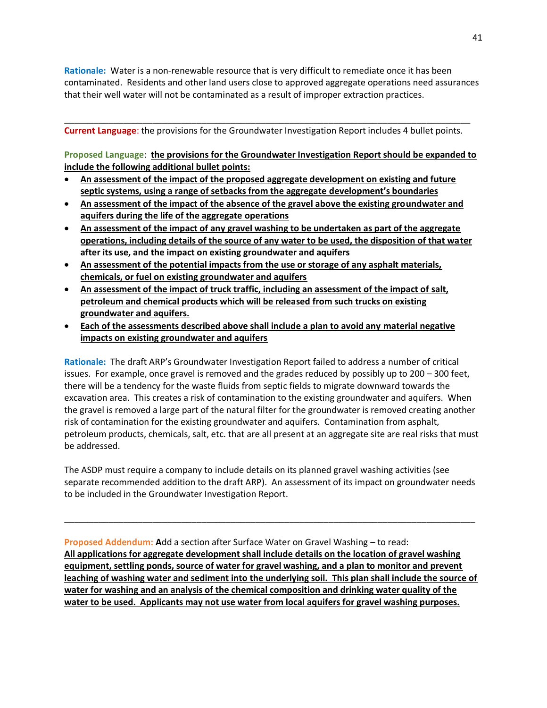**Rationale:** Water is a non-renewable resource that is very difficult to remediate once it has been contaminated. Residents and other land users close to approved aggregate operations need assurances that their well water will not be contaminated as a result of improper extraction practices.

\_\_\_\_\_\_\_\_\_\_\_\_\_\_\_\_\_\_\_\_\_\_\_\_\_\_\_\_\_\_\_\_\_\_\_\_\_\_\_\_\_\_\_\_\_\_\_\_\_\_\_\_\_\_\_\_\_\_\_\_\_\_\_\_\_\_\_\_\_\_\_\_\_\_\_\_\_\_\_\_\_\_\_ **Current Language**: the provisions for the Groundwater Investigation Report includes 4 bullet points.

**Proposed Language**: **the provisions for the Groundwater Investigation Report should be expanded to include the following additional bullet points:**

- **An assessment of the impact of the proposed aggregate development on existing and future septic systems, using a range of setbacks from the aggregate development's boundaries**
- **An assessment of the impact of the absence of the gravel above the existing groundwater and aquifers during the life of the aggregate operations**
- **An assessment of the impact of any gravel washing to be undertaken as part of the aggregate operations, including details of the source of any water to be used, the disposition of that water after its use, and the impact on existing groundwater and aquifers**
- **An assessment of the potential impacts from the use or storage of any asphalt materials, chemicals, or fuel on existing groundwater and aquifers**
- **An assessment of the impact of truck traffic, including an assessment of the impact of salt, petroleum and chemical products which will be released from such trucks on existing groundwater and aquifers.**
- **Each of the assessments described above shall include a plan to avoid any material negative impacts on existing groundwater and aquifers**

**Rationale:** The draft ARP's Groundwater Investigation Report failed to address a number of critical issues. For example, once gravel is removed and the grades reduced by possibly up to 200 – 300 feet, there will be a tendency for the waste fluids from septic fields to migrate downward towards the excavation area. This creates a risk of contamination to the existing groundwater and aquifers. When the gravel is removed a large part of the natural filter for the groundwater is removed creating another risk of contamination for the existing groundwater and aquifers. Contamination from asphalt, petroleum products, chemicals, salt, etc. that are all present at an aggregate site are real risks that must be addressed.

The ASDP must require a company to include details on its planned gravel washing activities (see separate recommended addition to the draft ARP). An assessment of its impact on groundwater needs to be included in the Groundwater Investigation Report.

\_\_\_\_\_\_\_\_\_\_\_\_\_\_\_\_\_\_\_\_\_\_\_\_\_\_\_\_\_\_\_\_\_\_\_\_\_\_\_\_\_\_\_\_\_\_\_\_\_\_\_\_\_\_\_\_\_\_\_\_\_\_\_\_\_\_\_\_\_\_\_\_\_\_\_\_\_\_\_\_\_\_\_\_

**Proposed Addendum: A**dd a section after Surface Water on Gravel Washing – to read: **All applications for aggregate development shall include details on the location of gravel washing equipment, settling ponds, source of water for gravel washing, and a plan to monitor and prevent leaching of washing water and sediment into the underlying soil. This plan shall include the source of water for washing and an analysis of the chemical composition and drinking water quality of the water to be used. Applicants may not use water from local aquifers for gravel washing purposes.**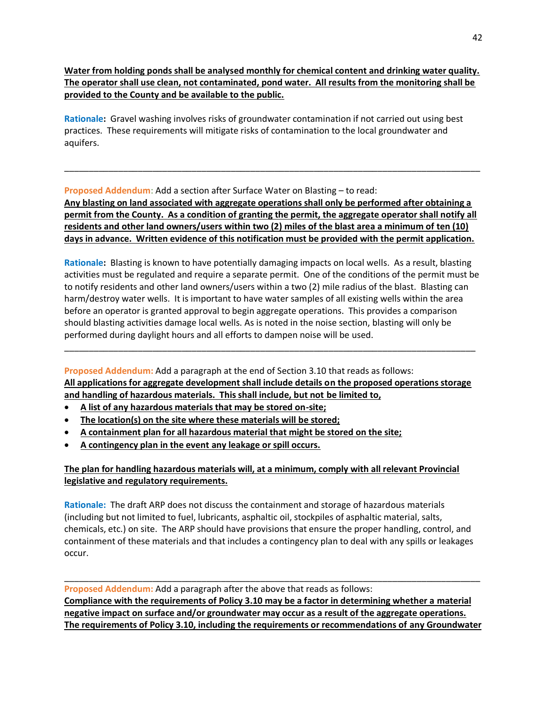**Water from holding ponds shall be analysed monthly for chemical content and drinking water quality. The operator shall use clean, not contaminated, pond water. All results from the monitoring shall be provided to the County and be available to the public.**

**Rationale:** Gravel washing involves risks of groundwater contamination if not carried out using best practices. These requirements will mitigate risks of contamination to the local groundwater and aquifers.

**Proposed Addendum**: Add a section after Surface Water on Blasting – to read:

**Any blasting on land associated with aggregate operations shall only be performed after obtaining a permit from the County. As a condition of granting the permit, the aggregate operator shall notify all residents and other land owners/users within two (2) miles of the blast area a minimum of ten (10) days in advance. Written evidence of this notification must be provided with the permit application.** 

\_\_\_\_\_\_\_\_\_\_\_\_\_\_\_\_\_\_\_\_\_\_\_\_\_\_\_\_\_\_\_\_\_\_\_\_\_\_\_\_\_\_\_\_\_\_\_\_\_\_\_\_\_\_\_\_\_\_\_\_\_\_\_\_\_\_\_\_\_\_\_\_\_\_\_\_\_\_\_\_\_\_\_\_\_

**Rationale:** Blasting is known to have potentially damaging impacts on local wells. As a result, blasting activities must be regulated and require a separate permit. One of the conditions of the permit must be to notify residents and other land owners/users within a two (2) mile radius of the blast. Blasting can harm/destroy water wells. It is important to have water samples of all existing wells within the area before an operator is granted approval to begin aggregate operations. This provides a comparison should blasting activities damage local wells. As is noted in the noise section, blasting will only be performed during daylight hours and all efforts to dampen noise will be used.

**Proposed Addendum:** Add a paragraph at the end of Section 3.10 that reads as follows: **All applications for aggregate development shall include details on the proposed operations storage and handling of hazardous materials. This shall include, but not be limited to,**

\_\_\_\_\_\_\_\_\_\_\_\_\_\_\_\_\_\_\_\_\_\_\_\_\_\_\_\_\_\_\_\_\_\_\_\_\_\_\_\_\_\_\_\_\_\_\_\_\_\_\_\_\_\_\_\_\_\_\_\_\_\_\_\_\_\_\_\_\_\_\_\_\_\_\_\_\_\_\_\_\_\_\_\_

- **A list of any hazardous materials that may be stored on-site;**
- **The location(s) on the site where these materials will be stored;**
- **A containment plan for all hazardous material that might be stored on the site;**
- **A contingency plan in the event any leakage or spill occurs.**

# **The plan for handling hazardous materials will, at a minimum, comply with all relevant Provincial legislative and regulatory requirements.**

**Rationale:** The draft ARP does not discuss the containment and storage of hazardous materials (including but not limited to fuel, lubricants, asphaltic oil, stockpiles of asphaltic material, salts, chemicals, etc.) on site. The ARP should have provisions that ensure the proper handling, control, and containment of these materials and that includes a contingency plan to deal with any spills or leakages occur.

**Proposed Addendum:** Add a paragraph after the above that reads as follows: **Compliance with the requirements of Policy 3.10 may be a factor in determining whether a material negative impact on surface and/or groundwater may occur as a result of the aggregate operations. The requirements of Policy 3.10, including the requirements or recommendations of any Groundwater** 

\_\_\_\_\_\_\_\_\_\_\_\_\_\_\_\_\_\_\_\_\_\_\_\_\_\_\_\_\_\_\_\_\_\_\_\_\_\_\_\_\_\_\_\_\_\_\_\_\_\_\_\_\_\_\_\_\_\_\_\_\_\_\_\_\_\_\_\_\_\_\_\_\_\_\_\_\_\_\_\_\_\_\_\_\_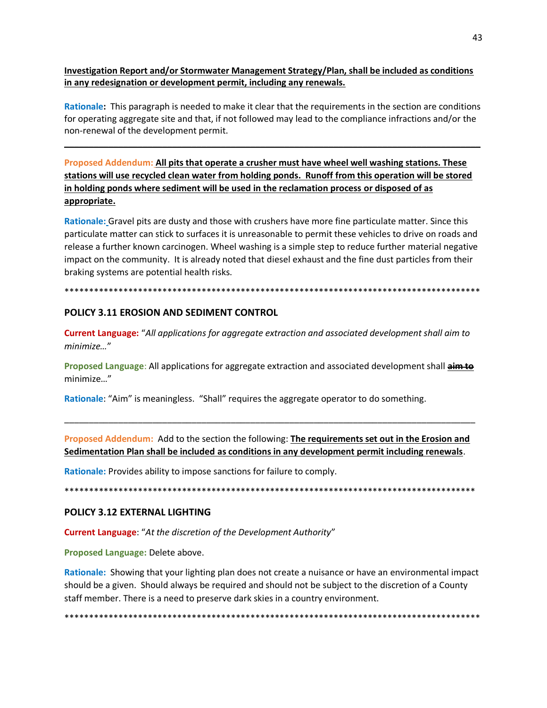**Investigation Report and/or Stormwater Management Strategy/Plan, shall be included as conditions in any redesignation or development permit, including any renewals.**

**Rationale:** This paragraph is needed to make it clear that the requirements in the section are conditions for operating aggregate site and that, if not followed may lead to the compliance infractions and/or the non-renewal of the development permit.

**\_\_\_\_\_\_\_\_\_\_\_\_\_\_\_\_\_\_\_\_\_\_\_\_\_\_\_\_\_\_\_\_\_\_\_\_\_\_\_\_\_\_\_\_\_\_\_\_\_\_\_\_\_\_\_\_\_\_\_\_\_\_\_\_\_\_\_\_\_\_\_\_\_\_\_\_\_\_\_\_\_\_\_\_\_**

**Proposed Addendum: All pits that operate a crusher must have wheel well washing stations. These stations will use recycled clean water from holding ponds. Runoff from this operation will be stored in holding ponds where sediment will be used in the reclamation process or disposed of as appropriate.**

**Rationale:** Gravel pits are dusty and those with crushers have more fine particulate matter. Since this particulate matter can stick to surfaces it is unreasonable to permit these vehicles to drive on roads and release a further known carcinogen. Wheel washing is a simple step to reduce further material negative impact on the community. It is already noted that diesel exhaust and the fine dust particles from their braking systems are potential health risks.

#### \*\*\*\*\*\*\*\*\*\*\*\*\*\*\*\*\*\*\*\*\*\*\*\*\*\*\*\*\*\*\*\*\*\*\*\*\*\*\*\*\*\*\*\*\*\*\*\*\*\*\*\*\*\*\*\*\*\*\*\*\*\*\*\*\*\*\*\*\*\*\*\*\*\*\*\*\*\*\*\*\*\*\*\*\*

#### **POLICY 3.11 EROSION AND SEDIMENT CONTROL**

**Current Language:** "*All applications for aggregate extraction and associated development shall aim to minimize…*"

**Proposed Language**: All applications for aggregate extraction and associated development shall **aim to** minimize…"

**Rationale**: "Aim" is meaningless. "Shall" requires the aggregate operator to do something.

**Proposed Addendum:** Add to the section the following: **The requirements set out in the Erosion and Sedimentation Plan shall be included as conditions in any development permit including renewals**.

\_\_\_\_\_\_\_\_\_\_\_\_\_\_\_\_\_\_\_\_\_\_\_\_\_\_\_\_\_\_\_\_\_\_\_\_\_\_\_\_\_\_\_\_\_\_\_\_\_\_\_\_\_\_\_\_\_\_\_\_\_\_\_\_\_\_\_\_\_\_\_\_\_\_\_\_\_\_\_\_\_\_\_\_

**Rationale:** Provides ability to impose sanctions for failure to comply.

\*\*\*\*\*\*\*\*\*\*\*\*\*\*\*\*\*\*\*\*\*\*\*\*\*\*\*\*\*\*\*\*\*\*\*\*\*\*\*\*\*\*\*\*\*\*\*\*\*\*\*\*\*\*\*\*\*\*\*\*\*\*\*\*\*\*\*\*\*\*\*\*\*\*\*\*\*\*\*\*\*\*\*\*

#### **POLICY 3.12 EXTERNAL LIGHTING**

**Current Language**: "*At the discretion of the Development Authority*"

**Proposed Language:** Delete above.

**Rationale:** Showing that your lighting plan does not create a nuisance or have an environmental impact should be a given. Should always be required and should not be subject to the discretion of a County staff member. There is a need to preserve dark skies in a country environment.

\*\*\*\*\*\*\*\*\*\*\*\*\*\*\*\*\*\*\*\*\*\*\*\*\*\*\*\*\*\*\*\*\*\*\*\*\*\*\*\*\*\*\*\*\*\*\*\*\*\*\*\*\*\*\*\*\*\*\*\*\*\*\*\*\*\*\*\*\*\*\*\*\*\*\*\*\*\*\*\*\*\*\*\*\*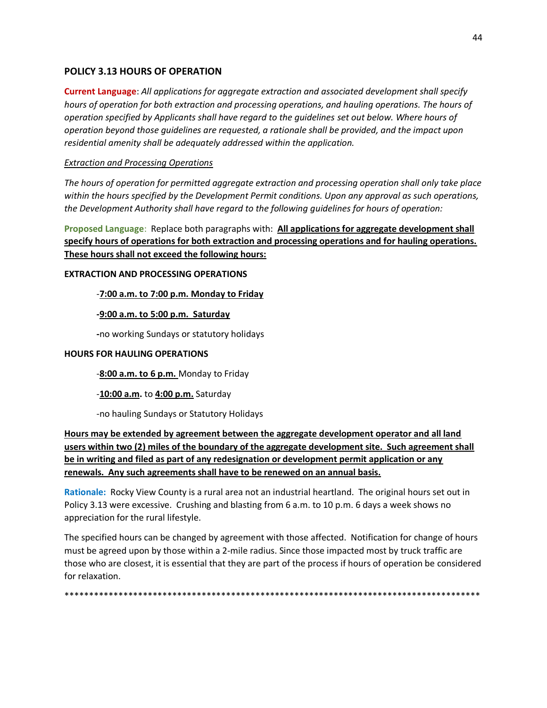# **POLICY 3.13 HOURS OF OPERATION**

**Current Language**: *All applications for aggregate extraction and associated development shall specify hours of operation for both extraction and processing operations, and hauling operations. The hours of operation specified by Applicants shall have regard to the guidelines set out below. Where hours of operation beyond those guidelines are requested, a rationale shall be provided, and the impact upon residential amenity shall be adequately addressed within the application.* 

## *Extraction and Processing Operations*

*The hours of operation for permitted aggregate extraction and processing operation shall only take place within the hours specified by the Development Permit conditions. Upon any approval as such operations, the Development Authority shall have regard to the following guidelines for hours of operation:*

**Proposed Language**: Replace both paragraphs with: **All applications for aggregate development shall specify hours of operations for both extraction and processing operations and for hauling operations. These hours shall not exceed the following hours:**

#### **EXTRACTION AND PROCESSING OPERATIONS**

## -**7:00 a.m. to 7:00 p.m. Monday to Friday**

## **-9:00 a.m. to 5:00 p.m. Saturday**

**-**no working Sundays or statutory holidays

#### **HOURS FOR HAULING OPERATIONS**

-**8:00 a.m. to 6 p.m.** Monday to Friday

## -**10:00 a.m.** to **4:00 p.m.** Saturday

-no hauling Sundays or Statutory Holidays

**Hours may be extended by agreement between the aggregate development operator and all land users within two (2) miles of the boundary of the aggregate development site. Such agreement shall be in writing and filed as part of any redesignation or development permit application or any renewals. Any such agreements shall have to be renewed on an annual basis.** 

**Rationale:** Rocky View County is a rural area not an industrial heartland. The original hours set out in Policy 3.13 were excessive. Crushing and blasting from 6 a.m. to 10 p.m. 6 days a week shows no appreciation for the rural lifestyle.

The specified hours can be changed by agreement with those affected. Notification for change of hours must be agreed upon by those within a 2-mile radius. Since those impacted most by truck traffic are those who are closest, it is essential that they are part of the process if hours of operation be considered for relaxation.

\*\*\*\*\*\*\*\*\*\*\*\*\*\*\*\*\*\*\*\*\*\*\*\*\*\*\*\*\*\*\*\*\*\*\*\*\*\*\*\*\*\*\*\*\*\*\*\*\*\*\*\*\*\*\*\*\*\*\*\*\*\*\*\*\*\*\*\*\*\*\*\*\*\*\*\*\*\*\*\*\*\*\*\*\*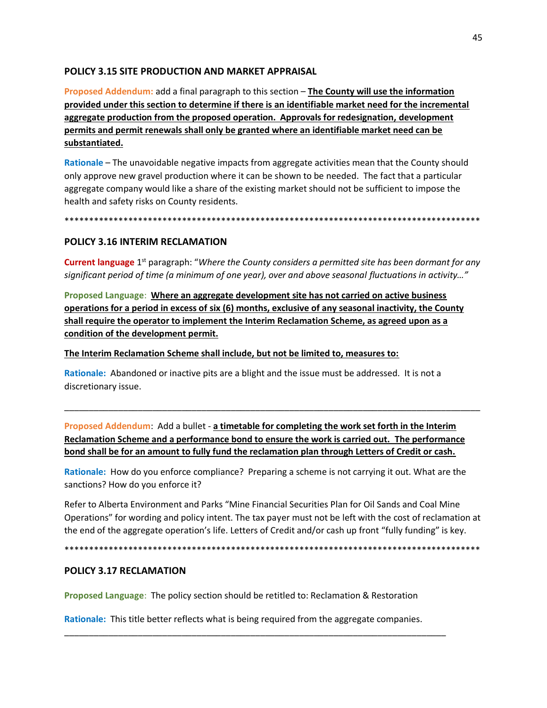# **POLICY 3.15 SITE PRODUCTION AND MARKET APPRAISAL**

**Proposed Addendum:** add a final paragraph to this section – **The County will use the information provided under this section to determine if there is an identifiable market need for the incremental aggregate production from the proposed operation. Approvals for redesignation, development permits and permit renewals shall only be granted where an identifiable market need can be substantiated.**

**Rationale** – The unavoidable negative impacts from aggregate activities mean that the County should only approve new gravel production where it can be shown to be needed. The fact that a particular aggregate company would like a share of the existing market should not be sufficient to impose the health and safety risks on County residents.

\*\*\*\*\*\*\*\*\*\*\*\*\*\*\*\*\*\*\*\*\*\*\*\*\*\*\*\*\*\*\*\*\*\*\*\*\*\*\*\*\*\*\*\*\*\*\*\*\*\*\*\*\*\*\*\*\*\*\*\*\*\*\*\*\*\*\*\*\*\*\*\*\*\*\*\*\*\*\*\*\*\*\*\*\*

#### **POLICY 3.16 INTERIM RECLAMATION**

Current language 1<sup>st</sup> paragraph: "Where the County considers a permitted site has been dormant for any *significant period of time (a minimum of one year), over and above seasonal fluctuations in activity…"*

**Proposed Language**: **Where an aggregate development site has not carried on active business operations for a period in excess of six (6) months, exclusive of any seasonal inactivity, the County shall require the operator to implement the Interim Reclamation Scheme, as agreed upon as a condition of the development permit.** 

**The Interim Reclamation Scheme shall include, but not be limited to, measures to:**

**Rationale:** Abandoned or inactive pits are a blight and the issue must be addressed. It is not a discretionary issue.

**Proposed Addendum**: Add a bullet - **a timetable for completing the work set forth in the Interim Reclamation Scheme and a performance bond to ensure the work is carried out. The performance bond shall be for an amount to fully fund the reclamation plan through Letters of Credit or cash.**

\_\_\_\_\_\_\_\_\_\_\_\_\_\_\_\_\_\_\_\_\_\_\_\_\_\_\_\_\_\_\_\_\_\_\_\_\_\_\_\_\_\_\_\_\_\_\_\_\_\_\_\_\_\_\_\_\_\_\_\_\_\_\_\_\_\_\_\_\_\_\_\_\_\_\_\_\_\_\_\_\_\_\_\_\_

**Rationale:** How do you enforce compliance? Preparing a scheme is not carrying it out. What are the sanctions? How do you enforce it?

Refer to Alberta Environment and Parks "Mine Financial Securities Plan for Oil Sands and Coal Mine Operations" for wording and policy intent. The tax payer must not be left with the cost of reclamation at the end of the aggregate operation's life. Letters of Credit and/or cash up front "fully funding" is key.

\*\*\*\*\*\*\*\*\*\*\*\*\*\*\*\*\*\*\*\*\*\*\*\*\*\*\*\*\*\*\*\*\*\*\*\*\*\*\*\*\*\*\*\*\*\*\*\*\*\*\*\*\*\*\*\*\*\*\*\*\*\*\*\*\*\*\*\*\*\*\*\*\*\*\*\*\*\*\*\*\*\*\*\*\*

## **POLICY 3.17 RECLAMATION**

**Proposed Language**: The policy section should be retitled to: Reclamation & Restoration

**Rationale:** This title better reflects what is being required from the aggregate companies.

\_\_\_\_\_\_\_\_\_\_\_\_\_\_\_\_\_\_\_\_\_\_\_\_\_\_\_\_\_\_\_\_\_\_\_\_\_\_\_\_\_\_\_\_\_\_\_\_\_\_\_\_\_\_\_\_\_\_\_\_\_\_\_\_\_\_\_\_\_\_\_\_\_\_\_\_\_\_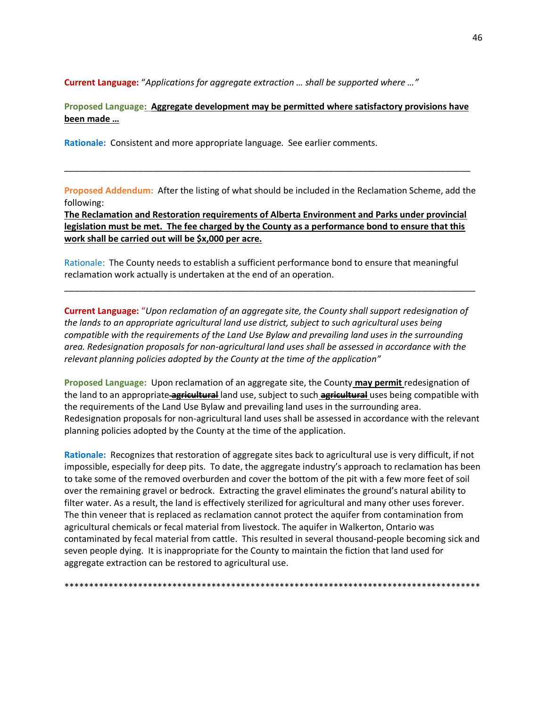**Current Language:** "*Applications for aggregate extraction … shall be supported where …"*

**Proposed Language: Aggregate development may be permitted where satisfactory provisions have been made …** 

**Rationale:** Consistent and more appropriate language. See earlier comments.

**Proposed Addendum:** After the listing of what should be included in the Reclamation Scheme, add the following:

\_\_\_\_\_\_\_\_\_\_\_\_\_\_\_\_\_\_\_\_\_\_\_\_\_\_\_\_\_\_\_\_\_\_\_\_\_\_\_\_\_\_\_\_\_\_\_\_\_\_\_\_\_\_\_\_\_\_\_\_\_\_\_\_\_\_\_\_\_\_\_\_\_\_\_\_\_\_\_\_\_\_\_

**The Reclamation and Restoration requirements of Alberta Environment and Parks under provincial legislation must be met. The fee charged by the County as a performance bond to ensure that this work shall be carried out will be \$x,000 per acre.** 

Rationale: The County needs to establish a sufficient performance bond to ensure that meaningful reclamation work actually is undertaken at the end of an operation.

\_\_\_\_\_\_\_\_\_\_\_\_\_\_\_\_\_\_\_\_\_\_\_\_\_\_\_\_\_\_\_\_\_\_\_\_\_\_\_\_\_\_\_\_\_\_\_\_\_\_\_\_\_\_\_\_\_\_\_\_\_\_\_\_\_\_\_\_\_\_\_\_\_\_\_\_\_\_\_\_\_\_\_\_

**Current Language:** "*Upon reclamation of an aggregate site, the County shall support redesignation of the lands to an appropriate agricultural land use district, subject to such agricultural uses being compatible with the requirements of the Land Use Bylaw and prevailing land uses in the surrounding area. Redesignation proposals for non-agricultural land uses shall be assessed in accordance with the relevant planning policies adopted by the County at the time of the application"*

**Proposed Language:** Upon reclamation of an aggregate site, the County **may permit** redesignation of the land to an appropriate **agricultural** land use, subject to such **agricultural** uses being compatible with the requirements of the Land Use Bylaw and prevailing land uses in the surrounding area. Redesignation proposals for non-agricultural land uses shall be assessed in accordance with the relevant planning policies adopted by the County at the time of the application.

**Rationale:** Recognizes that restoration of aggregate sites back to agricultural use is very difficult, if not impossible, especially for deep pits. To date, the aggregate industry's approach to reclamation has been to take some of the removed overburden and cover the bottom of the pit with a few more feet of soil over the remaining gravel or bedrock. Extracting the gravel eliminates the ground's natural ability to filter water. As a result, the land is effectively sterilized for agricultural and many other uses forever. The thin veneer that is replaced as reclamation cannot protect the aquifer from contamination from agricultural chemicals or fecal material from livestock. The aquifer in Walkerton, Ontario was contaminated by fecal material from cattle. This resulted in several thousand-people becoming sick and seven people dying. It is inappropriate for the County to maintain the fiction that land used for aggregate extraction can be restored to agricultural use.

\*\*\*\*\*\*\*\*\*\*\*\*\*\*\*\*\*\*\*\*\*\*\*\*\*\*\*\*\*\*\*\*\*\*\*\*\*\*\*\*\*\*\*\*\*\*\*\*\*\*\*\*\*\*\*\*\*\*\*\*\*\*\*\*\*\*\*\*\*\*\*\*\*\*\*\*\*\*\*\*\*\*\*\*\*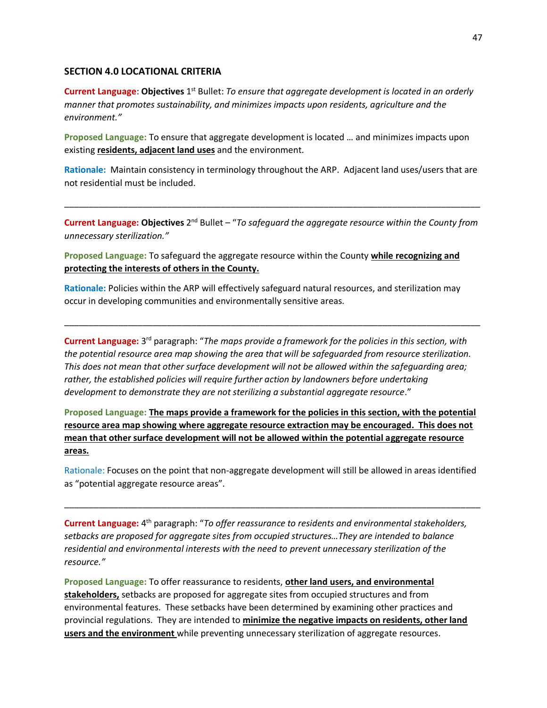#### **SECTION 4.0 LOCATIONAL CRITERIA**

Current Language: Objectives 1<sup>st</sup> Bullet: *To ensure that aggregate development is located in an orderly manner that promotes sustainability, and minimizes impacts upon residents, agriculture and the environment."*

**Proposed Language:** To ensure that aggregate development is located … and minimizes impacts upon existing **residents, adjacent land uses** and the environment.

**Rationale:** Maintain consistency in terminology throughout the ARP. Adjacent land uses/users that are not residential must be included.

**Current Language: Objectives** 2<sup>nd</sup> Bullet – "To safeguard the aggregate resource within the County from *unnecessary sterilization."*

\_\_\_\_\_\_\_\_\_\_\_\_\_\_\_\_\_\_\_\_\_\_\_\_\_\_\_\_\_\_\_\_\_\_\_\_\_\_\_\_\_\_\_\_\_\_\_\_\_\_\_\_\_\_\_\_\_\_\_\_\_\_\_\_\_\_\_\_\_\_\_\_\_\_\_\_\_\_\_\_\_\_\_\_\_

**Proposed Language:** To safeguard the aggregate resource within the County **while recognizing and protecting the interests of others in the County.**

**Rationale:** Policies within the ARP will effectively safeguard natural resources, and sterilization may occur in developing communities and environmentally sensitive areas.

Current Language: 3<sup>rd</sup> paragraph: "The maps provide a framework for the policies in this section, with *the potential resource area map showing the area that will be safeguarded from resource sterilization. This does not mean that other surface development will not be allowed within the safeguarding area; rather, the established policies will require further action by landowners before undertaking development to demonstrate they are not sterilizing a substantial aggregate resource*."

\_\_\_\_\_\_\_\_\_\_\_\_\_\_\_\_\_\_\_\_\_\_\_\_\_\_\_\_\_\_\_\_\_\_\_\_\_\_\_\_\_\_\_\_\_\_\_\_\_\_\_\_\_\_\_\_\_\_\_\_\_\_\_\_\_\_\_\_\_\_\_\_\_\_\_\_\_\_\_\_\_\_\_\_\_

**Proposed Language: The maps provide a framework for the policies in this section, with the potential resource area map showing where aggregate resource extraction may be encouraged. This does not mean that other surface development will not be allowed within the potential aggregate resource areas.** 

Rationale: Focuses on the point that non-aggregate development will still be allowed in areas identified as "potential aggregate resource areas".

\_\_\_\_\_\_\_\_\_\_\_\_\_\_\_\_\_\_\_\_\_\_\_\_\_\_\_\_\_\_\_\_\_\_\_\_\_\_\_\_\_\_\_\_\_\_\_\_\_\_\_\_\_\_\_\_\_\_\_\_\_\_\_\_\_\_\_\_\_\_\_\_\_\_\_\_\_\_\_\_\_\_\_\_\_

Current Language: 4<sup>th</sup> paragraph: "To offer reassurance to residents and environmental stakeholders, *setbacks are proposed for aggregate sites from occupied structures…They are intended to balance residential and environmental interests with the need to prevent unnecessary sterilization of the resource."*

**Proposed Language:** To offer reassurance to residents, **other land users, and environmental stakeholders,** setbacks are proposed for aggregate sites from occupied structures and from environmental features. These setbacks have been determined by examining other practices and provincial regulations. They are intended to **minimize the negative impacts on residents, other land users and the environment** while preventing unnecessary sterilization of aggregate resources.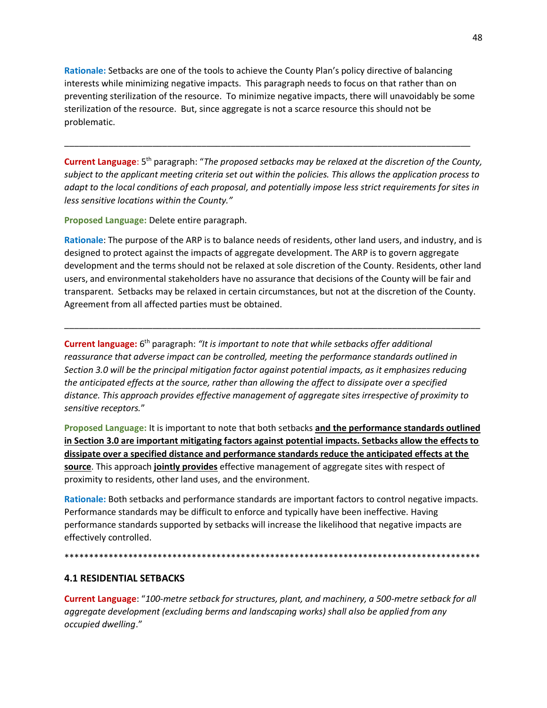**Rationale:** Setbacks are one of the tools to achieve the County Plan's policy directive of balancing interests while minimizing negative impacts. This paragraph needs to focus on that rather than on preventing sterilization of the resource. To minimize negative impacts, there will unavoidably be some sterilization of the resource. But, since aggregate is not a scarce resource this should not be problematic.

\_\_\_\_\_\_\_\_\_\_\_\_\_\_\_\_\_\_\_\_\_\_\_\_\_\_\_\_\_\_\_\_\_\_\_\_\_\_\_\_\_\_\_\_\_\_\_\_\_\_\_\_\_\_\_\_\_\_\_\_\_\_\_\_\_\_\_\_\_\_\_\_\_\_\_\_\_\_\_\_\_\_\_

Current Language: 5<sup>th</sup> paragraph: "*The proposed setbacks may be relaxed at the discretion of the County, subject to the applicant meeting criteria set out within the policies. This allows the application process to adapt to the local conditions of each proposal, and potentially impose less strict requirements for sites in less sensitive locations within the County."*

**Proposed Language:** Delete entire paragraph.

**Rationale**: The purpose of the ARP is to balance needs of residents, other land users, and industry, and is designed to protect against the impacts of aggregate development. The ARP is to govern aggregate development and the terms should not be relaxed at sole discretion of the County. Residents, other land users, and environmental stakeholders have no assurance that decisions of the County will be fair and transparent. Setbacks may be relaxed in certain circumstances, but not at the discretion of the County. Agreement from all affected parties must be obtained.

\_\_\_\_\_\_\_\_\_\_\_\_\_\_\_\_\_\_\_\_\_\_\_\_\_\_\_\_\_\_\_\_\_\_\_\_\_\_\_\_\_\_\_\_\_\_\_\_\_\_\_\_\_\_\_\_\_\_\_\_\_\_\_\_\_\_\_\_\_\_\_\_\_\_\_\_\_\_\_\_\_\_\_\_\_

Current language: 6<sup>th</sup> paragraph: "It is important to note that while setbacks offer additional *reassurance that adverse impact can be controlled, meeting the performance standards outlined in Section 3.0 will be the principal mitigation factor against potential impacts, as it emphasizes reducing the anticipated effects at the source, rather than allowing the affect to dissipate over a specified distance. This approach provides effective management of aggregate sites irrespective of proximity to sensitive receptors.*"

**Proposed Language:** It is important to note that both setbacks **and the performance standards outlined in Section 3.0 are important mitigating factors against potential impacts. Setbacks allow the effects to dissipate over a specified distance and performance standards reduce the anticipated effects at the source**. This approach **jointly provides** effective management of aggregate sites with respect of proximity to residents, other land uses, and the environment.

**Rationale:** Both setbacks and performance standards are important factors to control negative impacts. Performance standards may be difficult to enforce and typically have been ineffective. Having performance standards supported by setbacks will increase the likelihood that negative impacts are effectively controlled.

\*\*\*\*\*\*\*\*\*\*\*\*\*\*\*\*\*\*\*\*\*\*\*\*\*\*\*\*\*\*\*\*\*\*\*\*\*\*\*\*\*\*\*\*\*\*\*\*\*\*\*\*\*\*\*\*\*\*\*\*\*\*\*\*\*\*\*\*\*\*\*\*\*\*\*\*\*\*\*\*\*\*\*\*\*

#### **4.1 RESIDENTIAL SETBACKS**

**Current Language**: "*100-metre setback for structures, plant, and machinery, a 500-metre setback for all aggregate development (excluding berms and landscaping works) shall also be applied from any occupied dwelling*."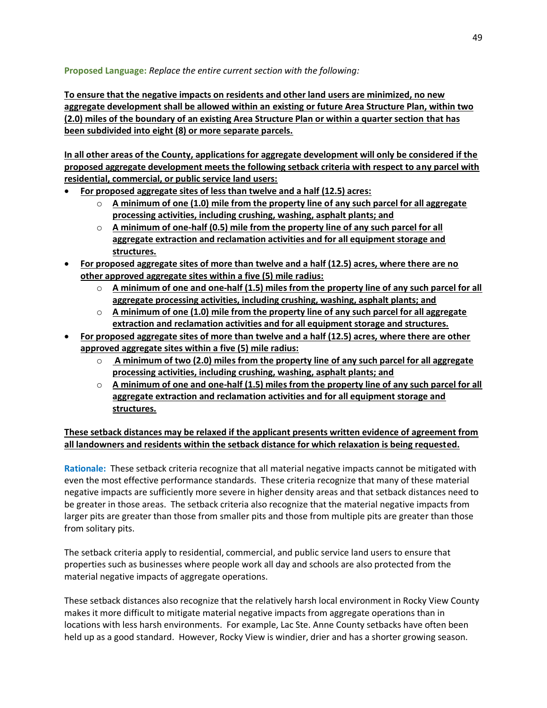**Proposed Language:** *Replace the entire current section with the following:*

**To ensure that the negative impacts on residents and other land users are minimized, no new aggregate development shall be allowed within an existing or future Area Structure Plan, within two (2.0) miles of the boundary of an existing Area Structure Plan or within a quarter section that has been subdivided into eight (8) or more separate parcels.**

**In all other areas of the County, applications for aggregate development will only be considered if the proposed aggregate development meets the following setback criteria with respect to any parcel with residential, commercial, or public service land users:**

- **For proposed aggregate sites of less than twelve and a half (12.5) acres:**
	- o **A minimum of one (1.0) mile from the property line of any such parcel for all aggregate processing activities, including crushing, washing, asphalt plants; and**
	- o **A minimum of one-half (0.5) mile from the property line of any such parcel for all aggregate extraction and reclamation activities and for all equipment storage and structures.**
- **For proposed aggregate sites of more than twelve and a half (12.5) acres, where there are no other approved aggregate sites within a five (5) mile radius:**
	- o **A minimum of one and one-half (1.5) miles from the property line of any such parcel for all aggregate processing activities, including crushing, washing, asphalt plants; and**
	- o **A minimum of one (1.0) mile from the property line of any such parcel for all aggregate extraction and reclamation activities and for all equipment storage and structures.**
- **For proposed aggregate sites of more than twelve and a half (12.5) acres, where there are other approved aggregate sites within a five (5) mile radius:**
	- o **A minimum of two (2.0) miles from the property line of any such parcel for all aggregate processing activities, including crushing, washing, asphalt plants; and**
	- o **A minimum of one and one-half (1.5) miles from the property line of any such parcel for all aggregate extraction and reclamation activities and for all equipment storage and structures.**

**These setback distances may be relaxed if the applicant presents written evidence of agreement from all landowners and residents within the setback distance for which relaxation is being requested.**

**Rationale:** These setback criteria recognize that all material negative impacts cannot be mitigated with even the most effective performance standards. These criteria recognize that many of these material negative impacts are sufficiently more severe in higher density areas and that setback distances need to be greater in those areas. The setback criteria also recognize that the material negative impacts from larger pits are greater than those from smaller pits and those from multiple pits are greater than those from solitary pits.

The setback criteria apply to residential, commercial, and public service land users to ensure that properties such as businesses where people work all day and schools are also protected from the material negative impacts of aggregate operations.

These setback distances also recognize that the relatively harsh local environment in Rocky View County makes it more difficult to mitigate material negative impacts from aggregate operations than in locations with less harsh environments. For example, Lac Ste. Anne County setbacks have often been held up as a good standard. However, Rocky View is windier, drier and has a shorter growing season.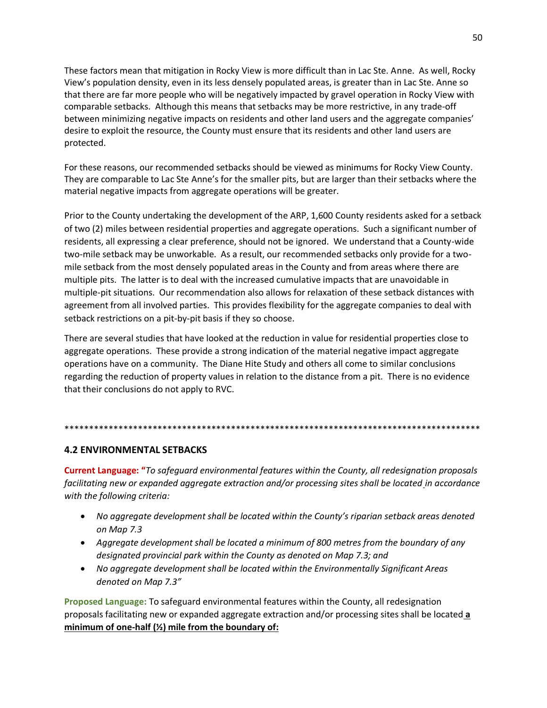These factors mean that mitigation in Rocky View is more difficult than in Lac Ste. Anne. As well, Rocky View's population density, even in its less densely populated areas, is greater than in Lac Ste. Anne so that there are far more people who will be negatively impacted by gravel operation in Rocky View with comparable setbacks. Although this means that setbacks may be more restrictive, in any trade-off between minimizing negative impacts on residents and other land users and the aggregate companies' desire to exploit the resource, the County must ensure that its residents and other land users are protected.

For these reasons, our recommended setbacks should be viewed as minimums for Rocky View County. They are comparable to Lac Ste Anne's for the smaller pits, but are larger than their setbacks where the material negative impacts from aggregate operations will be greater.

Prior to the County undertaking the development of the ARP, 1,600 County residents asked for a setback of two (2) miles between residential properties and aggregate operations. Such a significant number of residents, all expressing a clear preference, should not be ignored. We understand that a County-wide two-mile setback may be unworkable. As a result, our recommended setbacks only provide for a twomile setback from the most densely populated areas in the County and from areas where there are multiple pits. The latter is to deal with the increased cumulative impacts that are unavoidable in multiple-pit situations. Our recommendation also allows for relaxation of these setback distances with agreement from all involved parties. This provides flexibility for the aggregate companies to deal with setback restrictions on a pit-by-pit basis if they so choose.

There are several studies that have looked at the reduction in value for residential properties close to aggregate operations. These provide a strong indication of the material negative impact aggregate operations have on a community. The Diane Hite Study and others all come to similar conclusions regarding the reduction of property values in relation to the distance from a pit. There is no evidence that their conclusions do not apply to RVC.

#### \*\*\*\*\*\*\*\*\*\*\*\*\*\*\*\*\*\*\*\*\*\*\*\*\*\*\*\*\*\*\*\*\*\*\*\*\*\*\*\*\*\*\*\*\*\*\*\*\*\*\*\*\*\*\*\*\*\*\*\*\*\*\*\*\*\*\*\*\*\*\*\*\*\*\*\*\*\*\*\*\*\*\*\*\*

## **4.2 ENVIRONMENTAL SETBACKS**

**Current Language: "***To safeguard environmental features within the County, all redesignation proposals facilitating new or expanded aggregate extraction and/or processing sites shall be located in accordance with the following criteria:*

- *No aggregate development shall be located within the County's riparian setback areas denoted on Map 7.3*
- *Aggregate development shall be located a minimum of 800 metres from the boundary of any designated provincial park within the County as denoted on Map 7.3; and*
- *No aggregate development shall be located within the Environmentally Significant Areas denoted on Map 7.3"*

**Proposed Language:** To safeguard environmental features within the County, all redesignation proposals facilitating new or expanded aggregate extraction and/or processing sites shall be located **a minimum of one-half (½) mile from the boundary of:**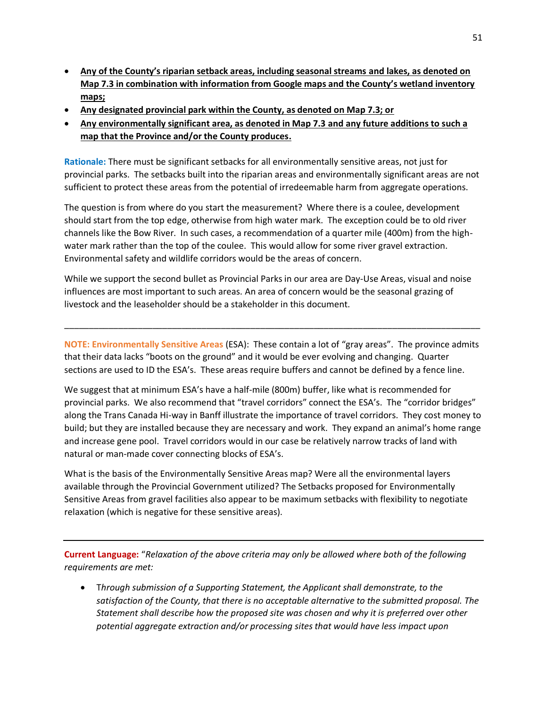- **Any of the County's riparian setback areas, including seasonal streams and lakes, as denoted on Map 7.3 in combination with information from Google maps and the County's wetland inventory maps;**
- **Any designated provincial park within the County, as denoted on Map 7.3; or**
- **Any environmentally significant area, as denoted in Map 7.3 and any future additions to such a map that the Province and/or the County produces.**

**Rationale:** There must be significant setbacks for all environmentally sensitive areas, not just for provincial parks. The setbacks built into the riparian areas and environmentally significant areas are not sufficient to protect these areas from the potential of irredeemable harm from aggregate operations.

The question is from where do you start the measurement? Where there is a coulee, development should start from the top edge, otherwise from high water mark. The exception could be to old river channels like the Bow River. In such cases, a recommendation of a quarter mile (400m) from the highwater mark rather than the top of the coulee. This would allow for some river gravel extraction. Environmental safety and wildlife corridors would be the areas of concern.

While we support the second bullet as Provincial Parks in our area are Day-Use Areas, visual and noise influences are most important to such areas. An area of concern would be the seasonal grazing of livestock and the leaseholder should be a stakeholder in this document.

**NOTE: Environmentally Sensitive Areas** (ESA): These contain a lot of "gray areas". The province admits that their data lacks "boots on the ground" and it would be ever evolving and changing. Quarter sections are used to ID the ESA's. These areas require buffers and cannot be defined by a fence line.

\_\_\_\_\_\_\_\_\_\_\_\_\_\_\_\_\_\_\_\_\_\_\_\_\_\_\_\_\_\_\_\_\_\_\_\_\_\_\_\_\_\_\_\_\_\_\_\_\_\_\_\_\_\_\_\_\_\_\_\_\_\_\_\_\_\_\_\_\_\_\_\_\_\_\_\_\_\_\_\_\_\_\_\_\_

We suggest that at minimum ESA's have a half-mile (800m) buffer, like what is recommended for provincial parks. We also recommend that "travel corridors" connect the ESA's. The "corridor bridges" along the Trans Canada Hi-way in Banff illustrate the importance of travel corridors. They cost money to build; but they are installed because they are necessary and work. They expand an animal's home range and increase gene pool. Travel corridors would in our case be relatively narrow tracks of land with natural or man-made cover connecting blocks of ESA's.

What is the basis of the Environmentally Sensitive Areas map? Were all the environmental layers available through the Provincial Government utilized? The Setbacks proposed for Environmentally Sensitive Areas from gravel facilities also appear to be maximum setbacks with flexibility to negotiate relaxation (which is negative for these sensitive areas).

**Current Language:** "*Relaxation of the above criteria may only be allowed where both of the following requirements are met:*

• T*hrough submission of a Supporting Statement, the Applicant shall demonstrate, to the satisfaction of the County, that there is no acceptable alternative to the submitted proposal. The Statement shall describe how the proposed site was chosen and why it is preferred over other potential aggregate extraction and/or processing sites that would have less impact upon*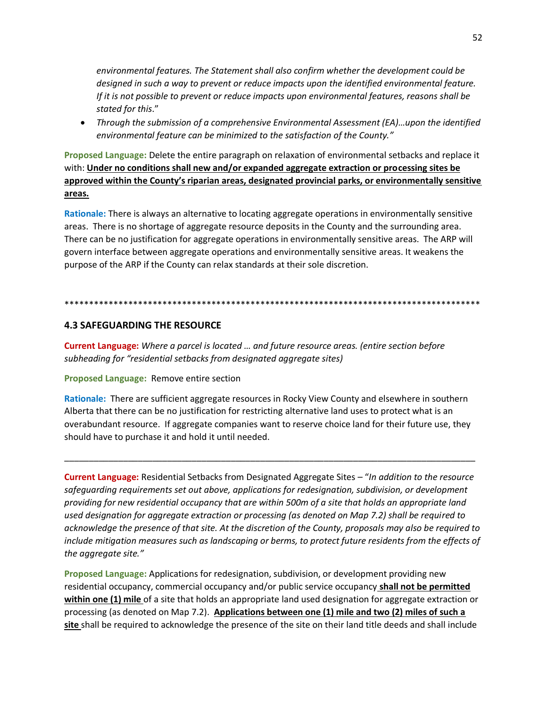environmental features. The Statement shall also confirm whether the development could be designed in such a way to prevent or reduce impacts upon the identified environmental feature. If it is not possible to prevent or reduce impacts upon environmental features, reasons shall be stated for this."

• Through the submission of a comprehensive Environmental Assessment (EA)...upon the identified environmental feature can be minimized to the satisfaction of the County."

Proposed Language: Delete the entire paragraph on relaxation of environmental setbacks and replace it with: Under no conditions shall new and/or expanded aggregate extraction or processing sites be approved within the County's riparian areas, designated provincial parks, or environmentally sensitive areas.

Rationale: There is always an alternative to locating aggregate operations in environmentally sensitive areas. There is no shortage of aggregate resource deposits in the County and the surrounding area. There can be no justification for aggregate operations in environmentally sensitive areas. The ARP will govern interface between aggregate operations and environmentally sensitive areas. It weakens the purpose of the ARP if the County can relax standards at their sole discretion.

#### 

## **4.3 SAFEGUARDING THE RESOURCE**

Current Language: Where a parcel is located ... and future resource areas. (entire section before subheading for "residential setbacks from designated aggregate sites)

#### Proposed Language: Remove entire section

Rationale: There are sufficient aggregate resources in Rocky View County and elsewhere in southern Alberta that there can be no justification for restricting alternative land uses to protect what is an overabundant resource. If aggregate companies want to reserve choice land for their future use, they should have to purchase it and hold it until needed.

Current Language: Residential Setbacks from Designated Aggregate Sites - "In addition to the resource safeguarding requirements set out above, applications for redesignation, subdivision, or development providing for new residential occupancy that are within 500m of a site that holds an appropriate land used designation for aggregate extraction or processing (as denoted on Map 7.2) shall be required to acknowledge the presence of that site. At the discretion of the County, proposals may also be required to include mitigation measures such as landscaping or berms, to protect future residents from the effects of the aggregate site."

Proposed Language: Applications for redesignation, subdivision, or development providing new residential occupancy, commercial occupancy and/or public service occupancy shall not be permitted within one (1) mile of a site that holds an appropriate land used designation for aggregate extraction or processing (as denoted on Map 7.2). Applications between one (1) mile and two (2) miles of such a site shall be required to acknowledge the presence of the site on their land title deeds and shall include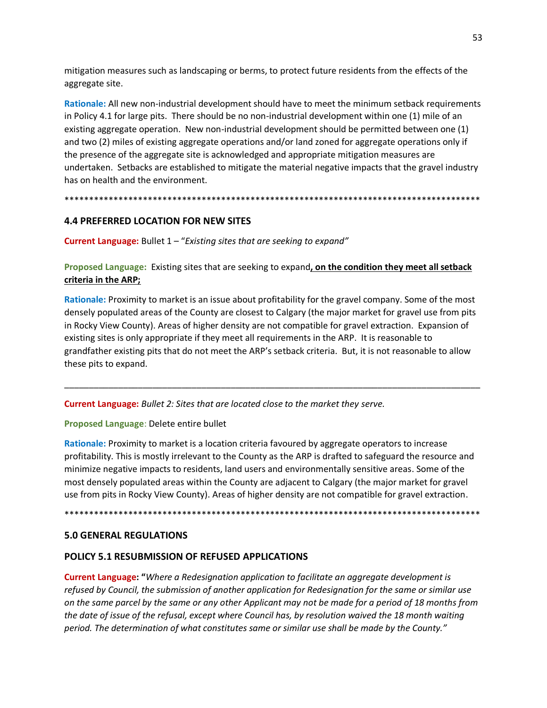mitigation measures such as landscaping or berms, to protect future residents from the effects of the aggregate site.

**Rationale:** All new non-industrial development should have to meet the minimum setback requirements in Policy 4.1 for large pits. There should be no non-industrial development within one (1) mile of an existing aggregate operation. New non-industrial development should be permitted between one (1) and two (2) miles of existing aggregate operations and/or land zoned for aggregate operations only if the presence of the aggregate site is acknowledged and appropriate mitigation measures are undertaken. Setbacks are established to mitigate the material negative impacts that the gravel industry has on health and the environment.

\*\*\*\*\*\*\*\*\*\*\*\*\*\*\*\*\*\*\*\*\*\*\*\*\*\*\*\*\*\*\*\*\*\*\*\*\*\*\*\*\*\*\*\*\*\*\*\*\*\*\*\*\*\*\*\*\*\*\*\*\*\*\*\*\*\*\*\*\*\*\*\*\*\*\*\*\*\*\*\*\*\*\*\*\*

# **4.4 PREFERRED LOCATION FOR NEW SITES**

**Current Language:** Bullet 1 – "*Existing sites that are seeking to expand"*

**Proposed Language:** Existing sites that are seeking to expand**, on the condition they meet all setback criteria in the ARP;**

**Rationale:** Proximity to market is an issue about profitability for the gravel company. Some of the most densely populated areas of the County are closest to Calgary (the major market for gravel use from pits in Rocky View County). Areas of higher density are not compatible for gravel extraction. Expansion of existing sites is only appropriate if they meet all requirements in the ARP. It is reasonable to grandfather existing pits that do not meet the ARP's setback criteria. But, it is not reasonable to allow these pits to expand.

\_\_\_\_\_\_\_\_\_\_\_\_\_\_\_\_\_\_\_\_\_\_\_\_\_\_\_\_\_\_\_\_\_\_\_\_\_\_\_\_\_\_\_\_\_\_\_\_\_\_\_\_\_\_\_\_\_\_\_\_\_\_\_\_\_\_\_\_\_\_\_\_\_\_\_\_\_\_\_\_\_\_\_\_\_

**Current Language:** *Bullet 2: Sites that are located close to the market they serve.*

**Proposed Language**: Delete entire bullet

**Rationale:** Proximity to market is a location criteria favoured by aggregate operators to increase profitability. This is mostly irrelevant to the County as the ARP is drafted to safeguard the resource and minimize negative impacts to residents, land users and environmentally sensitive areas. Some of the most densely populated areas within the County are adjacent to Calgary (the major market for gravel use from pits in Rocky View County). Areas of higher density are not compatible for gravel extraction.

\*\*\*\*\*\*\*\*\*\*\*\*\*\*\*\*\*\*\*\*\*\*\*\*\*\*\*\*\*\*\*\*\*\*\*\*\*\*\*\*\*\*\*\*\*\*\*\*\*\*\*\*\*\*\*\*\*\*\*\*\*\*\*\*\*\*\*\*\*\*\*\*\*\*\*\*\*\*\*\*\*\*\*\*\*

## **5.0 GENERAL REGULATIONS**

# **POLICY 5.1 RESUBMISSION OF REFUSED APPLICATIONS**

**Current Language: "***Where a Redesignation application to facilitate an aggregate development is refused by Council, the submission of another application for Redesignation for the same or similar use on the same parcel by the same or any other Applicant may not be made for a period of 18 months from the date of issue of the refusal, except where Council has, by resolution waived the 18 month waiting period. The determination of what constitutes same or similar use shall be made by the County."*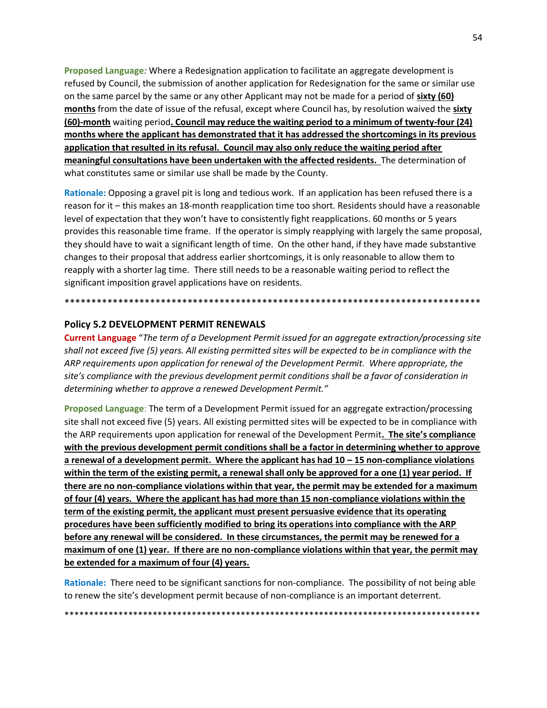**Proposed Language***:* Where a Redesignation application to facilitate an aggregate development is refused by Council, the submission of another application for Redesignation for the same or similar use on the same parcel by the same or any other Applicant may not be made for a period of **sixty (60) months** from the date of issue of the refusal, except where Council has, by resolution waived the **sixty (60)-month** waiting period**. Council may reduce the waiting period to a minimum of twenty-four (24) months where the applicant has demonstrated that it has addressed the shortcomings in its previous application that resulted in its refusal. Council may also only reduce the waiting period after meaningful consultations have been undertaken with the affected residents.** The determination of what constitutes same or similar use shall be made by the County.

**Rationale:** Opposing a gravel pit is long and tedious work. If an application has been refused there is a reason for it – this makes an 18-month reapplication time too short. Residents should have a reasonable level of expectation that they won't have to consistently fight reapplications. 60 months or 5 years provides this reasonable time frame. If the operator is simply reapplying with largely the same proposal, they should have to wait a significant length of time. On the other hand, if they have made substantive changes to their proposal that address earlier shortcomings, it is only reasonable to allow them to reapply with a shorter lag time. There still needs to be a reasonable waiting period to reflect the significant imposition gravel applications have on residents.

# \*\*\*\*\*\*\*\*\*\*\*\*\*\*\*\*\*\*\*\*\*\*\*\*\*\*\*\*\*\*\*\*\*\*\*\*\*\*\*\*\*\*\*\*\*\*\*\*\*\*\*\*\*\*\*\*\*\*\*\*\*\*\*\*\*\*\*\*\*\*\*\*\*\*\*\*\*\*

#### **Policy 5.2 DEVELOPMENT PERMIT RENEWALS**

**Current Language** "*The term of a Development Permit issued for an aggregate extraction/processing site shall not exceed five (5) years. All existing permitted sites will be expected to be in compliance with the ARP requirements upon application for renewal of the Development Permit. Where appropriate, the site's compliance with the previous development permit conditions shall be a favor of consideration in determining whether to approve a renewed Development Permit."*

**Proposed Language**: The term of a Development Permit issued for an aggregate extraction/processing site shall not exceed five (5) years. All existing permitted sites will be expected to be in compliance with the ARP requirements upon application for renewal of the Development Permit**. The site's compliance with the previous development permit conditions shall be a factor in determining whether to approve a renewal of a development permit. Where the applicant has had 10 – 15 non-compliance violations within the term of the existing permit, a renewal shall only be approved for a one (1) year period. If there are no non-compliance violations within that year, the permit may be extended for a maximum of four (4) years. Where the applicant has had more than 15 non-compliance violations within the term of the existing permit, the applicant must present persuasive evidence that its operating procedures have been sufficiently modified to bring its operations into compliance with the ARP before any renewal will be considered. In these circumstances, the permit may be renewed for a maximum of one (1) year. If there are no non-compliance violations within that year, the permit may be extended for a maximum of four (4) years.**

**Rationale:** There need to be significant sanctions for non-compliance. The possibility of not being able to renew the site's development permit because of non-compliance is an important deterrent.

\*\*\*\*\*\*\*\*\*\*\*\*\*\*\*\*\*\*\*\*\*\*\*\*\*\*\*\*\*\*\*\*\*\*\*\*\*\*\*\*\*\*\*\*\*\*\*\*\*\*\*\*\*\*\*\*\*\*\*\*\*\*\*\*\*\*\*\*\*\*\*\*\*\*\*\*\*\*\*\*\*\*\*\*\*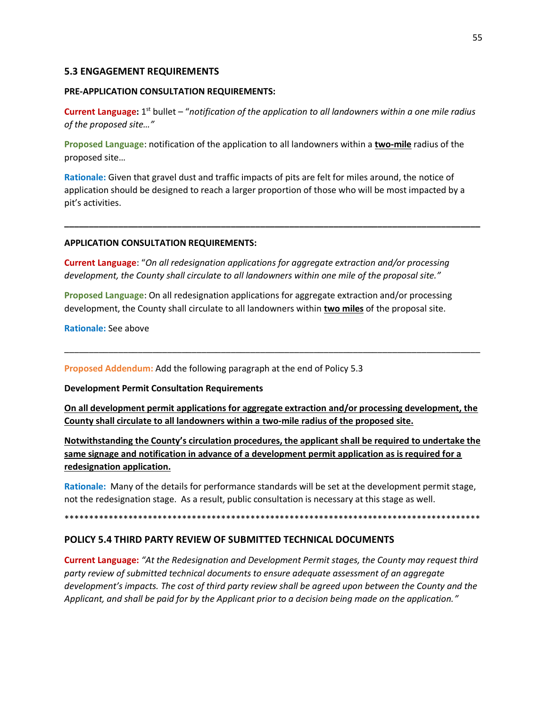#### **5.3 ENGAGEMENT REQUIREMENTS**

#### **PRE-APPLICATION CONSULTATION REQUIREMENTS:**

Current Language: 1<sup>st</sup> bullet – "notification of the application to all landowners within a one mile radius *of the proposed site…"*

**Proposed Language**: notification of the application to all landowners within a **two-mile** radius of the proposed site…

**Rationale:** Given that gravel dust and traffic impacts of pits are felt for miles around, the notice of application should be designed to reach a larger proportion of those who will be most impacted by a pit's activities.

**\_\_\_\_\_\_\_\_\_\_\_\_\_\_\_\_\_\_\_\_\_\_\_\_\_\_\_\_\_\_\_\_\_\_\_\_\_\_\_\_\_\_\_\_\_\_\_\_\_\_\_\_\_\_\_\_\_\_\_\_\_\_\_\_\_\_\_\_\_\_\_\_\_\_\_\_\_\_\_\_\_\_\_\_\_**

#### **APPLICATION CONSULTATION REQUIREMENTS:**

**Current Language**: "*On all redesignation applications for aggregate extraction and/or processing development, the County shall circulate to all landowners within one mile of the proposal site."*

**Proposed Language**: On all redesignation applications for aggregate extraction and/or processing development, the County shall circulate to all landowners within **two miles** of the proposal site.

**Rationale:** See above

**Proposed Addendum:** Add the following paragraph at the end of Policy 5.3

**Development Permit Consultation Requirements**

**On all development permit applications for aggregate extraction and/or processing development, the County shall circulate to all landowners within a two-mile radius of the proposed site.**

\_\_\_\_\_\_\_\_\_\_\_\_\_\_\_\_\_\_\_\_\_\_\_\_\_\_\_\_\_\_\_\_\_\_\_\_\_\_\_\_\_\_\_\_\_\_\_\_\_\_\_\_\_\_\_\_\_\_\_\_\_\_\_\_\_\_\_\_\_\_\_\_\_\_\_\_\_\_\_\_\_\_\_\_\_

**Notwithstanding the County's circulation procedures, the applicant shall be required to undertake the same signage and notification in advance of a development permit application as is required for a redesignation application.**

**Rationale:** Many of the details for performance standards will be set at the development permit stage, not the redesignation stage. As a result, public consultation is necessary at this stage as well.

\*\*\*\*\*\*\*\*\*\*\*\*\*\*\*\*\*\*\*\*\*\*\*\*\*\*\*\*\*\*\*\*\*\*\*\*\*\*\*\*\*\*\*\*\*\*\*\*\*\*\*\*\*\*\*\*\*\*\*\*\*\*\*\*\*\*\*\*\*\*\*\*\*\*\*\*\*\*\*\*\*\*\*\*\*

#### **POLICY 5.4 THIRD PARTY REVIEW OF SUBMITTED TECHNICAL DOCUMENTS**

**Current Language:** *"At the Redesignation and Development Permit stages, the County may request third party review of submitted technical documents to ensure adequate assessment of an aggregate development's impacts. The cost of third party review shall be agreed upon between the County and the Applicant, and shall be paid for by the Applicant prior to a decision being made on the application."*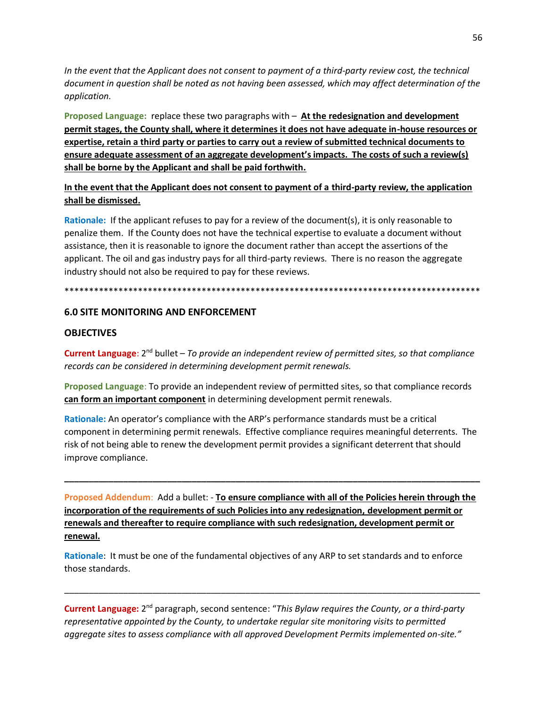In the event that the Applicant does not consent to payment of a third-party review cost, the technical document in question shall be noted as not having been assessed, which may affect determination of the application.

Proposed Language: replace these two paragraphs with  $-$  At the redesignation and development permit stages, the County shall, where it determines it does not have adequate in-house resources or expertise, retain a third party or parties to carry out a review of submitted technical documents to ensure adequate assessment of an aggregate development's impacts. The costs of such a review(s) shall be borne by the Applicant and shall be paid forthwith.

In the event that the Applicant does not consent to payment of a third-party review, the application shall be dismissed.

Rationale: If the applicant refuses to pay for a review of the document(s), it is only reasonable to penalize them. If the County does not have the technical expertise to evaluate a document without assistance, then it is reasonable to ignore the document rather than accept the assertions of the applicant. The oil and gas industry pays for all third-party reviews. There is no reason the aggregate industry should not also be required to pay for these reviews.

#### 

#### **6.0 SITE MONITORING AND ENFORCEMENT**

#### **OBJECTIVES**

**Current Language**:  $2^{nd}$  bullet - To provide an independent review of permitted sites, so that compliance records can be considered in determining development permit renewals.

Proposed Language: To provide an independent review of permitted sites, so that compliance records can form an important component in determining development permit renewals.

Rationale: An operator's compliance with the ARP's performance standards must be a critical component in determining permit renewals. Effective compliance requires meaningful deterrents. The risk of not being able to renew the development permit provides a significant deterrent that should improve compliance.

Proposed Addendum: Add a bullet: - To ensure compliance with all of the Policies herein through the incorporation of the requirements of such Policies into any redesignation, development permit or renewals and thereafter to require compliance with such redesignation, development permit or renewal.

Rationale: It must be one of the fundamental objectives of any ARP to set standards and to enforce those standards.

Current Language: 2<sup>nd</sup> paragraph, second sentence: "This Bylaw requires the County, or a third-party representative appointed by the County, to undertake regular site monitoring visits to permitted aggregate sites to assess compliance with all approved Development Permits implemented on-site."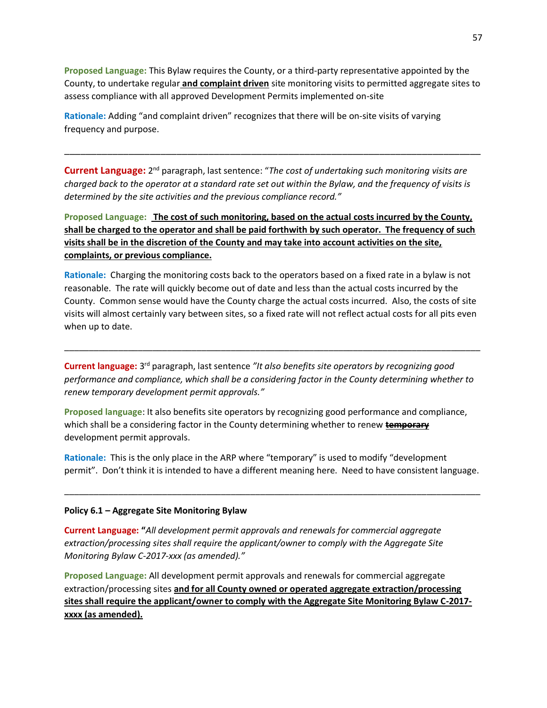**Proposed Language:** This Bylaw requires the County, or a third-party representative appointed by the County, to undertake regular **and complaint driven** site monitoring visits to permitted aggregate sites to assess compliance with all approved Development Permits implemented on-site

**Rationale:** Adding "and complaint driven" recognizes that there will be on-site visits of varying frequency and purpose.

**Current Language:** 2<sup>nd</sup> paragraph, last sentence: "*The cost of undertaking such monitoring visits are charged back to the operator at a standard rate set out within the Bylaw, and the frequency of visits is determined by the site activities and the previous compliance record."*

\_\_\_\_\_\_\_\_\_\_\_\_\_\_\_\_\_\_\_\_\_\_\_\_\_\_\_\_\_\_\_\_\_\_\_\_\_\_\_\_\_\_\_\_\_\_\_\_\_\_\_\_\_\_\_\_\_\_\_\_\_\_\_\_\_\_\_\_\_\_\_\_\_\_\_\_\_\_

**Proposed Language: The cost of such monitoring, based on the actual costs incurred by the County, shall be charged to the operator and shall be paid forthwith by such operator. The frequency of such visits shall be in the discretion of the County and may take into account activities on the site, complaints, or previous compliance.**

**Rationale:** Charging the monitoring costs back to the operators based on a fixed rate in a bylaw is not reasonable. The rate will quickly become out of date and less than the actual costs incurred by the County. Common sense would have the County charge the actual costs incurred. Also, the costs of site visits will almost certainly vary between sites, so a fixed rate will not reflect actual costs for all pits even when up to date.

Current language: 3<sup>rd</sup> paragraph, last sentence "It also benefits site operators by recognizing good *performance and compliance, which shall be a considering factor in the County determining whether to renew temporary development permit approvals."*

\_\_\_\_\_\_\_\_\_\_\_\_\_\_\_\_\_\_\_\_\_\_\_\_\_\_\_\_\_\_\_\_\_\_\_\_\_\_\_\_\_\_\_\_\_\_\_\_\_\_\_\_\_\_\_\_\_\_\_\_\_\_\_\_\_\_\_\_\_\_\_\_\_\_\_\_\_\_\_\_\_\_\_\_\_

**Proposed language**: It also benefits site operators by recognizing good performance and compliance, which shall be a considering factor in the County determining whether to renew **temporary**  development permit approvals.

**Rationale:** This is the only place in the ARP where "temporary" is used to modify "development permit". Don't think it is intended to have a different meaning here. Need to have consistent language.

\_\_\_\_\_\_\_\_\_\_\_\_\_\_\_\_\_\_\_\_\_\_\_\_\_\_\_\_\_\_\_\_\_\_\_\_\_\_\_\_\_\_\_\_\_\_\_\_\_\_\_\_\_\_\_\_\_\_\_\_\_\_\_\_\_\_\_\_\_\_\_\_\_\_\_\_\_\_\_\_\_\_\_\_\_

#### **Policy 6.1 – Aggregate Site Monitoring Bylaw**

**Current Language: "***All development permit approvals and renewals for commercial aggregate extraction/processing sites shall require the applicant/owner to comply with the Aggregate Site Monitoring Bylaw C-2017-xxx (as amended)."*

**Proposed Language:** All development permit approvals and renewals for commercial aggregate extraction/processing sites **and for all County owned or operated aggregate extraction/processing sites shall require the applicant/owner to comply with the Aggregate Site Monitoring Bylaw C-2017 xxxx (as amended).**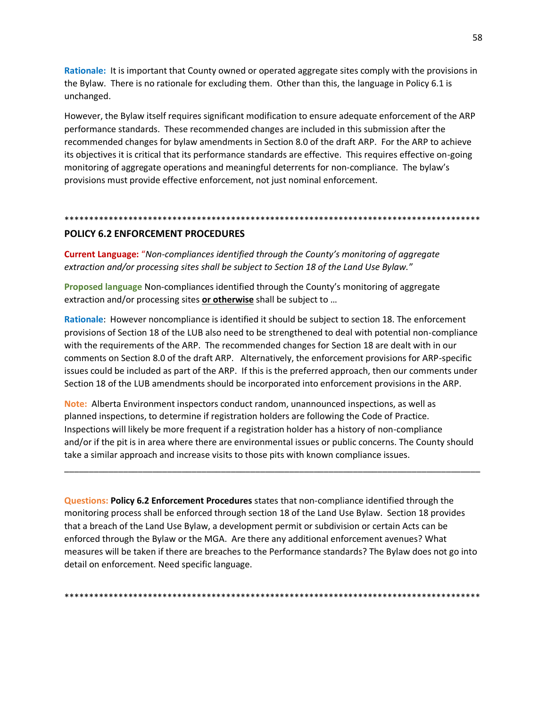Rationale: It is important that County owned or operated aggregate sites comply with the provisions in the Bylaw. There is no rationale for excluding them. Other than this, the language in Policy 6.1 is unchanged.

However, the Bylaw itself requires significant modification to ensure adequate enforcement of the ARP performance standards. These recommended changes are included in this submission after the recommended changes for bylaw amendments in Section 8.0 of the draft ARP. For the ARP to achieve its objectives it is critical that its performance standards are effective. This requires effective on-going monitoring of aggregate operations and meaningful deterrents for non-compliance. The bylaw's provisions must provide effective enforcement, not just nominal enforcement.

# **POLICY 6.2 ENFORCEMENT PROCEDURES**

**Current Language:** "Non-compliances identified through the County's monitoring of aggregate extraction and/or processing sites shall be subject to Section 18 of the Land Use Bylaw."

Proposed language Non-compliances identified through the County's monitoring of aggregate extraction and/or processing sites or otherwise shall be subject to ...

Rationale: However noncompliance is identified it should be subject to section 18. The enforcement provisions of Section 18 of the LUB also need to be strengthened to deal with potential non-compliance with the requirements of the ARP. The recommended changes for Section 18 are dealt with in our comments on Section 8.0 of the draft ARP. Alternatively, the enforcement provisions for ARP-specific issues could be included as part of the ARP. If this is the preferred approach, then our comments under Section 18 of the LUB amendments should be incorporated into enforcement provisions in the ARP.

Note: Alberta Environment inspectors conduct random, unannounced inspections, as well as planned inspections, to determine if registration holders are following the Code of Practice. Inspections will likely be more frequent if a registration holder has a history of non-compliance and/or if the pit is in area where there are environmental issues or public concerns. The County should take a similar approach and increase visits to those pits with known compliance issues.

Questions: Policy 6.2 Enforcement Procedures states that non-compliance identified through the monitoring process shall be enforced through section 18 of the Land Use Bylaw. Section 18 provides that a breach of the Land Use Bylaw, a development permit or subdivision or certain Acts can be enforced through the Bylaw or the MGA. Are there any additional enforcement avenues? What measures will be taken if there are breaches to the Performance standards? The Bylaw does not go into detail on enforcement. Need specific language.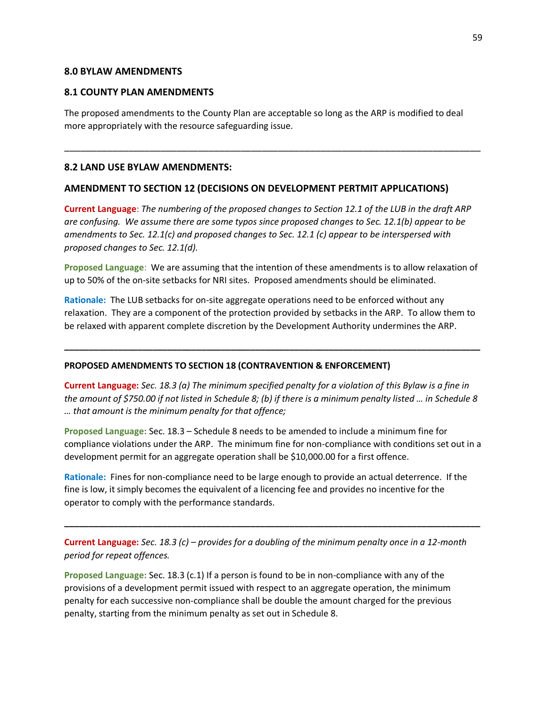#### **8.0 BYLAW AMENDMENTS**

#### **8.1 COUNTY PLAN AMENDMENTS**

The proposed amendments to the County Plan are acceptable so long as the ARP is modified to deal more appropriately with the resource safeguarding issue.

\_\_\_\_\_\_\_\_\_\_\_\_\_\_\_\_\_\_\_\_\_\_\_\_\_\_\_\_\_\_\_\_\_\_\_\_\_\_\_\_\_\_\_\_\_\_\_\_\_\_\_\_\_\_\_\_\_\_\_\_\_\_\_\_\_\_\_\_\_\_\_\_\_\_\_\_\_\_

#### **8.2 LAND USE BYLAW AMENDMENTS:**

#### **AMENDMENT TO SECTION 12 (DECISIONS ON DEVELOPMENT PERTMIT APPLICATIONS)**

**Current Language**: *The numbering of the proposed changes to Section 12.1 of the LUB in the draft ARP are confusing. We assume there are some typos since proposed changes to Sec. 12.1(b) appear to be amendments to Sec. 12.1(c) and proposed changes to Sec. 12.1 (c) appear to be interspersed with proposed changes to Sec. 12.1(d).*

**Proposed Language**: We are assuming that the intention of these amendments is to allow relaxation of up to 50% of the on-site setbacks for NRI sites. Proposed amendments should be eliminated.

**Rationale:** The LUB setbacks for on-site aggregate operations need to be enforced without any relaxation. They are a component of the protection provided by setbacks in the ARP. To allow them to be relaxed with apparent complete discretion by the Development Authority undermines the ARP.

**\_\_\_\_\_\_\_\_\_\_\_\_\_\_\_\_\_\_\_\_\_\_\_\_\_\_\_\_\_\_\_\_\_\_\_\_\_\_\_\_\_\_\_\_\_\_\_\_\_\_\_\_\_\_\_\_\_\_\_\_\_\_\_\_\_\_\_\_\_\_\_\_\_\_\_\_\_\_\_\_\_\_\_\_\_**

#### **PROPOSED AMENDMENTS TO SECTION 18 (CONTRAVENTION & ENFORCEMENT)**

**Current Language:** *Sec. 18.3 (a) The minimum specified penalty for a violation of this Bylaw is a fine in the amount of \$750.00 if not listed in Schedule 8; (b) if there is a minimum penalty listed … in Schedule 8 … that amount is the minimum penalty for that offence;*

**Proposed Language:** Sec. 18.3 – Schedule 8 needs to be amended to include a minimum fine for compliance violations under the ARP. The minimum fine for non-compliance with conditions set out in a development permit for an aggregate operation shall be \$10,000.00 for a first offence.

**Rationale:** Fines for non-compliance need to be large enough to provide an actual deterrence. If the fine is low, it simply becomes the equivalent of a licencing fee and provides no incentive for the operator to comply with the performance standards.

**Current Language:** *Sec. 18.3 (c) – provides for a doubling of the minimum penalty once in a 12-month period for repeat offences.*

**\_\_\_\_\_\_\_\_\_\_\_\_\_\_\_\_\_\_\_\_\_\_\_\_\_\_\_\_\_\_\_\_\_\_\_\_\_\_\_\_\_\_\_\_\_\_\_\_\_\_\_\_\_\_\_\_\_\_\_\_\_\_\_\_\_\_\_\_\_\_\_\_\_\_\_\_\_\_\_\_\_\_\_\_\_**

**Proposed Language:** Sec. 18.3 (c.1) If a person is found to be in non-compliance with any of the provisions of a development permit issued with respect to an aggregate operation, the minimum penalty for each successive non-compliance shall be double the amount charged for the previous penalty, starting from the minimum penalty as set out in Schedule 8.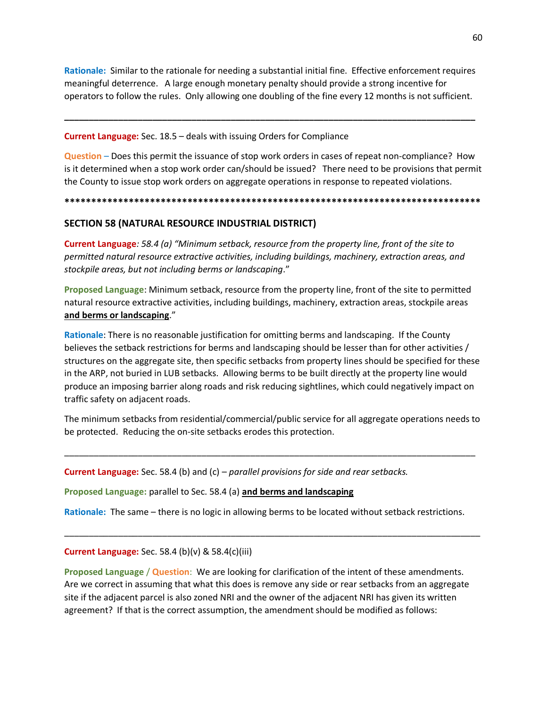Rationale: Similar to the rationale for needing a substantial initial fine. Effective enforcement requires meaningful deterrence. A large enough monetary penalty should provide a strong incentive for operators to follow the rules. Only allowing one doubling of the fine every 12 months is not sufficient.

#### **Current Language:** Sec. 18.5 - deals with issuing Orders for Compliance

Question - Does this permit the issuance of stop work orders in cases of repeat non-compliance? How is it determined when a stop work order can/should be issued? There need to be provisions that permit the County to issue stop work orders on aggregate operations in response to repeated violations.

# SECTION 58 (NATURAL RESOURCE INDUSTRIAL DISTRICT)

**Current Language:** 58.4 (a) "Minimum setback, resource from the property line, front of the site to permitted natural resource extractive activities, including buildings, machinery, extraction areas, and stockpile areas, but not including berms or landscaping."

Proposed Language: Minimum setback, resource from the property line, front of the site to permitted natural resource extractive activities, including buildings, machinery, extraction areas, stockpile areas and berms or landscaping."

Rationale: There is no reasonable justification for omitting berms and landscaping. If the County believes the setback restrictions for berms and landscaping should be lesser than for other activities / structures on the aggregate site, then specific setbacks from property lines should be specified for these in the ARP, not buried in LUB setbacks. Allowing berms to be built directly at the property line would produce an imposing barrier along roads and risk reducing sightlines, which could negatively impact on traffic safety on adjacent roads.

The minimum setbacks from residential/commercial/public service for all aggregate operations needs to be protected. Reducing the on-site setbacks erodes this protection.

**Current Language:** Sec. 58.4 (b) and (c) – parallel provisions for side and rear setbacks.

Proposed Language: parallel to Sec. 58.4 (a) and berms and landscaping

Rationale: The same – there is no logic in allowing berms to be located without setback restrictions.

## **Current Language:** Sec. 58.4 (b)(v) & 58.4(c)(iii)

Proposed Language / Question: We are looking for clarification of the intent of these amendments. Are we correct in assuming that what this does is remove any side or rear setbacks from an aggregate site if the adjacent parcel is also zoned NRI and the owner of the adjacent NRI has given its written agreement? If that is the correct assumption, the amendment should be modified as follows: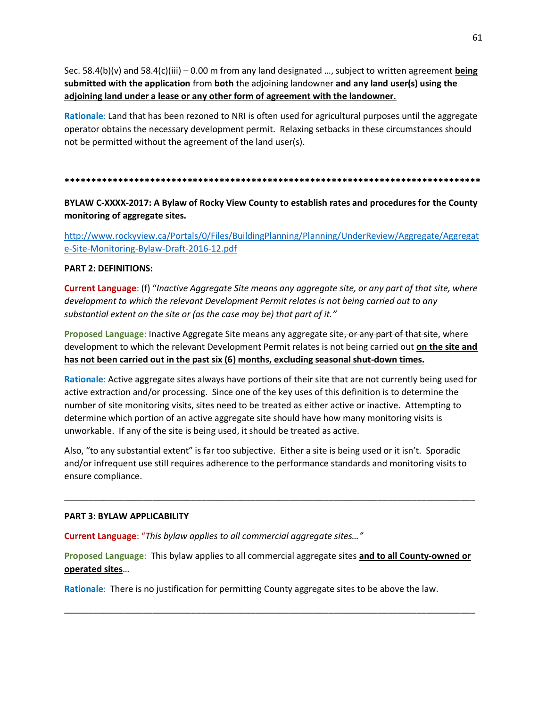Sec. 58.4(b)(v) and 58.4(c)(iii) – 0.00 m from any land designated …, subject to written agreement **being submitted with the application** from **both** the adjoining landowner **and any land user(s) using the adjoining land under a lease or any other form of agreement with the landowner.**

**Rationale**: Land that has been rezoned to NRI is often used for agricultural purposes until the aggregate operator obtains the necessary development permit. Relaxing setbacks in these circumstances should not be permitted without the agreement of the land user(s).

#### **\*\*\*\*\*\*\*\*\*\*\*\*\*\*\*\*\*\*\*\*\*\*\*\*\*\*\*\*\*\*\*\*\*\*\*\*\*\*\*\*\*\*\*\*\*\*\*\*\*\*\*\*\*\*\*\*\*\*\*\*\*\*\*\*\*\*\*\*\*\*\*\*\*\*\*\*\*\***

# **BYLAW C-XXXX-2017: A Bylaw of Rocky View County to establish rates and procedures for the County monitoring of aggregate sites.**

[http://www.rockyview.ca/Portals/0/Files/BuildingPlanning/Planning/UnderReview/Aggregate/Aggregat](http://www.rockyview.ca/Portals/0/Files/BuildingPlanning/Planning/UnderReview/Aggregate/Aggregate-Site-Monitoring-Bylaw-Draft-2016-12.pdf) [e-Site-Monitoring-Bylaw-Draft-2016-12.pdf](http://www.rockyview.ca/Portals/0/Files/BuildingPlanning/Planning/UnderReview/Aggregate/Aggregate-Site-Monitoring-Bylaw-Draft-2016-12.pdf)

#### **PART 2: DEFINITIONS:**

**Current Language**: (f) "*Inactive Aggregate Site means any aggregate site, or any part of that site, where development to which the relevant Development Permit relates is not being carried out to any substantial extent on the site or (as the case may be) that part of it."*

**Proposed Language: Inactive Aggregate Site means any aggregate site, or any part of that site, where** development to which the relevant Development Permit relates is not being carried out **on the site and has not been carried out in the past six (6) months, excluding seasonal shut-down times.**

**Rationale**: Active aggregate sites always have portions of their site that are not currently being used for active extraction and/or processing. Since one of the key uses of this definition is to determine the number of site monitoring visits, sites need to be treated as either active or inactive. Attempting to determine which portion of an active aggregate site should have how many monitoring visits is unworkable. If any of the site is being used, it should be treated as active.

Also, "to any substantial extent" is far too subjective. Either a site is being used or it isn't. Sporadic and/or infrequent use still requires adherence to the performance standards and monitoring visits to ensure compliance.

\_\_\_\_\_\_\_\_\_\_\_\_\_\_\_\_\_\_\_\_\_\_\_\_\_\_\_\_\_\_\_\_\_\_\_\_\_\_\_\_\_\_\_\_\_\_\_\_\_\_\_\_\_\_\_\_\_\_\_\_\_\_\_\_\_\_\_\_\_\_\_\_\_\_\_\_\_\_\_\_\_\_\_\_

#### **PART 3: BYLAW APPLICABILITY**

**Current Language**: "*This bylaw applies to all commercial aggregate sites…"*

**Proposed Language**: This bylaw applies to all commercial aggregate sites **and to all County-owned or operated sites**…

\_\_\_\_\_\_\_\_\_\_\_\_\_\_\_\_\_\_\_\_\_\_\_\_\_\_\_\_\_\_\_\_\_\_\_\_\_\_\_\_\_\_\_\_\_\_\_\_\_\_\_\_\_\_\_\_\_\_\_\_\_\_\_\_\_\_\_\_\_\_\_\_\_\_\_\_\_\_\_\_\_\_\_\_

**Rationale**: There is no justification for permitting County aggregate sites to be above the law.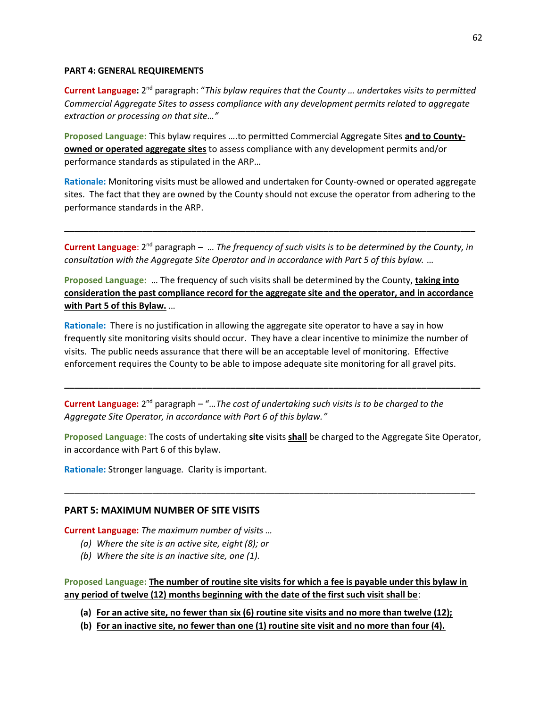#### **PART 4: GENERAL REQUIREMENTS**

Current Language: 2<sup>nd</sup> paragraph: "This bylaw requires that the County ... undertakes visits to permitted *Commercial Aggregate Sites to assess compliance with any development permits related to aggregate extraction or processing on that site…"*

**Proposed Language:** This bylaw requires ….to permitted Commercial Aggregate Sites **and to Countyowned or operated aggregate sites** to assess compliance with any development permits and/or performance standards as stipulated in the ARP…

**Rationale:** Monitoring visits must be allowed and undertaken for County-owned or operated aggregate sites. The fact that they are owned by the County should not excuse the operator from adhering to the performance standards in the ARP.

**Current Language**: 2<sup>nd</sup> paragraph – ... The frequency of such visits is to be determined by the County, in *consultation with the Aggregate Site Operator and in accordance with Part 5 of this bylaw.* …

**\_\_\_\_\_\_\_\_\_\_\_\_\_\_\_\_\_\_\_\_\_\_\_\_\_\_\_\_\_\_\_\_\_\_\_\_\_\_\_\_\_\_\_\_\_\_\_\_\_\_\_\_\_\_\_\_\_\_\_\_\_\_\_\_\_\_\_\_\_\_\_\_\_\_\_\_\_\_\_\_\_\_\_\_**

**Proposed Language:** … The frequency of such visits shall be determined by the County, **taking into consideration the past compliance record for the aggregate site and the operator, and in accordance with Part 5 of this Bylaw.** …

**Rationale:** There is no justification in allowing the aggregate site operator to have a say in how frequently site monitoring visits should occur. They have a clear incentive to minimize the number of visits. The public needs assurance that there will be an acceptable level of monitoring. Effective enforcement requires the County to be able to impose adequate site monitoring for all gravel pits.

**Current Language:** 2<sup>nd</sup> paragraph – "...The cost of undertaking such visits is to be charged to the *Aggregate Site Operator, in accordance with Part 6 of this bylaw."*

**Proposed Language**: The costs of undertaking **site** visits **shall** be charged to the Aggregate Site Operator, in accordance with Part 6 of this bylaw.

\_\_\_\_\_\_\_\_\_\_\_\_\_\_\_\_\_\_\_\_\_\_\_\_\_\_\_\_\_\_\_\_\_\_\_\_\_\_\_\_\_\_\_\_\_\_\_\_\_\_\_\_\_\_\_\_\_\_\_\_\_\_\_\_\_\_\_\_\_\_\_\_\_\_\_\_\_\_\_\_\_\_\_\_

**\_\_\_\_\_\_\_\_\_\_\_\_\_\_\_\_\_\_\_\_\_\_\_\_\_\_\_\_\_\_\_\_\_\_\_\_\_\_\_\_\_\_\_\_\_\_\_\_\_\_\_\_\_\_\_\_\_\_\_\_\_\_\_\_\_\_\_\_\_\_\_\_\_\_\_\_\_\_\_\_\_\_\_\_\_**

**Rationale:** Stronger language. Clarity is important.

## **PART 5: MAXIMUM NUMBER OF SITE VISITS**

**Current Language:** *The maximum number of visits …*

- *(a) Where the site is an active site, eight (8); or*
- *(b) Where the site is an inactive site, one (1).*

**Proposed Language: The number of routine site visits for which a fee is payable under this bylaw in any period of twelve (12) months beginning with the date of the first such visit shall be**:

**(a) For an active site, no fewer than six (6) routine site visits and no more than twelve (12);**

**(b) For an inactive site, no fewer than one (1) routine site visit and no more than four (4).**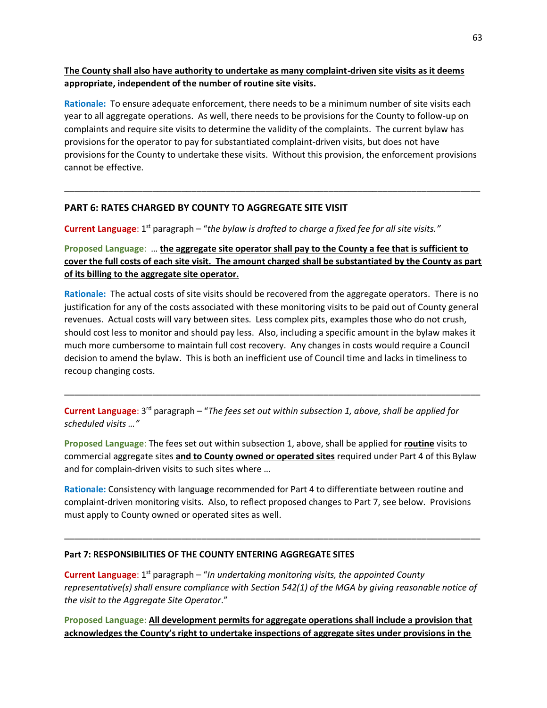# **The County shall also have authority to undertake as many complaint-driven site visits as it deems appropriate, independent of the number of routine site visits.**

**Rationale:** To ensure adequate enforcement, there needs to be a minimum number of site visits each year to all aggregate operations. As well, there needs to be provisions for the County to follow-up on complaints and require site visits to determine the validity of the complaints. The current bylaw has provisions for the operator to pay for substantiated complaint-driven visits, but does not have provisions for the County to undertake these visits. Without this provision, the enforcement provisions cannot be effective.

\_\_\_\_\_\_\_\_\_\_\_\_\_\_\_\_\_\_\_\_\_\_\_\_\_\_\_\_\_\_\_\_\_\_\_\_\_\_\_\_\_\_\_\_\_\_\_\_\_\_\_\_\_\_\_\_\_\_\_\_\_\_\_\_\_\_\_\_\_\_\_\_\_\_\_\_\_\_\_\_\_\_\_\_\_

# **PART 6: RATES CHARGED BY COUNTY TO AGGREGATE SITE VISIT**

Current Language: 1<sup>st</sup> paragraph – "the bylaw is drafted to charge a fixed fee for all site visits."

# **Proposed Language**: … **the aggregate site operator shall pay to the County a fee that is sufficient to cover the full costs of each site visit. The amount charged shall be substantiated by the County as part of its billing to the aggregate site operator.**

**Rationale:** The actual costs of site visits should be recovered from the aggregate operators. There is no justification for any of the costs associated with these monitoring visits to be paid out of County general revenues. Actual costs will vary between sites. Less complex pits, examples those who do not crush, should cost less to monitor and should pay less. Also, including a specific amount in the bylaw makes it much more cumbersome to maintain full cost recovery. Any changes in costs would require a Council decision to amend the bylaw. This is both an inefficient use of Council time and lacks in timeliness to recoup changing costs.

\_\_\_\_\_\_\_\_\_\_\_\_\_\_\_\_\_\_\_\_\_\_\_\_\_\_\_\_\_\_\_\_\_\_\_\_\_\_\_\_\_\_\_\_\_\_\_\_\_\_\_\_\_\_\_\_\_\_\_\_\_\_\_\_\_\_\_\_\_\_\_\_\_\_\_\_\_\_\_\_\_\_\_\_\_

Current Language: 3<sup>rd</sup> paragraph – "The fees set out within subsection 1, above, shall be applied for *scheduled visits …"*

**Proposed Language**: The fees set out within subsection 1, above, shall be applied for **routine** visits to commercial aggregate sites **and to County owned or operated sites** required under Part 4 of this Bylaw and for complain-driven visits to such sites where …

**Rationale:** Consistency with language recommended for Part 4 to differentiate between routine and complaint-driven monitoring visits. Also, to reflect proposed changes to Part 7, see below. Provisions must apply to County owned or operated sites as well.

\_\_\_\_\_\_\_\_\_\_\_\_\_\_\_\_\_\_\_\_\_\_\_\_\_\_\_\_\_\_\_\_\_\_\_\_\_\_\_\_\_\_\_\_\_\_\_\_\_\_\_\_\_\_\_\_\_\_\_\_\_\_\_\_\_\_\_\_\_\_\_\_\_\_\_\_\_\_\_\_\_\_\_\_\_

## **Part 7: RESPONSIBILITIES OF THE COUNTY ENTERING AGGREGATE SITES**

**Current Language**: 1<sup>st</sup> paragraph – "In undertaking monitoring visits, the appointed County *representative(s) shall ensure compliance with Section 542(1) of the MGA by giving reasonable notice of the visit to the Aggregate Site Operator*."

**Proposed Language**: **All development permits for aggregate operations shall include a provision that acknowledges the County's right to undertake inspections of aggregate sites under provisions in the**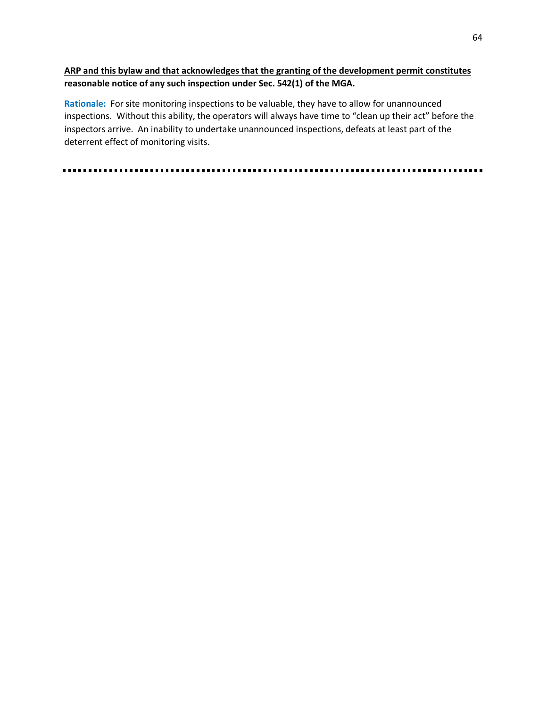# **ARP and this bylaw and that acknowledges that the granting of the development permit constitutes reasonable notice of any such inspection under Sec. 542(1) of the MGA.**

**Rationale:** For site monitoring inspections to be valuable, they have to allow for unannounced inspections. Without this ability, the operators will always have time to "clean up their act" before the inspectors arrive. An inability to undertake unannounced inspections, defeats at least part of the deterrent effect of monitoring visits.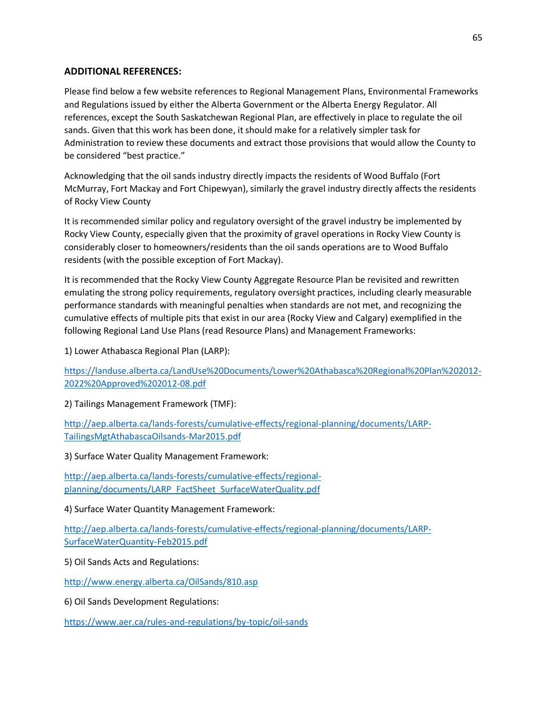# **ADDITIONAL REFERENCES:**

Please find below a few website references to Regional Management Plans, Environmental Frameworks and Regulations issued by either the Alberta Government or the Alberta Energy Regulator. All references, except the South Saskatchewan Regional Plan, are effectively in place to regulate the oil sands. Given that this work has been done, it should make for a relatively simpler task for Administration to review these documents and extract those provisions that would allow the County to be considered "best practice."

Acknowledging that the oil sands industry directly impacts the residents of Wood Buffalo (Fort McMurray, Fort Mackay and Fort Chipewyan), similarly the gravel industry directly affects the residents of Rocky View County

It is recommended similar policy and regulatory oversight of the gravel industry be implemented by Rocky View County, especially given that the proximity of gravel operations in Rocky View County is considerably closer to homeowners/residents than the oil sands operations are to Wood Buffalo residents (with the possible exception of Fort Mackay).

It is recommended that the Rocky View County Aggregate Resource Plan be revisited and rewritten emulating the strong policy requirements, regulatory oversight practices, including clearly measurable performance standards with meaningful penalties when standards are not met, and recognizing the cumulative effects of multiple pits that exist in our area (Rocky View and Calgary) exemplified in the following Regional Land Use Plans (read Resource Plans) and Management Frameworks:

1) Lower Athabasca Regional Plan (LARP):

[https://landuse.alberta.ca/LandUse%20Documents/Lower%20Athabasca%20Regional%20Plan%202012-](https://landuse.alberta.ca/LandUse%20Documents/Lower%20Athabasca%20Regional%20Plan%202012-2022%20Approved%202012-08.pdf) [2022%20Approved%202012-08.pdf](https://landuse.alberta.ca/LandUse%20Documents/Lower%20Athabasca%20Regional%20Plan%202012-2022%20Approved%202012-08.pdf)

2) Tailings Management Framework (TMF):

[http://aep.alberta.ca/lands-forests/cumulative-effects/regional-planning/documents/LARP-](http://aep.alberta.ca/lands-forests/cumulative-effects/regional-planning/documents/LARP-TailingsMgtAthabascaOilsands-Mar2015.pdf)[TailingsMgtAthabascaOilsands-Mar2015.pdf](http://aep.alberta.ca/lands-forests/cumulative-effects/regional-planning/documents/LARP-TailingsMgtAthabascaOilsands-Mar2015.pdf)

3) Surface Water Quality Management Framework:

[http://aep.alberta.ca/lands-forests/cumulative-effects/regional](http://aep.alberta.ca/lands-forests/cumulative-effects/regional-planning/documents/LARP_FactSheet_SurfaceWaterQuality.pdf)[planning/documents/LARP\\_FactSheet\\_SurfaceWaterQuality.pdf](http://aep.alberta.ca/lands-forests/cumulative-effects/regional-planning/documents/LARP_FactSheet_SurfaceWaterQuality.pdf)

4) Surface Water Quantity Management Framework:

[http://aep.alberta.ca/lands-forests/cumulative-effects/regional-planning/documents/LARP-](http://aep.alberta.ca/lands-forests/cumulative-effects/regional-planning/documents/LARP-SurfaceWaterQuantity-Feb2015.pdf)[SurfaceWaterQuantity-Feb2015.pdf](http://aep.alberta.ca/lands-forests/cumulative-effects/regional-planning/documents/LARP-SurfaceWaterQuantity-Feb2015.pdf)

5) Oil Sands Acts and Regulations:

<http://www.energy.alberta.ca/OilSands/810.asp>

6) Oil Sands Development Regulations:

<https://www.aer.ca/rules-and-regulations/by-topic/oil-sands>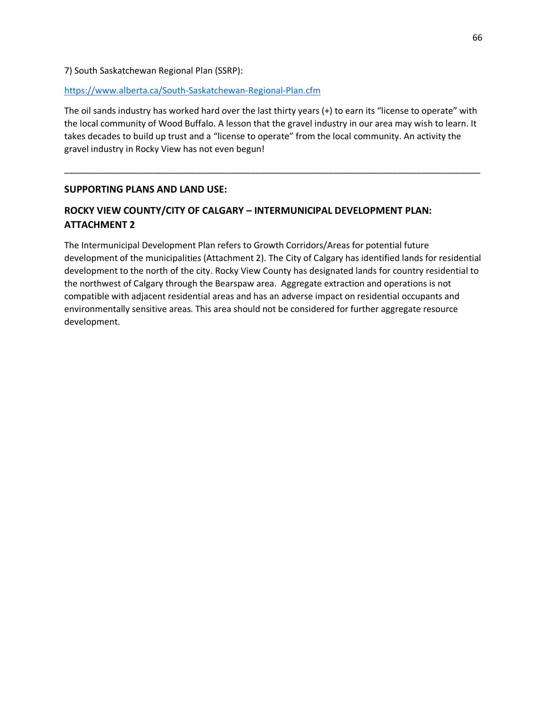## 7) South Saskatchewan Regional Plan (SSRP):

#### <https://www.alberta.ca/South-Saskatchewan-Regional-Plan.cfm>

The oil sands industry has worked hard over the last thirty years (+) to earn its "license to operate" with the local community of Wood Buffalo. A lesson that the gravel industry in our area may wish to learn. It takes decades to build up trust and a "license to operate" from the local community. An activity the gravel industry in Rocky View has not even begun!

\_\_\_\_\_\_\_\_\_\_\_\_\_\_\_\_\_\_\_\_\_\_\_\_\_\_\_\_\_\_\_\_\_\_\_\_\_\_\_\_\_\_\_\_\_\_\_\_\_\_\_\_\_\_\_\_\_\_\_\_\_\_\_\_\_\_\_\_\_\_\_\_\_\_\_\_\_\_\_\_\_\_\_\_\_

## **SUPPORTING PLANS AND LAND USE:**

# **ROCKY VIEW COUNTY/CITY OF CALGARY – INTERMUNICIPAL DEVELOPMENT PLAN: ATTACHMENT 2**

The Intermunicipal Development Plan refers to Growth Corridors/Areas for potential future development of the municipalities (Attachment 2). The City of Calgary has identified lands for residential development to the north of the city. Rocky View County has designated lands for country residential to the northwest of Calgary through the Bearspaw area. Aggregate extraction and operations is not compatible with adjacent residential areas and has an adverse impact on residential occupants and environmentally sensitive areas. This area should not be considered for further aggregate resource development.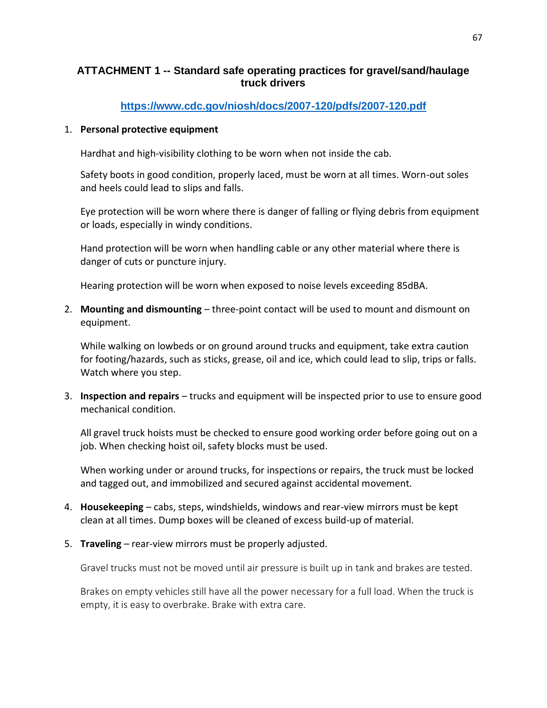# **ATTACHMENT 1 -- Standard safe operating practices for gravel/sand/haulage truck drivers**

# **<https://www.cdc.gov/niosh/docs/2007-120/pdfs/2007-120.pdf>**

## 1. **Personal protective equipment**

Hardhat and high-visibility clothing to be worn when not inside the cab.

Safety boots in good condition, properly laced, must be worn at all times. Worn-out soles and heels could lead to slips and falls.

Eye protection will be worn where there is danger of falling or flying debris from equipment or loads, especially in windy conditions.

Hand protection will be worn when handling cable or any other material where there is danger of cuts or puncture injury.

Hearing protection will be worn when exposed to noise levels exceeding 85dBA.

2. **Mounting and dismounting** – three-point contact will be used to mount and dismount on equipment.

While walking on lowbeds or on ground around trucks and equipment, take extra caution for footing/hazards, such as sticks, grease, oil and ice, which could lead to slip, trips or falls. Watch where you step.

3. **Inspection and repairs** – trucks and equipment will be inspected prior to use to ensure good mechanical condition.

All gravel truck hoists must be checked to ensure good working order before going out on a job. When checking hoist oil, safety blocks must be used.

When working under or around trucks, for inspections or repairs, the truck must be locked and tagged out, and immobilized and secured against accidental movement.

- 4. **Housekeeping** cabs, steps, windshields, windows and rear-view mirrors must be kept clean at all times. Dump boxes will be cleaned of excess build-up of material.
- 5. **Traveling** rear-view mirrors must be properly adjusted.

Gravel trucks must not be moved until air pressure is built up in tank and brakes are tested.

Brakes on empty vehicles still have all the power necessary for a full load. When the truck is empty, it is easy to overbrake. Brake with extra care.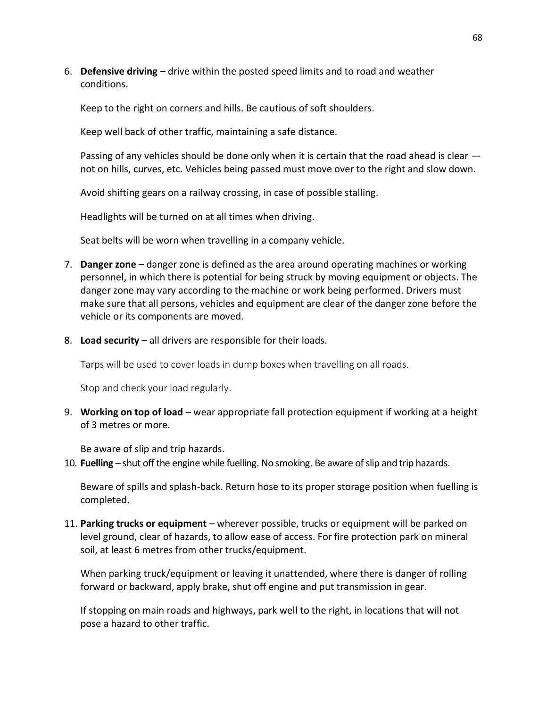6. **Defensive driving** – drive within the posted speed limits and to road and weather conditions.

Keep to the right on corners and hills. Be cautious of soft shoulders.

Keep well back of other traffic, maintaining a safe distance.

Passing of any vehicles should be done only when it is certain that the road ahead is clear  $$ not on hills, curves, etc. Vehicles being passed must move over to the right and slow down.

Avoid shifting gears on a railway crossing, in case of possible stalling.

Headlights will be turned on at all times when driving.

Seat belts will be worn when travelling in a company vehicle.

- 7. **Danger zone** danger zone is defined as the area around operating machines or working personnel, in which there is potential for being struck by moving equipment or objects. The danger zone may vary according to the machine or work being performed. Drivers must make sure that all persons, vehicles and equipment are clear of the danger zone before the vehicle or its components are moved.
- 8. **Load security** all drivers are responsible for their loads.

Tarps will be used to cover loads in dump boxes when travelling on all roads.

Stop and check your load regularly.

9. **Working on top of load** – wear appropriate fall protection equipment if working at a height of 3 metres or more.

Be aware of slip and trip hazards.

10. **Fuelling** – shut off the engine while fuelling. No smoking. Be aware of slip and trip hazards.

Beware of spills and splash-back. Return hose to its proper storage position when fuelling is completed.

11. **Parking trucks or equipment** – wherever possible, trucks or equipment will be parked on level ground, clear of hazards, to allow ease of access. For fire protection park on mineral soil, at least 6 metres from other trucks/equipment.

When parking truck/equipment or leaving it unattended, where there is danger of rolling forward or backward, apply brake, shut off engine and put transmission in gear.

If stopping on main roads and highways, park well to the right, in locations that will not pose a hazard to other traffic.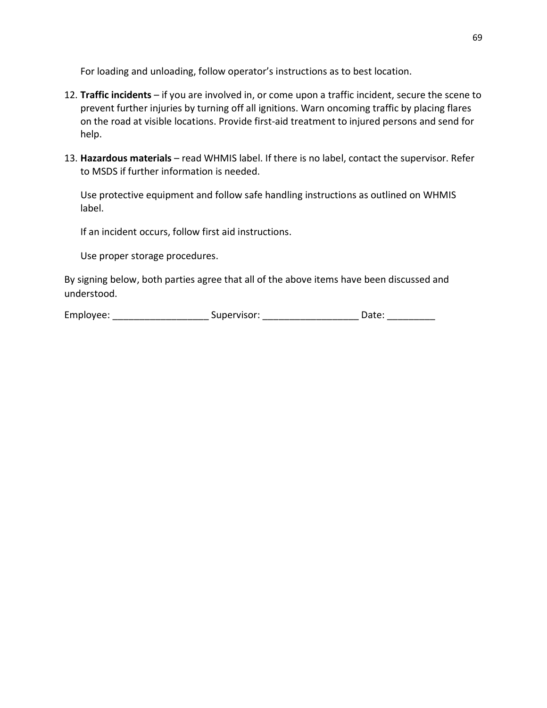For loading and unloading, follow operator's instructions as to best location.

- 12. **Traffic incidents** if you are involved in, or come upon a traffic incident, secure the scene to prevent further injuries by turning off all ignitions. Warn oncoming traffic by placing flares on the road at visible locations. Provide first-aid treatment to injured persons and send for help.
- 13. **Hazardous materials** read WHMIS label. If there is no label, contact the supervisor. Refer to MSDS if further information is needed.

Use protective equipment and follow safe handling instructions as outlined on WHMIS label.

If an incident occurs, follow first aid instructions.

Use proper storage procedures.

By signing below, both parties agree that all of the above items have been discussed and understood.

| Employee: | Supervisor: |  | Dall. |
|-----------|-------------|--|-------|
|-----------|-------------|--|-------|